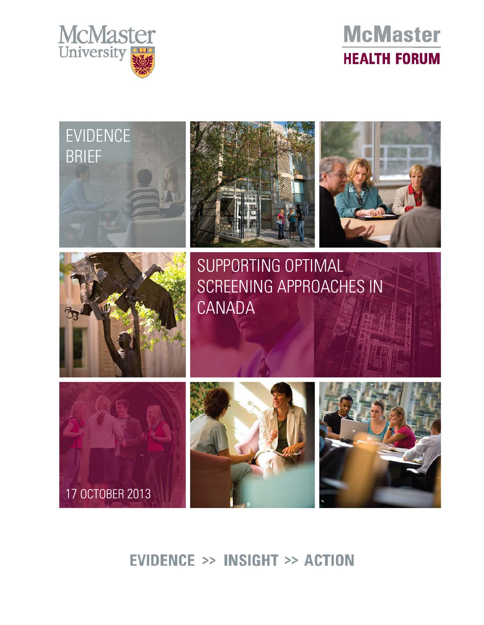





EVIDENCE >> INSIGHT >> ACTION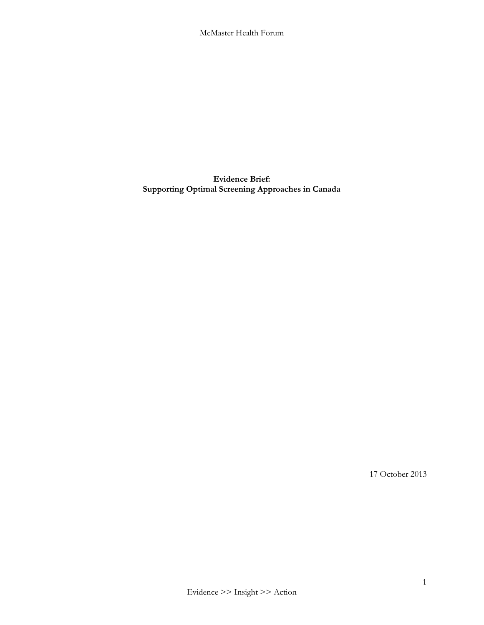**Evidence Brief: Supporting Optimal Screening Approaches in Canada**

17 October 2013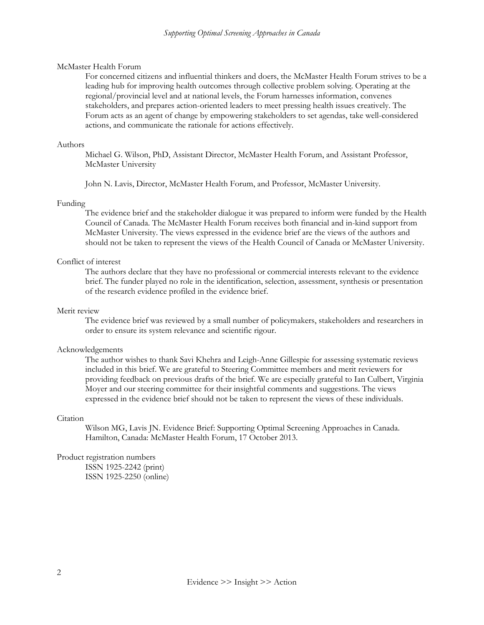For concerned citizens and influential thinkers and doers, the McMaster Health Forum strives to be a leading hub for improving health outcomes through collective problem solving. Operating at the regional/provincial level and at national levels, the Forum harnesses information, convenes stakeholders, and prepares action-oriented leaders to meet pressing health issues creatively. The Forum acts as an agent of change by empowering stakeholders to set agendas, take well-considered actions, and communicate the rationale for actions effectively.

#### Authors

Michael G. Wilson, PhD, Assistant Director, McMaster Health Forum, and Assistant Professor, McMaster University

John N. Lavis, Director, McMaster Health Forum, and Professor, McMaster University.

#### Funding

The evidence brief and the stakeholder dialogue it was prepared to inform were funded by the Health Council of Canada. The McMaster Health Forum receives both financial and in-kind support from McMaster University. The views expressed in the evidence brief are the views of the authors and should not be taken to represent the views of the Health Council of Canada or McMaster University.

#### Conflict of interest

The authors declare that they have no professional or commercial interests relevant to the evidence brief. The funder played no role in the identification, selection, assessment, synthesis or presentation of the research evidence profiled in the evidence brief.

#### Merit review

The evidence brief was reviewed by a small number of policymakers, stakeholders and researchers in order to ensure its system relevance and scientific rigour.

#### Acknowledgements

The author wishes to thank Savi Khehra and Leigh-Anne Gillespie for assessing systematic reviews included in this brief. We are grateful to Steering Committee members and merit reviewers for providing feedback on previous drafts of the brief. We are especially grateful to Ian Culbert, Virginia Moyer and our steering committee for their insightful comments and suggestions. The views expressed in the evidence brief should not be taken to represent the views of these individuals.

#### Citation

Wilson MG, Lavis JN. Evidence Brief: Supporting Optimal Screening Approaches in Canada. Hamilton, Canada: McMaster Health Forum, 17 October 2013.

#### Product registration numbers

ISSN 1925-2242 (print) ISSN 1925-2250 (online)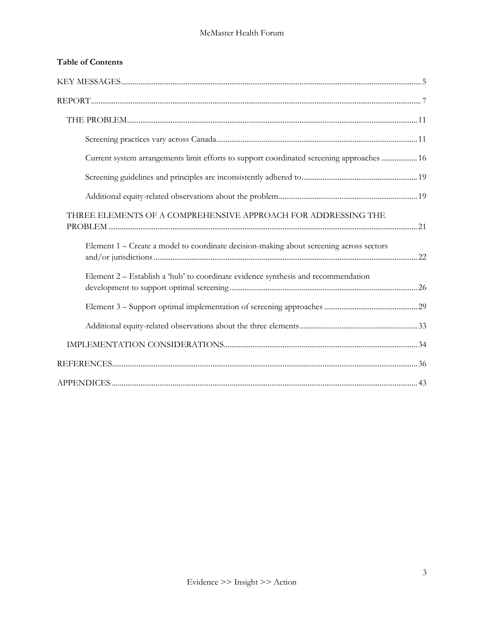## **Table of Contents**

| Current system arrangements limit efforts to support coordinated screening approaches  16 |  |
|-------------------------------------------------------------------------------------------|--|
|                                                                                           |  |
|                                                                                           |  |
| THREE ELEMENTS OF A COMPREHENSIVE APPROACH FOR ADDRESSING THE                             |  |
| Element 1 – Create a model to coordinate decision-making about screening across sectors   |  |
| Element 2 - Establish a 'hub' to coordinate evidence synthesis and recommendation         |  |
|                                                                                           |  |
|                                                                                           |  |
|                                                                                           |  |
|                                                                                           |  |
|                                                                                           |  |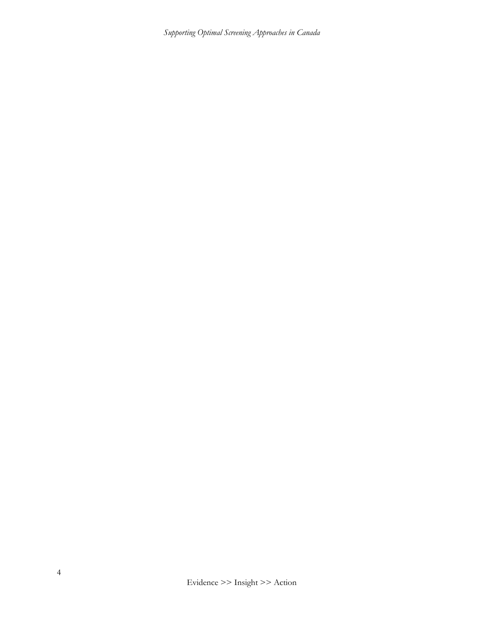*Supporting Optimal Screening Approaches in Canada*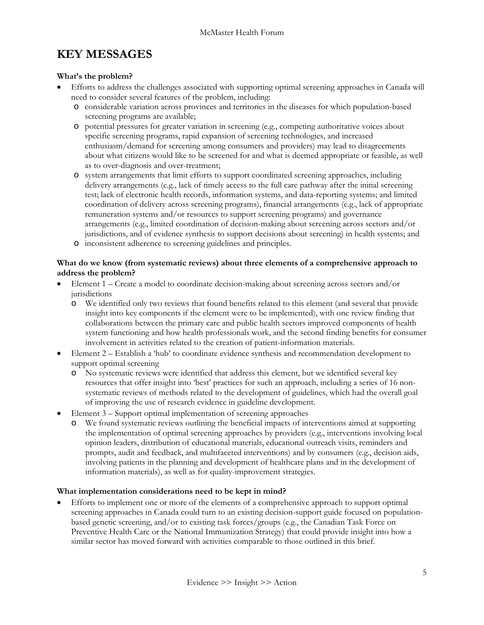# <span id="page-5-0"></span>**KEY MESSAGES**

## **What's the problem?**

- Efforts to address the challenges associated with supporting optimal screening approaches in Canada will need to consider several features of the problem, including:
	- o considerable variation across provinces and territories in the diseases for which population-based screening programs are available;
	- o potential pressures for greater variation in screening (e.g., competing authoritative voices about specific screening programs, rapid expansion of screening technologies, and increased enthusiasm/demand for screening among consumers and providers) may lead to disagreements about what citizens would like to be screened for and what is deemed appropriate or feasible, as well as to over-diagnosis and over-treatment;
	- o system arrangements that limit efforts to support coordinated screening approaches, including delivery arrangements (e.g., lack of timely access to the full care pathway after the initial screening test; lack of electronic health records, information systems, and data-reporting systems; and limited coordination of delivery across screening programs), financial arrangements (e.g., lack of appropriate remuneration systems and/or resources to support screening programs) and governance arrangements (e.g., limited coordination of decision-making about screening across sectors and/or jurisdictions, and of evidence synthesis to support decisions about screening) in health systems; and
	- o inconsistent adherence to screening guidelines and principles.

### **What do we know (from systematic reviews) about three elements of a comprehensive approach to address the problem?**

- Element 1 Create a model to coordinate decision-making about screening across sectors and/or jurisdictions
	- o We identified only two reviews that found benefits related to this element (and several that provide insight into key components if the element were to be implemented), with one review finding that collaborations between the primary care and public health sectors improved components of health system functioning and how health professionals work, and the second finding benefits for consumer involvement in activities related to the creation of patient-information materials.
- Element 2 Establish a 'hub' to coordinate evidence synthesis and recommendation development to support optimal screening
	- o No systematic reviews were identified that address this element, but we identified several key resources that offer insight into 'best' practices for such an approach, including a series of 16 nonsystematic reviews of methods related to the development of guidelines, which had the overall goal of improving the use of research evidence in guideline development.
- Element 3 Support optimal implementation of screening approaches
	- We found systematic reviews outlining the beneficial impacts of interventions aimed at supporting the implementation of optimal screening approaches by providers (e.g., interventions involving local opinion leaders, distribution of educational materials, educational outreach visits, reminders and prompts, audit and feedback, and multifaceted interventions) and by consumers (e.g., decision aids, involving patients in the planning and development of healthcare plans and in the development of information materials), as well as for quality-improvement strategies.

### **What implementation considerations need to be kept in mind?**

• Efforts to implement one or more of the elements of a comprehensive approach to support optimal screening approaches in Canada could turn to an existing decision-support guide focused on populationbased genetic screening, and/or to existing task forces/groups (e.g., the Canadian Task Force on Preventive Health Care or the National Immunization Strategy) that could provide insight into how a similar sector has moved forward with activities comparable to those outlined in this brief.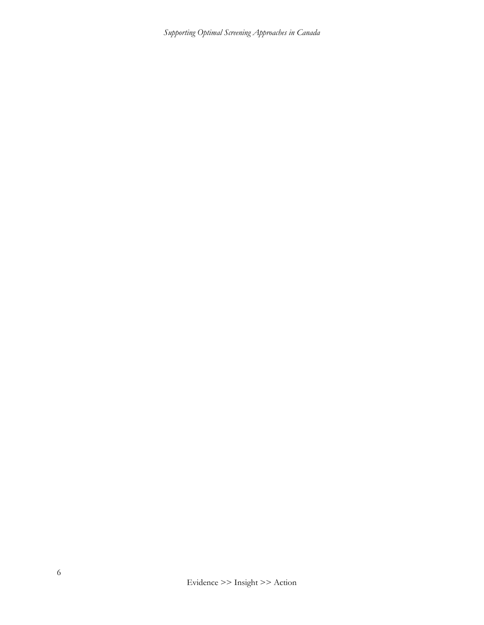*Supporting Optimal Screening Approaches in Canada*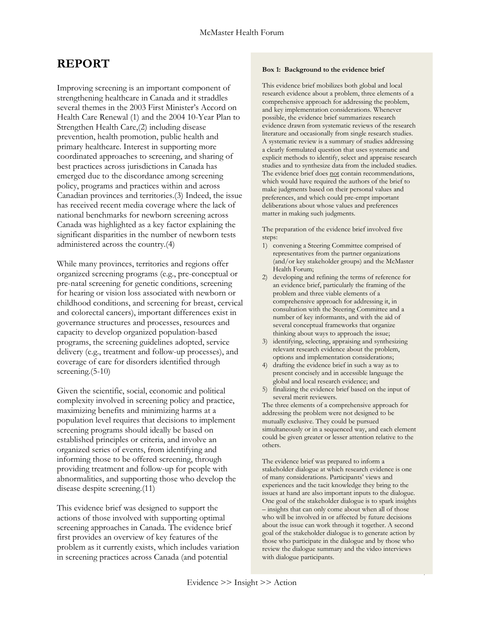# <span id="page-7-0"></span>**REPORT**

Improving screening is an important component of strengthening healthcare in Canada and it straddles several themes in the 2003 First Minister's Accord on Health Care Renewal (1) and the 2004 10-Year Plan to Strengthen Health Care,(2) including disease prevention, health promotion, public health and primary healthcare. Interest in supporting more coordinated approaches to screening, and sharing of best practices across jurisdictions in Canada has emerged due to the discordance among screening policy, programs and practices within and across Canadian provinces and territories.(3) Indeed, the issue has received recent media coverage where the lack of national benchmarks for newborn screening across Canada was highlighted as a key factor explaining the significant disparities in the number of newborn tests administered across the country.(4)

While many provinces, territories and regions offer organized screening programs (e.g., pre-conceptual or pre-natal screening for genetic conditions, screening for hearing or vision loss associated with newborn or childhood conditions, and screening for breast, cervical and colorectal cancers), important differences exist in governance structures and processes, resources and capacity to develop organized population-based programs, the screening guidelines adopted, service delivery (e.g., treatment and follow-up processes), and coverage of care for disorders identified through screening.(5-10)

Given the scientific, social, economic and political complexity involved in screening policy and practice, maximizing benefits and minimizing harms at a population level requires that decisions to implement screening programs should ideally be based on established principles or criteria, and involve an organized series of events, from identifying and informing those to be offered screening, through providing treatment and follow-up for people with abnormalities, and supporting those who develop the disease despite screening.(11)

This evidence brief was designed to support the actions of those involved with supporting optimal screening approaches in Canada. The evidence brief first provides an overview of key features of the problem as it currently exists, which includes variation in screening practices across Canada (and potential

#### **Box 1: Background to the evidence brief**

This evidence brief mobilizes both global and local research evidence about a problem, three elements of a comprehensive approach for addressing the problem, and key implementation considerations. Whenever possible, the evidence brief summarizes research evidence drawn from systematic reviews of the research literature and occasionally from single research studies. A systematic review is a summary of studies addressing a clearly formulated question that uses systematic and explicit methods to identify, select and appraise research studies and to synthesize data from the included studies. The evidence brief does not contain recommendations, which would have required the authors of the brief to make judgments based on their personal values and preferences, and which could pre-empt important deliberations about whose values and preferences matter in making such judgments.

The preparation of the evidence brief involved five steps:

- 1) convening a Steering Committee comprised of representatives from the partner organizations (and/or key stakeholder groups) and the McMaster Health Forum;
- 2) developing and refining the terms of reference for an evidence brief, particularly the framing of the problem and three viable elements of a comprehensive approach for addressing it, in consultation with the Steering Committee and a number of key informants, and with the aid of several conceptual frameworks that organize thinking about ways to approach the issue;
- 3) identifying, selecting, appraising and synthesizing relevant research evidence about the problem, options and implementation considerations;
- 4) drafting the evidence brief in such a way as to present concisely and in accessible language the global and local research evidence; and
- 5) finalizing the evidence brief based on the input of several merit reviewers.

The three elements of a comprehensive approach for addressing the problem were not designed to be mutually exclusive. They could be pursued simultaneously or in a sequenced way, and each element could be given greater or lesser attention relative to the others.

The evidence brief was prepared to inform a stakeholder dialogue at which research evidence is one of many considerations. Participants' views and experiences and the tacit knowledge they bring to the issues at hand are also important inputs to the dialogue. One goal of the stakeholder dialogue is to spark insights – insights that can only come about when all of those who will be involved in or affected by future decisions about the issue can work through it together. A second goal of the stakeholder dialogue is to generate action by those who participate in the dialogue and by those who review the dialogue summary and the video interviews with dialogue participants.

7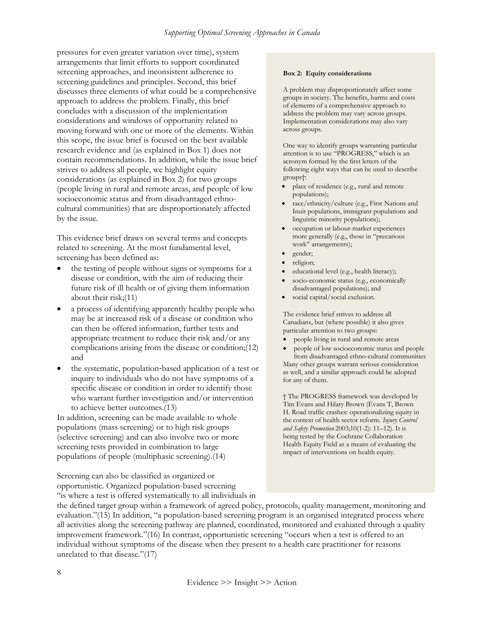pressures for even greater variation over time), system arrangements that limit efforts to support coordinated screening approaches, and inconsistent adherence to screening guidelines and principles. Second, this brief discusses three elements of what could be a comprehensive approach to address the problem. Finally, this brief concludes with a discussion of the implementation considerations and windows of opportunity related to moving forward with one or more of the elements. Within this scope, the issue brief is focused on the best available research evidence and (as explained in Box 1) does not contain recommendations. In addition, while the issue brief strives to address all people, we highlight equity considerations (as explained in Box 2) for two groups (people living in rural and remote areas, and people of low socioeconomic status and from disadvantaged ethnocultural communities) that are disproportionately affected by the issue.

This evidence brief draws on several terms and concepts related to screening. At the most fundamental level, screening has been defined as:

- the testing of people without signs or symptoms for a disease or condition, with the aim of reducing their future risk of ill health or of giving them information about their risk;(11)
- a process of identifying apparently healthy people who may be at increased risk of a disease or condition who can then be offered information, further tests and appropriate treatment to reduce their risk and/or any complications arising from the disease or condition;(12) and
- the systematic, population-based application of a test or inquiry to individuals who do not have symptoms of a specific disease or condition in order to identify those who warrant further investigation and/or intervention to achieve better outcomes.(13)

In addition, screening can be made available to whole populations (mass screening) or to high risk groups (selective screening) and can also involve two or more screening tests provided in combination to large populations of people (multiphasic screening).(14)

Screening can also be classified as organized or opportunistic. Organized population-based screening "is where a test is offered systematically to all individuals in

#### **Box 2: Equity considerations**

A problem may disproportionately affect some groups in society. The benefits, harms and costs of elements of a comprehensive approach to address the problem may vary across groups. Implementation considerations may also vary across groups.

One way to identify groups warranting particular attention is to use "PROGRESS," which is an acronym formed by the first letters of the following eight ways that can be used to describe groups†:

- place of residence (e.g., rural and remote populations);
- race/ethnicity/culture (e.g., First Nations and Inuit populations, immigrant populations and linguistic minority populations);
- occupation or labour-market experiences more generally (e.g., those in "precarious work" arrangements);
- gender;
- religion;
- educational level (e.g., health literacy);
- socio-economic status (e.g., economically disadvantaged populations); and
- social capital/social exclusion.

The evidence brief strives to address all Canadians, but (where possible) it also gives particular attention to two groups:

- people living in rural and remote areas
- people of low socioeconomic status and people from disadvantaged ethno-cultural communities

Many other groups warrant serious consideration as well, and a similar approach could be adopted for any of them.

† The PROGRESS framework was developed by Tim Evans and Hilary Brown (Evans T, Brown H. Road traffic crashes: operationalizing equity in the context of health sector reform. *Injury Control and Safety Promotion* 2003;10(1-2): 11–12). It is being tested by the Cochrane Collaboration Health Equity Field as a means of evaluating the impact of interventions on health equity.

the defined target group within a framework of agreed policy, protocols, quality management, monitoring and evaluation."(15) In addition, "a population-based screening program is an organised integrated process where all activities along the screening pathway are planned, coordinated, monitored and evaluated through a quality improvement framework."(16) In contrast, opportunistic screening "occurs when a test is offered to an individual without symptoms of the disease when they present to a health care practitioner for reasons unrelated to that disease."(17)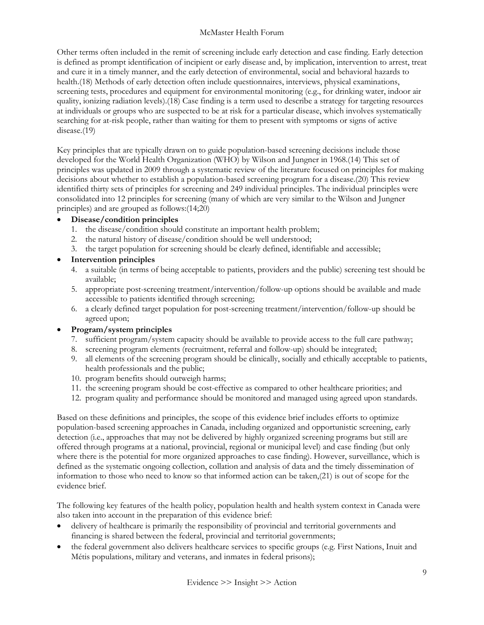Other terms often included in the remit of screening include early detection and case finding. Early detection is defined as prompt identification of incipient or early disease and, by implication, intervention to arrest, treat and cure it in a timely manner, and the early detection of environmental, social and behavioral hazards to health.(18) Methods of early detection often include questionnaires, interviews, physical examinations, screening tests, procedures and equipment for environmental monitoring (e.g., for drinking water, indoor air quality, ionizing radiation levels).(18) Case finding is a term used to describe a strategy for targeting resources at individuals or groups who are suspected to be at risk for a particular disease, which involves systematically searching for at-risk people, rather than waiting for them to present with symptoms or signs of active disease.(19)

Key principles that are typically drawn on to guide population-based screening decisions include those developed for the World Health Organization (WHO) by Wilson and Jungner in 1968.(14) This set of principles was updated in 2009 through a systematic review of the literature focused on principles for making decisions about whether to establish a population-based screening program for a disease.(20) This review identified thirty sets of principles for screening and 249 individual principles. The individual principles were consolidated into 12 principles for screening (many of which are very similar to the Wilson and Jungner principles) and are grouped as follows:(14;20)

## • **Disease/condition principles**

- 1. the disease/condition should constitute an important health problem;
- 2. the natural history of disease/condition should be well understood;
- 3. the target population for screening should be clearly defined, identifiable and accessible;

## • **Intervention principles**

- 4. a suitable (in terms of being acceptable to patients, providers and the public) screening test should be available;
- 5. appropriate post-screening treatment/intervention/follow-up options should be available and made accessible to patients identified through screening;
- 6. a clearly defined target population for post-screening treatment/intervention/follow-up should be agreed upon;

## • **Program/system principles**

- 7. sufficient program/system capacity should be available to provide access to the full care pathway;
- 8. screening program elements (recruitment, referral and follow-up) should be integrated;
- 9. all elements of the screening program should be clinically, socially and ethically acceptable to patients, health professionals and the public;
- 10. program benefits should outweigh harms;
- 11. the screening program should be cost-effective as compared to other healthcare priorities; and
- 12. program quality and performance should be monitored and managed using agreed upon standards.

Based on these definitions and principles, the scope of this evidence brief includes efforts to optimize population-based screening approaches in Canada, including organized and opportunistic screening, early detection (i.e., approaches that may not be delivered by highly organized screening programs but still are offered through programs at a national, provincial, regional or municipal level) and case finding (but only where there is the potential for more organized approaches to case finding). However, surveillance, which is defined as the systematic ongoing collection, collation and analysis of data and the timely dissemination of information to those who need to know so that informed action can be taken,(21) is out of scope for the evidence brief.

The following key features of the health policy, population health and health system context in Canada were also taken into account in the preparation of this evidence brief:

- delivery of healthcare is primarily the responsibility of provincial and territorial governments and financing is shared between the federal, provincial and territorial governments;
- the federal government also delivers healthcare services to specific groups (e.g. First Nations, Inuit and Métis populations, military and veterans, and inmates in federal prisons);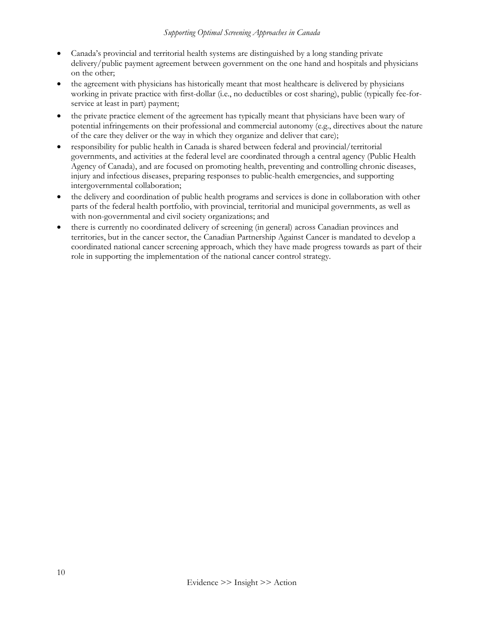## *Supporting Optimal Screening Approaches in Canada*

- Canada's provincial and territorial health systems are distinguished by a long standing private delivery/public payment agreement between government on the one hand and hospitals and physicians on the other;
- the agreement with physicians has historically meant that most healthcare is delivered by physicians working in private practice with first-dollar (i.e., no deductibles or cost sharing), public (typically fee-forservice at least in part) payment;
- the private practice element of the agreement has typically meant that physicians have been wary of potential infringements on their professional and commercial autonomy (e.g., directives about the nature of the care they deliver or the way in which they organize and deliver that care);
- responsibility for public health in Canada is shared between federal and provincial/territorial governments, and activities at the federal level are coordinated through a central agency (Public Health Agency of Canada), and are focused on promoting health, preventing and controlling chronic diseases, injury and infectious diseases, preparing responses to public-health emergencies, and supporting intergovernmental collaboration;
- the delivery and coordination of public health programs and services is done in collaboration with other parts of the federal health portfolio, with provincial, territorial and municipal governments, as well as with non-governmental and civil society organizations; and
- there is currently no coordinated delivery of screening (in general) across Canadian provinces and territories, but in the cancer sector, the Canadian Partnership Against Cancer is mandated to develop a coordinated national cancer screening approach, which they have made progress towards as part of their role in supporting the implementation of the national cancer control strategy.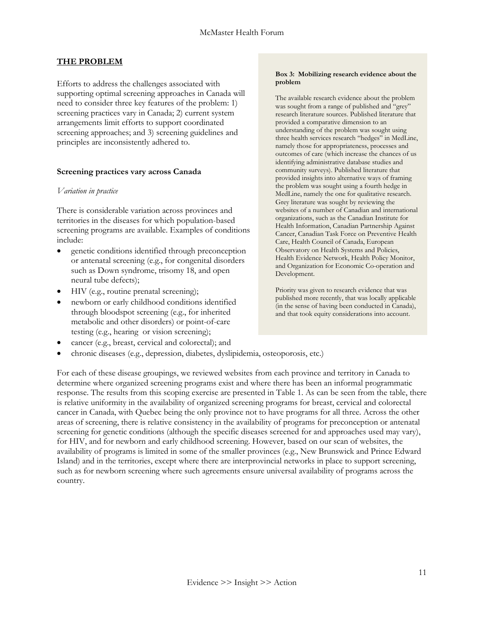### <span id="page-11-0"></span>**THE PROBLEM**

Efforts to address the challenges associated with supporting optimal screening approaches in Canada will need to consider three key features of the problem: 1) screening practices vary in Canada; 2) current system arrangements limit efforts to support coordinated screening approaches; and 3) screening guidelines and principles are inconsistently adhered to.

#### <span id="page-11-1"></span>**Screening practices vary across Canada**

#### *Variation in practice*

There is considerable variation across provinces and territories in the diseases for which population-based screening programs are available. Examples of conditions include:

- genetic conditions identified through preconception or antenatal screening (e.g., for congenital disorders such as Down syndrome, trisomy 18, and open neural tube defects);
- HIV (e.g., routine prenatal screening);
- newborn or early childhood conditions identified through bloodspot screening (e.g., for inherited metabolic and other disorders) or point-of-care testing (e.g., hearing or vision screening);
- cancer (e.g., breast, cervical and colorectal); and
- chronic diseases (e.g., depression, diabetes, dyslipidemia, osteoporosis, etc.)

#### **Box 3: Mobilizing research evidence about the problem**

The available research evidence about the problem was sought from a range of published and "grey" research literature sources. Published literature that provided a comparative dimension to an understanding of the problem was sought using three health services research "hedges" in MedLine, namely those for appropriateness, processes and outcomes of care (which increase the chances of us identifying administrative database studies and community surveys). Published literature that provided insights into alternative ways of framing the problem was sought using a fourth hedge in MedLine, namely the one for qualitative research. Grey literature was sought by reviewing the websites of a number of Canadian and international organizations, such as the Canadian Institute for Health Information, Canadian Partnership Against Cancer, Canadian Task Force on Preventive Health Care, Health Council of Canada, European Observatory on Health Systems and Policies, Health Evidence Network, Health Policy Monitor, and Organization for Economic Co-operation and Development.

Priority was given to research evidence that was published more recently, that was locally applicable (in the sense of having been conducted in Canada), and that took equity considerations into account.

For each of these disease groupings, we reviewed websites from each province and territory in Canada to determine where organized screening programs exist and where there has been an informal programmatic response. The results from this scoping exercise are presented in Table 1. As can be seen from the table, there is relative uniformity in the availability of organized screening programs for breast, cervical and colorectal cancer in Canada, with Quebec being the only province not to have programs for all three. Across the other areas of screening, there is relative consistency in the availability of programs for preconception or antenatal screening for genetic conditions (although the specific diseases screened for and approaches used may vary), for HIV, and for newborn and early childhood screening. However, based on our scan of websites, the availability of programs is limited in some of the smaller provinces (e.g., New Brunswick and Prince Edward Island) and in the territories, except where there are interprovincial networks in place to support screening, such as for newborn screening where such agreements ensure universal availability of programs across the country.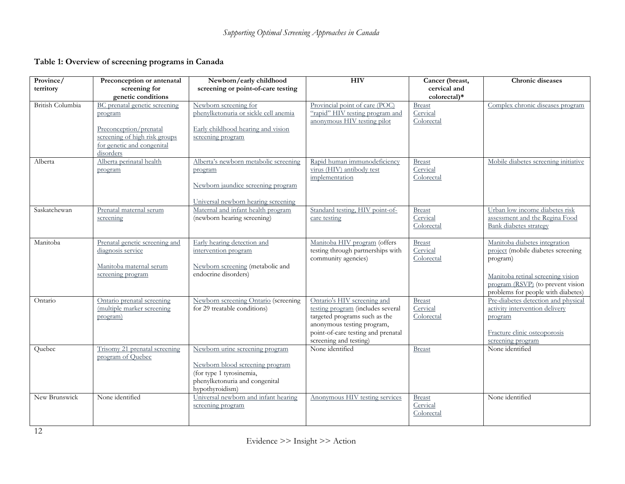## **Table 1: Overview of screening programs in Canada**

| cervical and<br>screening for<br>territory<br>genetic conditions<br>colorectal)*<br>British Columbia<br>BC prenatal genetic screening<br>Newborn screening for<br>Provincial point of care (POC)<br>Complex chronic diseases program<br><b>Breast</b><br>phenylketonuria or sickle cell anemia<br>"rapid" HIV testing program and<br>Cervical<br>program<br>anonymous HIV testing pilot<br>Colorectal<br>Early childhood hearing and vision<br>Preconception/prenatal<br>screening of high risk groups<br>screening program<br>for genetic and congenital<br>disorders<br>Alberta perinatal health<br>Rapid human immunodeficiency<br>Alberta's newborn metabolic screening<br>Mobile diabetes screening initiative<br>Alberta<br><b>Breast</b><br>virus (HIV) antibody test<br>Cervical<br>program<br>program<br>implementation<br>Colorectal<br>Newborn jaundice screening program | Province/ | Preconception or antenatal | Newborn/early childhood             | <b>HIV</b> | Cancer (breast, | <b>Chronic diseases</b> |
|--------------------------------------------------------------------------------------------------------------------------------------------------------------------------------------------------------------------------------------------------------------------------------------------------------------------------------------------------------------------------------------------------------------------------------------------------------------------------------------------------------------------------------------------------------------------------------------------------------------------------------------------------------------------------------------------------------------------------------------------------------------------------------------------------------------------------------------------------------------------------------------|-----------|----------------------------|-------------------------------------|------------|-----------------|-------------------------|
|                                                                                                                                                                                                                                                                                                                                                                                                                                                                                                                                                                                                                                                                                                                                                                                                                                                                                      |           |                            | screening or point-of-care testing  |            |                 |                         |
|                                                                                                                                                                                                                                                                                                                                                                                                                                                                                                                                                                                                                                                                                                                                                                                                                                                                                      |           |                            |                                     |            |                 |                         |
|                                                                                                                                                                                                                                                                                                                                                                                                                                                                                                                                                                                                                                                                                                                                                                                                                                                                                      |           |                            |                                     |            |                 |                         |
|                                                                                                                                                                                                                                                                                                                                                                                                                                                                                                                                                                                                                                                                                                                                                                                                                                                                                      |           |                            |                                     |            |                 |                         |
|                                                                                                                                                                                                                                                                                                                                                                                                                                                                                                                                                                                                                                                                                                                                                                                                                                                                                      |           |                            |                                     |            |                 |                         |
|                                                                                                                                                                                                                                                                                                                                                                                                                                                                                                                                                                                                                                                                                                                                                                                                                                                                                      |           |                            |                                     |            |                 |                         |
|                                                                                                                                                                                                                                                                                                                                                                                                                                                                                                                                                                                                                                                                                                                                                                                                                                                                                      |           |                            |                                     |            |                 |                         |
|                                                                                                                                                                                                                                                                                                                                                                                                                                                                                                                                                                                                                                                                                                                                                                                                                                                                                      |           |                            |                                     |            |                 |                         |
|                                                                                                                                                                                                                                                                                                                                                                                                                                                                                                                                                                                                                                                                                                                                                                                                                                                                                      |           |                            |                                     |            |                 |                         |
|                                                                                                                                                                                                                                                                                                                                                                                                                                                                                                                                                                                                                                                                                                                                                                                                                                                                                      |           |                            |                                     |            |                 |                         |
|                                                                                                                                                                                                                                                                                                                                                                                                                                                                                                                                                                                                                                                                                                                                                                                                                                                                                      |           |                            |                                     |            |                 |                         |
|                                                                                                                                                                                                                                                                                                                                                                                                                                                                                                                                                                                                                                                                                                                                                                                                                                                                                      |           |                            |                                     |            |                 |                         |
|                                                                                                                                                                                                                                                                                                                                                                                                                                                                                                                                                                                                                                                                                                                                                                                                                                                                                      |           |                            |                                     |            |                 |                         |
|                                                                                                                                                                                                                                                                                                                                                                                                                                                                                                                                                                                                                                                                                                                                                                                                                                                                                      |           |                            | Universal newborn hearing screening |            |                 |                         |
| Maternal and infant health program<br>Standard testing, HIV point-of-<br>Urban low income diabetes risk<br>Saskatchewan<br>Prenatal maternal serum<br><b>Breast</b>                                                                                                                                                                                                                                                                                                                                                                                                                                                                                                                                                                                                                                                                                                                  |           |                            |                                     |            |                 |                         |
| Cervical<br>(newborn hearing screening)<br>assessment and the Regina Food<br>care testing<br>screening                                                                                                                                                                                                                                                                                                                                                                                                                                                                                                                                                                                                                                                                                                                                                                               |           |                            |                                     |            |                 |                         |
| <b>Bank</b> diabetes strategy<br>Colorectal                                                                                                                                                                                                                                                                                                                                                                                                                                                                                                                                                                                                                                                                                                                                                                                                                                          |           |                            |                                     |            |                 |                         |
|                                                                                                                                                                                                                                                                                                                                                                                                                                                                                                                                                                                                                                                                                                                                                                                                                                                                                      |           |                            |                                     |            |                 |                         |
| Manitoba<br>Early hearing detection and<br>Manitoba HIV program (offers<br>Manitoba diabetes integration<br>Prenatal genetic screening and<br><b>Breast</b>                                                                                                                                                                                                                                                                                                                                                                                                                                                                                                                                                                                                                                                                                                                          |           |                            |                                     |            |                 |                         |
| testing through partnerships with<br>Cervical<br>project (mobile diabetes screening<br>diagnosis service<br>intervention program<br>community agencies)                                                                                                                                                                                                                                                                                                                                                                                                                                                                                                                                                                                                                                                                                                                              |           |                            |                                     |            |                 |                         |
| Colorectal<br>program)<br>Manitoba maternal serum<br>Newborn screening (metabolic and                                                                                                                                                                                                                                                                                                                                                                                                                                                                                                                                                                                                                                                                                                                                                                                                |           |                            |                                     |            |                 |                         |
| endocrine disorders)<br>screening program                                                                                                                                                                                                                                                                                                                                                                                                                                                                                                                                                                                                                                                                                                                                                                                                                                            |           |                            |                                     |            |                 |                         |
| Manitoba retinal screening vision<br>program (RSVP) (to prevent vision                                                                                                                                                                                                                                                                                                                                                                                                                                                                                                                                                                                                                                                                                                                                                                                                               |           |                            |                                     |            |                 |                         |
| problems for people with diabetes)                                                                                                                                                                                                                                                                                                                                                                                                                                                                                                                                                                                                                                                                                                                                                                                                                                                   |           |                            |                                     |            |                 |                         |
| Ontario's HIV screening and<br>Pre-diabetes detection and physical<br>Newborn screening Ontario (screening<br>Ontario prenatal screening<br><b>Breast</b><br>Ontario                                                                                                                                                                                                                                                                                                                                                                                                                                                                                                                                                                                                                                                                                                                 |           |                            |                                     |            |                 |                         |
| Cervical<br>activity intervention delivery<br>(multiple marker screening<br>for 29 treatable conditions)<br>testing program (includes several                                                                                                                                                                                                                                                                                                                                                                                                                                                                                                                                                                                                                                                                                                                                        |           |                            |                                     |            |                 |                         |
| targeted programs such as the<br>Colorectal<br>program)<br>program                                                                                                                                                                                                                                                                                                                                                                                                                                                                                                                                                                                                                                                                                                                                                                                                                   |           |                            |                                     |            |                 |                         |
| anonymous testing program,                                                                                                                                                                                                                                                                                                                                                                                                                                                                                                                                                                                                                                                                                                                                                                                                                                                           |           |                            |                                     |            |                 |                         |
| point-of-care testing and prenatal<br>Fracture clinic osteoporosis                                                                                                                                                                                                                                                                                                                                                                                                                                                                                                                                                                                                                                                                                                                                                                                                                   |           |                            |                                     |            |                 |                         |
| screening and testing)<br>screening program                                                                                                                                                                                                                                                                                                                                                                                                                                                                                                                                                                                                                                                                                                                                                                                                                                          |           |                            |                                     |            |                 |                         |
| Trisomy 21 prenatal screening<br>None identified<br>None identified<br>Newborn urine screening program<br>Quebec<br><b>Breast</b>                                                                                                                                                                                                                                                                                                                                                                                                                                                                                                                                                                                                                                                                                                                                                    |           |                            |                                     |            |                 |                         |
| program of Ouebec                                                                                                                                                                                                                                                                                                                                                                                                                                                                                                                                                                                                                                                                                                                                                                                                                                                                    |           |                            |                                     |            |                 |                         |
| Newborn blood screening program                                                                                                                                                                                                                                                                                                                                                                                                                                                                                                                                                                                                                                                                                                                                                                                                                                                      |           |                            |                                     |            |                 |                         |
| (for type 1 tyrosinemia,                                                                                                                                                                                                                                                                                                                                                                                                                                                                                                                                                                                                                                                                                                                                                                                                                                                             |           |                            |                                     |            |                 |                         |
| phenylketonuria and congenital                                                                                                                                                                                                                                                                                                                                                                                                                                                                                                                                                                                                                                                                                                                                                                                                                                                       |           |                            |                                     |            |                 |                         |
| hypothyroidism)<br>Universal newborn and infant hearing<br>None identified<br>New Brunswick<br>Anonymous HIV testing services<br>None identified                                                                                                                                                                                                                                                                                                                                                                                                                                                                                                                                                                                                                                                                                                                                     |           |                            |                                     |            |                 |                         |
| <b>Breast</b><br>Cervical<br>screening program                                                                                                                                                                                                                                                                                                                                                                                                                                                                                                                                                                                                                                                                                                                                                                                                                                       |           |                            |                                     |            |                 |                         |
| Colorectal                                                                                                                                                                                                                                                                                                                                                                                                                                                                                                                                                                                                                                                                                                                                                                                                                                                                           |           |                            |                                     |            |                 |                         |
|                                                                                                                                                                                                                                                                                                                                                                                                                                                                                                                                                                                                                                                                                                                                                                                                                                                                                      |           |                            |                                     |            |                 |                         |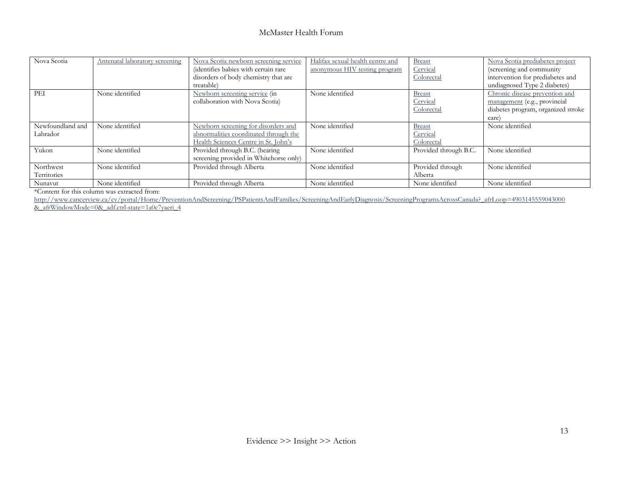| Nova Scotia      | Antenatal laboratory screening | Nova Scotia newborn screening service  | Halifax sexual health centre and | <b>Breast</b>         | Nova Scotia prediabetes project    |
|------------------|--------------------------------|----------------------------------------|----------------------------------|-----------------------|------------------------------------|
|                  |                                | (identifies babies with certain rare   | anonymous HIV testing program    | Cervical              | (screening and community           |
|                  |                                | disorders of body chemistry that are   |                                  | Colorectal            | intervention for prediabetes and   |
|                  |                                | treatable)                             |                                  |                       | undiagnosed Type 2 diabetes)       |
| PEI              | None identified                | Newborn screening service (in          | None identified                  | <b>Breast</b>         | Chronic disease prevention and     |
|                  |                                | collaboration with Nova Scotia)        |                                  | Cervical              | management (e.g., provincial       |
|                  |                                |                                        |                                  | Colorectal            | diabetes program, organized stroke |
|                  |                                |                                        |                                  |                       | care)                              |
| Newfoundland and | None identified                | Newborn screening for disorders and    | None identified                  | <b>Breast</b>         | None identified                    |
| Labrador         |                                | abnormalities coordinated through the  |                                  | Cervical              |                                    |
|                  |                                | Health Sciences Centre in St. John's   |                                  | Colorectal            |                                    |
| Yukon            | None identified                | Provided through B.C. (hearing         | None identified                  | Provided through B.C. | None identified                    |
|                  |                                | screening provided in Whitehorse only) |                                  |                       |                                    |
| Northwest        | None identified                | Provided through Alberta               | None identified                  | Provided through      | None identified                    |
| Territories      |                                |                                        |                                  | Alberta               |                                    |
| Nunavut          | None identified                | Provided through Alberta               | None identified                  | None identified       | None identified                    |

\*Content for this column was extracted from:

[http://www.cancerview.ca/cv/portal/Home/PreventionAndScreening/PSPatientsAndFamilies/ScreeningAndEarlyDiagnosis/ScreeningProgramsAcrossCanada?\\_afrLoop=4903145559043000](http://www.cancerview.ca/cv/portal/Home/PreventionAndScreening/PSPatientsAndFamilies/ScreeningAndEarlyDiagnosis/ScreeningProgramsAcrossCanada?_afrLoop=4903145559043000&_afrWindowMode=0&_adf.ctrl-state=1a0c7yaeri_4) [&\\_afrWindowMode=0&\\_adf.ctrl-state=1a0c7yaeri\\_4](http://www.cancerview.ca/cv/portal/Home/PreventionAndScreening/PSPatientsAndFamilies/ScreeningAndEarlyDiagnosis/ScreeningProgramsAcrossCanada?_afrLoop=4903145559043000&_afrWindowMode=0&_adf.ctrl-state=1a0c7yaeri_4)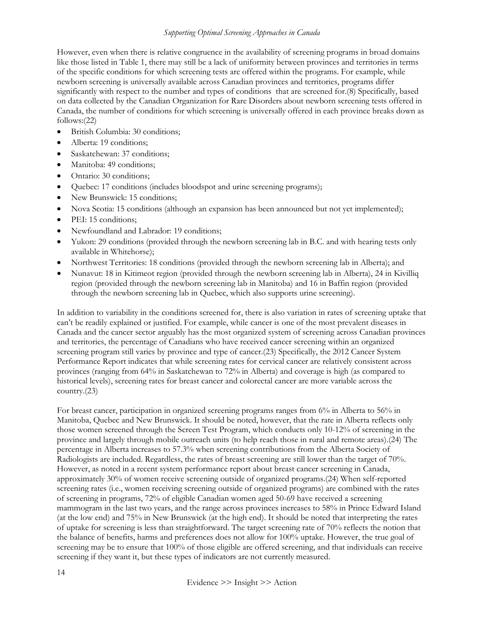### *Supporting Optimal Screening Approaches in Canada*

However, even when there is relative congruence in the availability of screening programs in broad domains like those listed in Table 1, there may still be a lack of uniformity between provinces and territories in terms of the specific conditions for which screening tests are offered within the programs. For example, while newborn screening is universally available across Canadian provinces and territories, programs differ significantly with respect to the number and types of conditions that are screened for.(8) Specifically, based on data collected by the Canadian Organization for Rare Disorders about newborn screening tests offered in Canada, the number of conditions for which screening is universally offered in each province breaks down as follows:(22)

- British Columbia: 30 conditions:
- Alberta: 19 conditions;
- Saskatchewan: 37 conditions;
- Manitoba: 49 conditions;
- Ontario: 30 conditions;
- Quebec: 17 conditions (includes bloodspot and urine screening programs);
- New Brunswick: 15 conditions;
- Nova Scotia: 15 conditions (although an expansion has been announced but not yet implemented);
- PEI: 15 conditions;
- Newfoundland and Labrador: 19 conditions;
- Yukon: 29 conditions (provided through the newborn screening lab in B.C. and with hearing tests only available in Whitehorse);
- Northwest Territories: 18 conditions (provided through the newborn screening lab in Alberta); and
- Nunavut: 18 in Kitimeot region (provided through the newborn screening lab in Alberta), 24 in Kivilliq region (provided through the newborn screening lab in Manitoba) and 16 in Baffin region (provided through the newborn screening lab in Quebec, which also supports urine screening).

In addition to variability in the conditions screened for, there is also variation in rates of screening uptake that can't be readily explained or justified. For example, while cancer is one of the most prevalent diseases in Canada and the cancer sector arguably has the most organized system of screening across Canadian provinces and territories, the percentage of Canadians who have received cancer screening within an organized screening program still varies by province and type of cancer.(23) Specifically, the 2012 Cancer System Performance Report indicates that while screening rates for cervical cancer are relatively consistent across provinces (ranging from 64% in Saskatchewan to 72% in Alberta) and coverage is high (as compared to historical levels), screening rates for breast cancer and colorectal cancer are more variable across the country.(23)

For breast cancer, participation in organized screening programs ranges from 6% in Alberta to 56% in Manitoba, Quebec and New Brunswick. It should be noted, however, that the rate in Alberta reflects only those women screened through the Screen Test Program, which conducts only 10-12% of screening in the province and largely through mobile outreach units (to help reach those in rural and remote areas).(24) The percentage in Alberta increases to 57.3% when screening contributions from the Alberta Society of Radiologists are included. Regardless, the rates of breast screening are still lower than the target of 70%. However, as noted in a recent system performance report about breast cancer screening in Canada, approximately 30% of women receive screening outside of organized programs.(24) When self-reported screening rates (i.e., women receiving screening outside of organized programs) are combined with the rates of screening in programs, 72% of eligible Canadian women aged 50-69 have received a screening mammogram in the last two years, and the range across provinces increases to 58% in Prince Edward Island (at the low end) and 75% in New Brunswick (at the high end). It should be noted that interpreting the rates of uptake for screening is less than straightforward. The target screening rate of 70% reflects the notion that the balance of benefits, harms and preferences does not allow for 100% uptake. However, the true goal of screening may be to ensure that 100% of those eligible are offered screening, and that individuals can receive screening if they want it, but these types of indicators are not currently measured.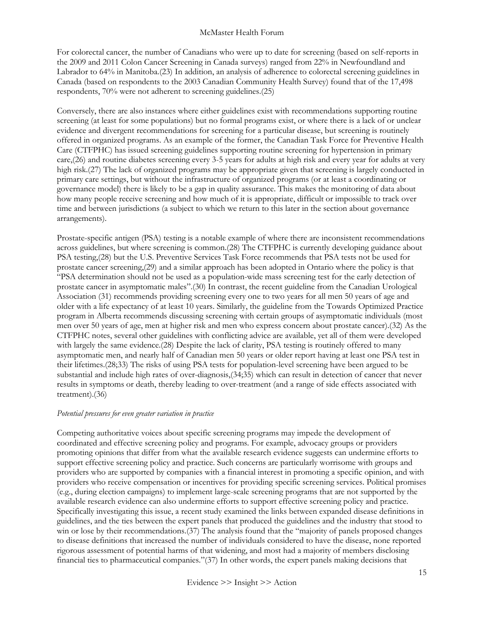For colorectal cancer, the number of Canadians who were up to date for screening (based on self-reports in the 2009 and 2011 Colon Cancer Screening in Canada surveys) ranged from 22% in Newfoundland and Labrador to 64% in Manitoba.(23) In addition, an analysis of adherence to colorectal screening guidelines in Canada (based on respondents to the 2003 Canadian Community Health Survey) found that of the 17,498 respondents, 70% were not adherent to screening guidelines.(25)

Conversely, there are also instances where either guidelines exist with recommendations supporting routine screening (at least for some populations) but no formal programs exist, or where there is a lack of or unclear evidence and divergent recommendations for screening for a particular disease, but screening is routinely offered in organized programs. As an example of the former, the Canadian Task Force for Preventive Health Care (CTFPHC) has issued screening guidelines supporting routine screening for hypertension in primary care,(26) and routine diabetes screening every 3-5 years for adults at high risk and every year for adults at very high risk.(27) The lack of organized programs may be appropriate given that screening is largely conducted in primary care settings, but without the infrastructure of organized programs (or at least a coordinating or governance model) there is likely to be a gap in quality assurance. This makes the monitoring of data about how many people receive screening and how much of it is appropriate, difficult or impossible to track over time and between jurisdictions (a subject to which we return to this later in the section about governance arrangements).

Prostate-specific antigen (PSA) testing is a notable example of where there are inconsistent recommendations across guidelines, but where screening is common.(28) The CTFPHC is currently developing guidance about PSA testing,(28) but the U.S. Preventive Services Task Force recommends that PSA tests not be used for prostate cancer screening,(29) and a similar approach has been adopted in Ontario where the policy is that "PSA determination should not be used as a population-wide mass screening test for the early detection of prostate cancer in asymptomatic males".(30) In contrast, the recent guideline from the Canadian Urological Association (31) recommends providing screening every one to two years for all men 50 years of age and older with a life expectancy of at least 10 years. Similarly, the guideline from the Towards Optimized Practice program in Alberta recommends discussing screening with certain groups of asymptomatic individuals (most men over 50 years of age, men at higher risk and men who express concern about prostate cancer).(32) As the CTFPHC notes, several other guidelines with conflicting advice are available, yet all of them were developed with largely the same evidence.(28) Despite the lack of clarity, PSA testing is routinely offered to many asymptomatic men, and nearly half of Canadian men 50 years or older report having at least one PSA test in their lifetimes.(28;33) The risks of using PSA tests for population-level screening have been argued to be substantial and include high rates of over-diagnosis,(34;35) which can result in detection of cancer that never results in symptoms or death, thereby leading to over-treatment (and a range of side effects associated with treatment).(36)

### *Potential pressures for even greater variation in practice*

Competing authoritative voices about specific screening programs may impede the development of coordinated and effective screening policy and programs. For example, advocacy groups or providers promoting opinions that differ from what the available research evidence suggests can undermine efforts to support effective screening policy and practice. Such concerns are particularly worrisome with groups and providers who are supported by companies with a financial interest in promoting a specific opinion, and with providers who receive compensation or incentives for providing specific screening services. Political promises (e.g., during election campaigns) to implement large-scale screening programs that are not supported by the available research evidence can also undermine efforts to support effective screening policy and practice. Specifically investigating this issue, a recent study examined the links between expanded disease definitions in guidelines, and the ties between the expert panels that produced the guidelines and the industry that stood to win or lose by their recommendations.(37) The analysis found that the "majority of panels proposed changes to disease definitions that increased the number of individuals considered to have the disease, none reported rigorous assessment of potential harms of that widening, and most had a majority of members disclosing financial ties to pharmaceutical companies."(37) In other words, the expert panels making decisions that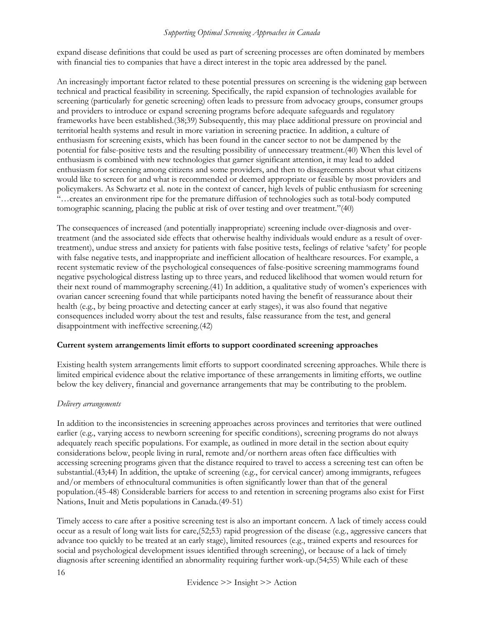### *Supporting Optimal Screening Approaches in Canada*

expand disease definitions that could be used as part of screening processes are often dominated by members with financial ties to companies that have a direct interest in the topic area addressed by the panel.

An increasingly important factor related to these potential pressures on screening is the widening gap between technical and practical feasibility in screening. Specifically, the rapid expansion of technologies available for screening (particularly for genetic screening) often leads to pressure from advocacy groups, consumer groups and providers to introduce or expand screening programs before adequate safeguards and regulatory frameworks have been established.(38;39) Subsequently, this may place additional pressure on provincial and territorial health systems and result in more variation in screening practice. In addition, a culture of enthusiasm for screening exists, which has been found in the cancer sector to not be dampened by the potential for false-positive tests and the resulting possibility of unnecessary treatment.(40) When this level of enthusiasm is combined with new technologies that garner significant attention, it may lead to added enthusiasm for screening among citizens and some providers, and then to disagreements about what citizens would like to screen for and what is recommended or deemed appropriate or feasible by most providers and policymakers. As Schwartz et al. note in the context of cancer, high levels of public enthusiasm for screening "…creates an environment ripe for the premature diffusion of technologies such as total-body computed tomographic scanning, placing the public at risk of over testing and over treatment."(40)

The consequences of increased (and potentially inappropriate) screening include over-diagnosis and overtreatment (and the associated side effects that otherwise healthy individuals would endure as a result of overtreatment), undue stress and anxiety for patients with false positive tests, feelings of relative 'safety' for people with false negative tests, and inappropriate and inefficient allocation of healthcare resources. For example, a recent systematic review of the psychological consequences of false-positive screening mammograms found negative psychological distress lasting up to three years, and reduced likelihood that women would return for their next round of mammography screening.(41) In addition, a qualitative study of women's experiences with ovarian cancer screening found that while participants noted having the benefit of reassurance about their health (e.g., by being proactive and detecting cancer at early stages), it was also found that negative consequences included worry about the test and results, false reassurance from the test, and general disappointment with ineffective screening.(42)

### <span id="page-16-0"></span>**Current system arrangements limit efforts to support coordinated screening approaches**

Existing health system arrangements limit efforts to support coordinated screening approaches. While there is limited empirical evidence about the relative importance of these arrangements in limiting efforts, we outline below the key delivery, financial and governance arrangements that may be contributing to the problem.

### *Delivery arrangements*

In addition to the inconsistencies in screening approaches across provinces and territories that were outlined earlier (e.g., varying access to newborn screening for specific conditions), screening programs do not always adequately reach specific populations. For example, as outlined in more detail in the section about equity considerations below, people living in rural, remote and/or northern areas often face difficulties with accessing screening programs given that the distance required to travel to access a screening test can often be substantial.(43;44) In addition, the uptake of screening (e.g., for cervical cancer) among immigrants, refugees and/or members of ethnocultural communities is often significantly lower than that of the general population.(45-48) Considerable barriers for access to and retention in screening programs also exist for First Nations, Inuit and Metis populations in Canada.(49-51)

Timely access to care after a positive screening test is also an important concern. A lack of timely access could occur as a result of long wait lists for care,(52;53) rapid progression of the disease (e.g., aggressive cancers that advance too quickly to be treated at an early stage), limited resources (e.g., trained experts and resources for social and psychological development issues identified through screening), or because of a lack of timely diagnosis after screening identified an abnormality requiring further work-up.(54;55) While each of these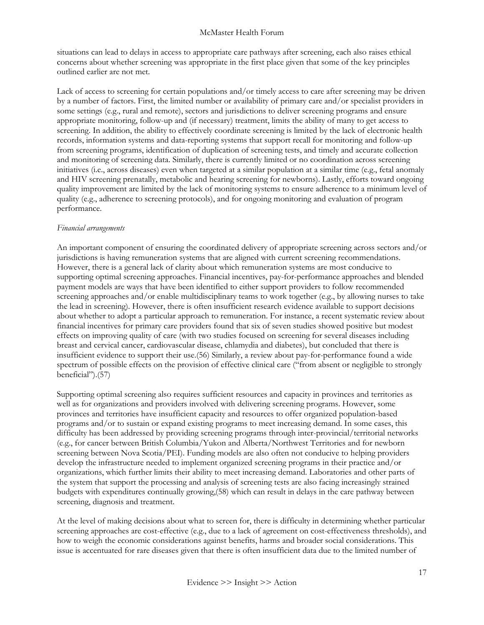situations can lead to delays in access to appropriate care pathways after screening, each also raises ethical concerns about whether screening was appropriate in the first place given that some of the key principles outlined earlier are not met.

Lack of access to screening for certain populations and/or timely access to care after screening may be driven by a number of factors. First, the limited number or availability of primary care and/or specialist providers in some settings (e.g., rural and remote), sectors and jurisdictions to deliver screening programs and ensure appropriate monitoring, follow-up and (if necessary) treatment, limits the ability of many to get access to screening. In addition, the ability to effectively coordinate screening is limited by the lack of electronic health records, information systems and data-reporting systems that support recall for monitoring and follow-up from screening programs, identification of duplication of screening tests, and timely and accurate collection and monitoring of screening data. Similarly, there is currently limited or no coordination across screening initiatives (i.e., across diseases) even when targeted at a similar population at a similar time (e.g., fetal anomaly and HIV screening prenatally, metabolic and hearing screening for newborns). Lastly, efforts toward ongoing quality improvement are limited by the lack of monitoring systems to ensure adherence to a minimum level of quality (e.g., adherence to screening protocols), and for ongoing monitoring and evaluation of program performance.

#### *Financial arrangements*

An important component of ensuring the coordinated delivery of appropriate screening across sectors and/or jurisdictions is having remuneration systems that are aligned with current screening recommendations. However, there is a general lack of clarity about which remuneration systems are most conducive to supporting optimal screening approaches. Financial incentives, pay-for-performance approaches and blended payment models are ways that have been identified to either support providers to follow recommended screening approaches and/or enable multidisciplinary teams to work together (e.g., by allowing nurses to take the lead in screening). However, there is often insufficient research evidence available to support decisions about whether to adopt a particular approach to remuneration. For instance, a recent systematic review about financial incentives for primary care providers found that six of seven studies showed positive but modest effects on improving quality of care (with two studies focused on screening for several diseases including breast and cervical cancer, cardiovascular disease, chlamydia and diabetes), but concluded that there is insufficient evidence to support their use.(56) Similarly, a review about pay-for-performance found a wide spectrum of possible effects on the provision of effective clinical care ("from absent or negligible to strongly beneficial").(57)

Supporting optimal screening also requires sufficient resources and capacity in provinces and territories as well as for organizations and providers involved with delivering screening programs. However, some provinces and territories have insufficient capacity and resources to offer organized population-based programs and/or to sustain or expand existing programs to meet increasing demand. In some cases, this difficulty has been addressed by providing screening programs through inter-provincial/territorial networks (e.g., for cancer between British Columbia/Yukon and Alberta/Northwest Territories and for newborn screening between Nova Scotia/PEI). Funding models are also often not conducive to helping providers develop the infrastructure needed to implement organized screening programs in their practice and/or organizations, which further limits their ability to meet increasing demand. Laboratories and other parts of the system that support the processing and analysis of screening tests are also facing increasingly strained budgets with expenditures continually growing,(58) which can result in delays in the care pathway between screening, diagnosis and treatment.

At the level of making decisions about what to screen for, there is difficulty in determining whether particular screening approaches are cost-effective (e.g., due to a lack of agreement on cost-effectiveness thresholds), and how to weigh the economic considerations against benefits, harms and broader social considerations. This issue is accentuated for rare diseases given that there is often insufficient data due to the limited number of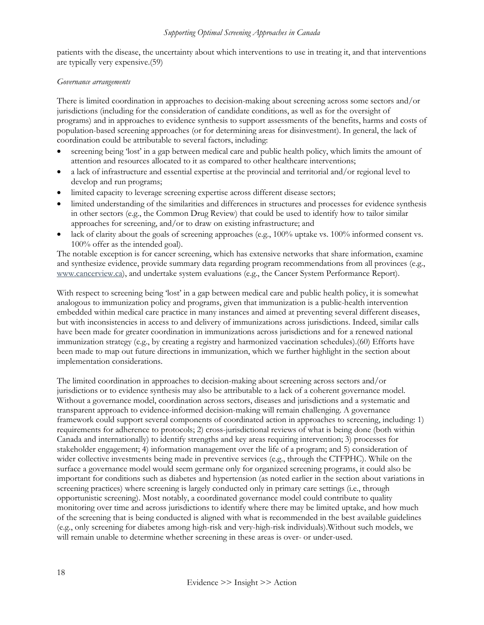patients with the disease, the uncertainty about which interventions to use in treating it, and that interventions are typically very expensive.(59)

#### *Governance arrangements*

There is limited coordination in approaches to decision-making about screening across some sectors and/or jurisdictions (including for the consideration of candidate conditions, as well as for the oversight of programs) and in approaches to evidence synthesis to support assessments of the benefits, harms and costs of population-based screening approaches (or for determining areas for disinvestment). In general, the lack of coordination could be attributable to several factors, including:

- screening being 'lost' in a gap between medical care and public health policy, which limits the amount of attention and resources allocated to it as compared to other healthcare interventions;
- a lack of infrastructure and essential expertise at the provincial and territorial and/or regional level to develop and run programs;
- limited capacity to leverage screening expertise across different disease sectors;
- limited understanding of the similarities and differences in structures and processes for evidence synthesis in other sectors (e.g., the Common Drug Review) that could be used to identify how to tailor similar approaches for screening, and/or to draw on existing infrastructure; and
- lack of clarity about the goals of screening approaches (e.g., 100% uptake vs. 100% informed consent vs. 100% offer as the intended goal).

The notable exception is for cancer screening, which has extensive networks that share information, examine and synthesize evidence, provide summary data regarding program recommendations from all provinces (e.g., [www.cancerview.ca\)](http://www.cancerview.ca/), and undertake system evaluations (e.g., the Cancer System Performance Report).

With respect to screening being 'lost' in a gap between medical care and public health policy, it is somewhat analogous to immunization policy and programs, given that immunization is a public-health intervention embedded within medical care practice in many instances and aimed at preventing several different diseases, but with inconsistencies in access to and delivery of immunizations across jurisdictions. Indeed, similar calls have been made for greater coordination in immunizations across jurisdictions and for a renewed national immunization strategy (e.g., by creating a registry and harmonized vaccination schedules).(60) Efforts have been made to map out future directions in immunization, which we further highlight in the section about implementation considerations.

The limited coordination in approaches to decision-making about screening across sectors and/or jurisdictions or to evidence synthesis may also be attributable to a lack of a coherent governance model. Without a governance model, coordination across sectors, diseases and jurisdictions and a systematic and transparent approach to evidence-informed decision-making will remain challenging. A governance framework could support several components of coordinated action in approaches to screening, including: 1) requirements for adherence to protocols; 2) cross-jurisdictional reviews of what is being done (both within Canada and internationally) to identify strengths and key areas requiring intervention; 3) processes for stakeholder engagement; 4) information management over the life of a program; and 5) consideration of wider collective investments being made in preventive services (e.g., through the CTFPHC). While on the surface a governance model would seem germane only for organized screening programs, it could also be important for conditions such as diabetes and hypertension (as noted earlier in the section about variations in screening practices) where screening is largely conducted only in primary care settings (i.e., through opportunistic screening). Most notably, a coordinated governance model could contribute to quality monitoring over time and across jurisdictions to identify where there may be limited uptake, and how much of the screening that is being conducted is aligned with what is recommended in the best available guidelines (e.g., only screening for diabetes among high-risk and very-high-risk individuals).Without such models, we will remain unable to determine whether screening in these areas is over- or under-used.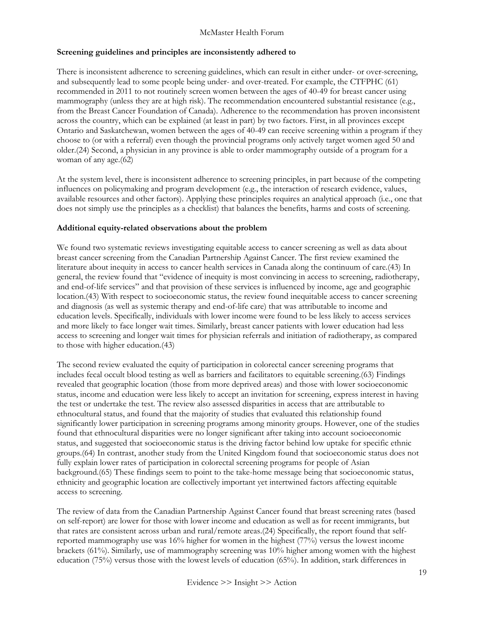## <span id="page-19-0"></span>**Screening guidelines and principles are inconsistently adhered to**

There is inconsistent adherence to screening guidelines, which can result in either under- or over-screening, and subsequently lead to some people being under- and over-treated. For example, the CTFPHC (61) recommended in 2011 to not routinely screen women between the ages of 40-49 for breast cancer using mammography (unless they are at high risk). The recommendation encountered substantial resistance (e.g., from the Breast Cancer Foundation of Canada). Adherence to the recommendation has proven inconsistent across the country, which can be explained (at least in part) by two factors. First, in all provinces except Ontario and Saskatchewan, women between the ages of 40-49 can receive screening within a program if they choose to (or with a referral) even though the provincial programs only actively target women aged 50 and older.(24) Second, a physician in any province is able to order mammography outside of a program for a woman of any age.(62)

At the system level, there is inconsistent adherence to screening principles, in part because of the competing influences on policymaking and program development (e.g., the interaction of research evidence, values, available resources and other factors). Applying these principles requires an analytical approach (i.e., one that does not simply use the principles as a checklist) that balances the benefits, harms and costs of screening.

## <span id="page-19-1"></span>**Additional equity-related observations about the problem**

We found two systematic reviews investigating equitable access to cancer screening as well as data about breast cancer screening from the Canadian Partnership Against Cancer. The first review examined the literature about inequity in access to cancer health services in Canada along the continuum of care.(43) In general, the review found that "evidence of inequity is most convincing in access to screening, radiotherapy, and end-of-life services" and that provision of these services is influenced by income, age and geographic location.(43) With respect to socioeconomic status, the review found inequitable access to cancer screening and diagnosis (as well as systemic therapy and end-of-life care) that was attributable to income and education levels. Specifically, individuals with lower income were found to be less likely to access services and more likely to face longer wait times. Similarly, breast cancer patients with lower education had less access to screening and longer wait times for physician referrals and initiation of radiotherapy, as compared to those with higher education.(43)

The second review evaluated the equity of participation in colorectal cancer screening programs that includes fecal occult blood testing as well as barriers and facilitators to equitable screening.(63) Findings revealed that geographic location (those from more deprived areas) and those with lower socioeconomic status, income and education were less likely to accept an invitation for screening, express interest in having the test or undertake the test. The review also assessed disparities in access that are attributable to ethnocultural status, and found that the majority of studies that evaluated this relationship found significantly lower participation in screening programs among minority groups. However, one of the studies found that ethnocultural disparities were no longer significant after taking into account socioeconomic status, and suggested that socioeconomic status is the driving factor behind low uptake for specific ethnic groups.(64) In contrast, another study from the United Kingdom found that socioeconomic status does not fully explain lower rates of participation in colorectal screening programs for people of Asian background.(65) These findings seem to point to the take-home message being that socioeconomic status, ethnicity and geographic location are collectively important yet intertwined factors affecting equitable access to screening.

The review of data from the Canadian Partnership Against Cancer found that breast screening rates (based on self-report) are lower for those with lower income and education as well as for recent immigrants, but that rates are consistent across urban and rural/remote areas.(24) Specifically, the report found that selfreported mammography use was 16% higher for women in the highest (77%) versus the lowest income brackets (61%). Similarly, use of mammography screening was 10% higher among women with the highest education (75%) versus those with the lowest levels of education (65%). In addition, stark differences in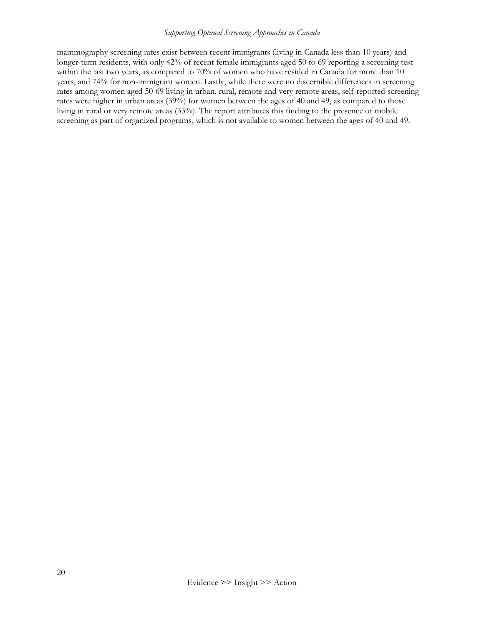## *Supporting Optimal Screening Approaches in Canada*

mammography screening rates exist between recent immigrants (living in Canada less than 10 years) and longer-term residents, with only 42% of recent female immigrants aged 50 to 69 reporting a screening test within the last two years, as compared to 70% of women who have resided in Canada for more than 10 years, and 74% for non-immigrant women. Lastly, while there were no discernible differences in screening rates among women aged 50-69 living in urban, rural, remote and very remote areas, self-reported screening rates were higher in urban areas (39%) for women between the ages of 40 and 49, as compared to those living in rural or very remote areas (33%). The report attributes this finding to the presence of mobile screening as part of organized programs, which is not available to women between the ages of 40 and 49.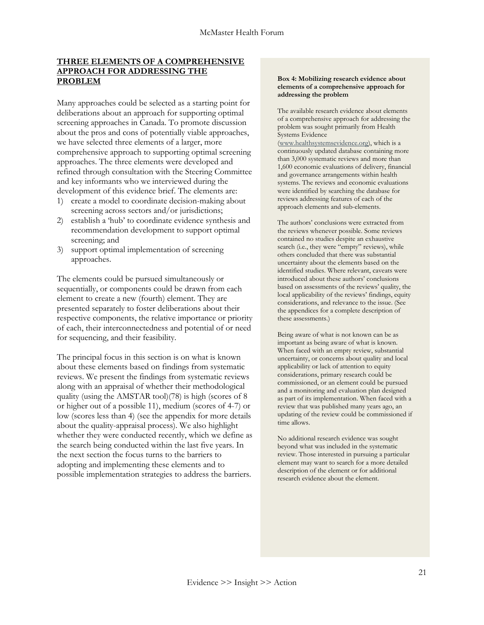### <span id="page-21-0"></span>**THREE ELEMENTS OF A COMPREHENSIVE APPROACH FOR ADDRESSING THE PROBLEM**

Many approaches could be selected as a starting point for deliberations about an approach for supporting optimal screening approaches in Canada. To promote discussion about the pros and cons of potentially viable approaches, we have selected three elements of a larger, more comprehensive approach to supporting optimal screening approaches. The three elements were developed and refined through consultation with the Steering Committee and key informants who we interviewed during the development of this evidence brief. The elements are:

- 1) create a model to coordinate decision-making about screening across sectors and/or jurisdictions;
- 2) establish a 'hub' to coordinate evidence synthesis and recommendation development to support optimal screening; and
- 3) support optimal implementation of screening approaches.

The elements could be pursued simultaneously or sequentially, or components could be drawn from each element to create a new (fourth) element. They are presented separately to foster deliberations about their respective components, the relative importance or priority of each, their interconnectedness and potential of or need for sequencing, and their feasibility.

The principal focus in this section is on what is known about these elements based on findings from systematic reviews. We present the findings from systematic reviews along with an appraisal of whether their methodological quality (using the AMSTAR tool)(78) is high (scores of 8 or higher out of a possible 11), medium (scores of 4-7) or low (scores less than 4) (see the appendix for more details about the quality-appraisal process). We also highlight whether they were conducted recently, which we define as the search being conducted within the last five years. In the next section the focus turns to the barriers to adopting and implementing these elements and to possible implementation strategies to address the barriers.

#### **Box 4: Mobilizing research evidence about elements of a comprehensive approach for addressing the problem**

The available research evidence about elements of a comprehensive approach for addressing the problem was sought primarily from Health Systems Evidence

[\(www.healthsystemsevidence.org\)](http://www.healthsystemsevidence.org/), which is a continuously updated database containing more than 3,000 systematic reviews and more than 1,600 economic evaluations of delivery, financial and governance arrangements within health systems. The reviews and economic evaluations were identified by searching the database for reviews addressing features of each of the approach elements and sub-elements.

The authors' conclusions were extracted from the reviews whenever possible. Some reviews contained no studies despite an exhaustive search (i.e., they were "empty" reviews), while others concluded that there was substantial uncertainty about the elements based on the identified studies. Where relevant, caveats were introduced about these authors' conclusions based on assessments of the reviews' quality, the local applicability of the reviews' findings, equity considerations, and relevance to the issue. (See the appendices for a complete description of these assessments.)

Being aware of what is not known can be as important as being aware of what is known. When faced with an empty review, substantial uncertainty, or concerns about quality and local applicability or lack of attention to equity considerations, primary research could be commissioned, or an element could be pursued and a monitoring and evaluation plan designed as part of its implementation. When faced with a review that was published many years ago, an updating of the review could be commissioned if time allows.

No additional research evidence was sought beyond what was included in the systematic review. Those interested in pursuing a particular element may want to search for a more detailed description of the element or for additional research evidence about the element.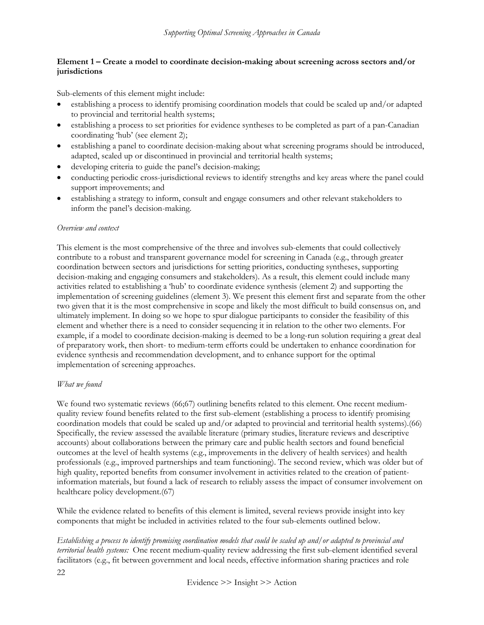## <span id="page-22-0"></span>**Element 1 – Create a model to coordinate decision-making about screening across sectors and/or jurisdictions**

Sub-elements of this element might include:

- establishing a process to identify promising coordination models that could be scaled up and/or adapted to provincial and territorial health systems;
- establishing a process to set priorities for evidence syntheses to be completed as part of a pan-Canadian coordinating 'hub' (see element 2);
- establishing a panel to coordinate decision-making about what screening programs should be introduced, adapted, scaled up or discontinued in provincial and territorial health systems;
- developing criteria to guide the panel's decision-making;
- conducting periodic cross-jurisdictional reviews to identify strengths and key areas where the panel could support improvements; and
- establishing a strategy to inform, consult and engage consumers and other relevant stakeholders to inform the panel's decision-making.

#### *Overview and context*

This element is the most comprehensive of the three and involves sub-elements that could collectively contribute to a robust and transparent governance model for screening in Canada (e.g., through greater coordination between sectors and jurisdictions for setting priorities, conducting syntheses, supporting decision-making and engaging consumers and stakeholders). As a result, this element could include many activities related to establishing a 'hub' to coordinate evidence synthesis (element 2) and supporting the implementation of screening guidelines (element 3). We present this element first and separate from the other two given that it is the most comprehensive in scope and likely the most difficult to build consensus on, and ultimately implement. In doing so we hope to spur dialogue participants to consider the feasibility of this element and whether there is a need to consider sequencing it in relation to the other two elements. For example, if a model to coordinate decision-making is deemed to be a long-run solution requiring a great deal of preparatory work, then short- to medium-term efforts could be undertaken to enhance coordination for evidence synthesis and recommendation development, and to enhance support for the optimal implementation of screening approaches.

#### *What we found*

We found two systematic reviews (66;67) outlining benefits related to this element. One recent mediumquality review found benefits related to the first sub-element (establishing a process to identify promising coordination models that could be scaled up and/or adapted to provincial and territorial health systems).(66) Specifically, the review assessed the available literature (primary studies, literature reviews and descriptive accounts) about collaborations between the primary care and public health sectors and found beneficial outcomes at the level of health systems (e.g., improvements in the delivery of health services) and health professionals (e.g., improved partnerships and team functioning). The second review, which was older but of high quality, reported benefits from consumer involvement in activities related to the creation of patientinformation materials, but found a lack of research to reliably assess the impact of consumer involvement on healthcare policy development.(67)

While the evidence related to benefits of this element is limited, several reviews provide insight into key components that might be included in activities related to the four sub-elements outlined below.

*Establishing a process to identify promising coordination models that could be scaled up and/or adapted to provincial and territorial health systems:* One recent medium-quality review addressing the first sub-element identified several facilitators (e.g., fit between government and local needs, effective information sharing practices and role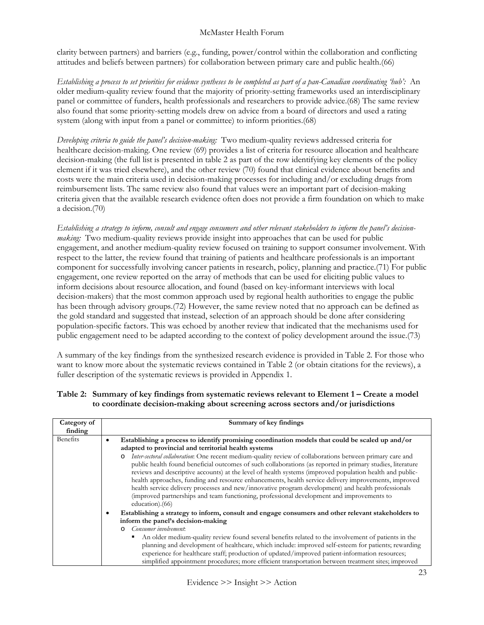clarity between partners) and barriers (e.g., funding, power/control within the collaboration and conflicting attitudes and beliefs between partners) for collaboration between primary care and public health.(66)

*Establishing a process to set priorities for evidence syntheses to be completed as part of a pan-Canadian coordinating 'hub':* An older medium-quality review found that the majority of priority-setting frameworks used an interdisciplinary panel or committee of funders, health professionals and researchers to provide advice.(68) The same review also found that some priority-setting models drew on advice from a board of directors and used a rating system (along with input from a panel or committee) to inform priorities.(68)

*Developing criteria to guide the panel's decision-making:* Two medium-quality reviews addressed criteria for healthcare decision-making. One review (69) provides a list of criteria for resource allocation and healthcare decision-making (the full list is presented in table 2 as part of the row identifying key elements of the policy element if it was tried elsewhere), and the other review (70) found that clinical evidence about benefits and costs were the main criteria used in decision-making processes for including and/or excluding drugs from reimbursement lists. The same review also found that values were an important part of decision-making criteria given that the available research evidence often does not provide a firm foundation on which to make a decision.(70)

*Establishing a strategy to inform, consult and engage consumers and other relevant stakeholders to inform the panel's decisionmaking:* Two medium-quality reviews provide insight into approaches that can be used for public engagement, and another medium-quality review focused on training to support consumer involvement. With respect to the latter, the review found that training of patients and healthcare professionals is an important component for successfully involving cancer patients in research, policy, planning and practice.(71) For public engagement, one review reported on the array of methods that can be used for eliciting public values to inform decisions about resource allocation, and found (based on key-informant interviews with local decision-makers) that the most common approach used by regional health authorities to engage the public has been through advisory groups.(72) However, the same review noted that no approach can be defined as the gold standard and suggested that instead, selection of an approach should be done after considering population-specific factors. This was echoed by another review that indicated that the mechanisms used for public engagement need to be adapted according to the context of policy development around the issue.(73)

A summary of the key findings from the synthesized research evidence is provided in Table 2. For those who want to know more about the systematic reviews contained in Table 2 (or obtain citations for the reviews), a fuller description of the systematic reviews is provided in Appendix 1.

| Table 2: Summary of key findings from systematic reviews relevant to Element 1 – Create a model |
|-------------------------------------------------------------------------------------------------|
| to coordinate decision-making about screening across sectors and/or jurisdictions               |

| Category of     | Summary of key findings                                                                                                                                                                                                                                                                                                                                                                                                                                                                                                                                                                                                                                                                                                                                                                                                                                                                                                                                                                                                                                                                                                                                                                                                                                                                                                                                                                                                                       |
|-----------------|-----------------------------------------------------------------------------------------------------------------------------------------------------------------------------------------------------------------------------------------------------------------------------------------------------------------------------------------------------------------------------------------------------------------------------------------------------------------------------------------------------------------------------------------------------------------------------------------------------------------------------------------------------------------------------------------------------------------------------------------------------------------------------------------------------------------------------------------------------------------------------------------------------------------------------------------------------------------------------------------------------------------------------------------------------------------------------------------------------------------------------------------------------------------------------------------------------------------------------------------------------------------------------------------------------------------------------------------------------------------------------------------------------------------------------------------------|
| finding         |                                                                                                                                                                                                                                                                                                                                                                                                                                                                                                                                                                                                                                                                                                                                                                                                                                                                                                                                                                                                                                                                                                                                                                                                                                                                                                                                                                                                                                               |
| <b>Benefits</b> | Establishing a process to identify promising coordination models that could be scaled up and/or<br>adapted to provincial and territorial health systems<br>Inter-sectoral collaboration: One recent medium-quality review of collaborations between primary care and<br>$\circ$<br>public health found beneficial outcomes of such collaborations (as reported in primary studies, literature<br>reviews and descriptive accounts) at the level of health systems (improved population health and public-<br>health approaches, funding and resource enhancements, health service delivery improvements, improved<br>health service delivery processes and new/innovative program development) and health professionals<br>(improved partnerships and team functioning, professional development and improvements to<br>education).(66)<br>Establishing a strategy to inform, consult and engage consumers and other relevant stakeholders to<br>inform the panel's decision-making<br>$O$ <i>Consumer involvement:</i><br>An older medium-quality review found several benefits related to the involvement of patients in the<br>planning and development of healthcare, which include: improved self-esteem for patients; rewarding<br>experience for healthcare staff; production of updated/improved patient-information resources;<br>simplified appointment procedures; more efficient transportation between treatment sites; improved |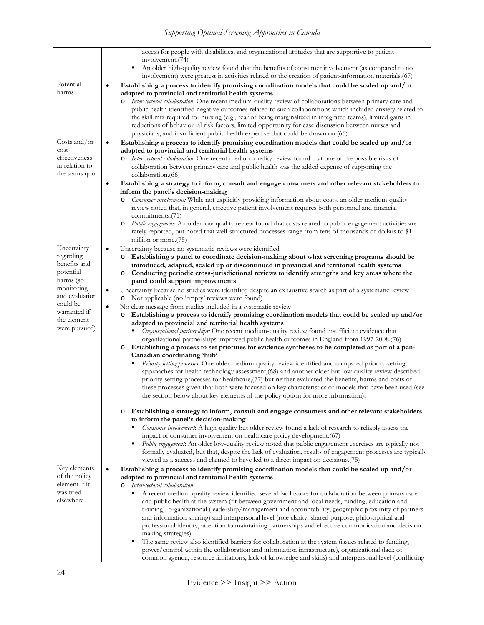*Supporting Optimal Screening Approaches in Canada*

|                              | access for people with disabilities; and organizational attitudes that are supportive to patient                                                                                                                       |
|------------------------------|------------------------------------------------------------------------------------------------------------------------------------------------------------------------------------------------------------------------|
|                              | involvement.(74)                                                                                                                                                                                                       |
|                              | An older high-quality review found that the benefits of consumer involvement (as compared to no<br>٠                                                                                                                   |
|                              | involvement) were greatest in activities related to the creation of patient-information materials.(67)                                                                                                                 |
| Potential                    | $\bullet$<br>Establishing a process to identify promising coordination models that could be scaled up and/or                                                                                                           |
| harms                        | adapted to provincial and territorial health systems<br>O Inter-sectoral collaboration: One recent medium-quality review of collaborations between primary care and                                                    |
|                              | public health identified negative outcomes related to such collaborations which included anxiety related to                                                                                                            |
|                              | the skill mix required for nursing (e.g., fear of being marginalized in integrated teams), limited gains in                                                                                                            |
|                              | reductions of behavioural risk factors, limited opportunity for case discussion between nurses and                                                                                                                     |
|                              | physicians, and insufficient public-health expertise that could be drawn on (66)                                                                                                                                       |
| Costs and/or                 | Establishing a process to identify promising coordination models that could be scaled up and/or<br>$\bullet$                                                                                                           |
| cost-<br>effectiveness       | adapted to provincial and territorial health systems                                                                                                                                                                   |
| in relation to               | O Inter-sectoral collaboration: One recent medium-quality review found that one of the possible risks of<br>collaboration between primary care and public health was the added expense of supporting the               |
| the status quo               | collaboration.(66)                                                                                                                                                                                                     |
|                              | Establishing a strategy to inform, consult and engage consumers and other relevant stakeholders to<br>$\bullet$                                                                                                        |
|                              | inform the panel's decision-making                                                                                                                                                                                     |
|                              | Consumer involvement: While not explicitly providing information about costs, an older medium-quality<br>$\circ$                                                                                                       |
|                              | review noted that, in general, effective patient involvement requires both personnel and financial                                                                                                                     |
|                              | commitments.(71)<br>Public engagement. An older low-quality review found that costs related to public engagement activities are                                                                                        |
|                              | $\circ$<br>rarely reported, but noted that well-structured processes range from tens of thousands of dollars to \$1                                                                                                    |
|                              | million or more.(75)                                                                                                                                                                                                   |
| Uncertainty                  | Uncertainty because no systematic reviews were identified<br>$\bullet$                                                                                                                                                 |
| regarding                    | Establishing a panel to coordinate decision-making about what screening programs should be<br>O                                                                                                                        |
| benefits and                 | introduced, adapted, scaled up or discontinued in provincial and territorial health systems                                                                                                                            |
| potential<br>harms (so       | Conducting periodic cross-jurisdictional reviews to identify strengths and key areas where the<br>$\circ$                                                                                                              |
| monitoring                   | panel could support improvements<br>Uncertainty because no studies were identified despite an exhaustive search as part of a systematic review                                                                         |
| and evaluation               | Not applicable (no 'empty' reviews were found)<br>O                                                                                                                                                                    |
| could be                     | No clear message from studies included in a systematic review<br>$\bullet$                                                                                                                                             |
| warranted if                 | Establishing a process to identify promising coordination models that could be scaled up and/or<br>$\circ$                                                                                                             |
| the element<br>were pursued) | adapted to provincial and territorial health systems                                                                                                                                                                   |
|                              | Organizational partnerships: One recent medium-quality review found insufficient evidence that                                                                                                                         |
|                              | organizational partnerships improved public health outcomes in England from 1997-2008.(76)<br>Establishing a process to set priorities for evidence syntheses to be completed as part of a pan-<br>$\circ$             |
|                              | Canadian coordinating 'hub'                                                                                                                                                                                            |
|                              | Priority-setting processes: One older medium-quality review identified and compared priority-setting                                                                                                                   |
|                              | approaches for health technology assessment, (68) and another older but low-quality review described                                                                                                                   |
|                              | priority-setting processes for healthcare, (77) but neither evaluated the benefits, harms and costs of                                                                                                                 |
|                              | these processes given that both were focused on key characteristics of models that have been used (see                                                                                                                 |
|                              | the section below about key elements of the policy option for more information).                                                                                                                                       |
|                              | Establishing a strategy to inform, consult and engage consumers and other relevant stakeholders<br>O                                                                                                                   |
|                              | to inform the panel's decision-making                                                                                                                                                                                  |
|                              | Consumer involvement. A high-quality but older review found a lack of research to reliably assess the                                                                                                                  |
|                              | impact of consumer involvement on healthcare policy development. (67)                                                                                                                                                  |
|                              | Public engagement. An older low-quality review noted that public engagement exercises are typically not<br>formally evaluated, but that, despite the lack of evaluation, results of engagement processes are typically |
|                              | viewed as a success and claimed to have led to a direct impact on decisions.(75)                                                                                                                                       |
| Key elements                 | $\bullet$<br>Establishing a process to identify promising coordination models that could be scaled up and/or                                                                                                           |
| of the policy                | adapted to provincial and territorial health systems                                                                                                                                                                   |
| element if it                | Inter-sectoral collaboration:<br>O                                                                                                                                                                                     |
| was tried                    | A recent medium-quality review identified several facilitators for collaboration between primary care                                                                                                                  |
| elsewhere                    | and public health at the system (fit between government and local needs, funding, education and                                                                                                                        |
|                              | training), organizational (leadership/management and accountability, geographic proximity of partners<br>and information sharing) and interpersonal level (role clarity, shared purpose, philosophical and             |
|                              | professional identity, attention to maintaining partnerships and effective communication and decision-                                                                                                                 |
|                              | making strategies).                                                                                                                                                                                                    |
|                              | The same review also identified barriers for collaboration at the system (issues related to funding,                                                                                                                   |
|                              | power/control within the collaboration and information infrastructure), organizational (lack of                                                                                                                        |
|                              | common agenda, resource limitations, lack of knowledge and skills) and interpersonal level (conflicting                                                                                                                |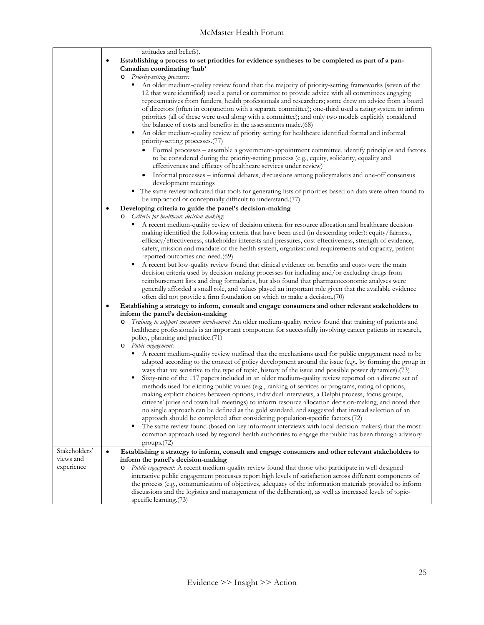|               | attitudes and beliefs).                                                                                                                                                                                              |
|---------------|----------------------------------------------------------------------------------------------------------------------------------------------------------------------------------------------------------------------|
|               | Establishing a process to set priorities for evidence syntheses to be completed as part of a pan-<br>$\bullet$                                                                                                       |
|               | Canadian coordinating 'hub'                                                                                                                                                                                          |
|               | O Priority-setting processes:<br>An older medium-quality review found that: the majority of priority-setting frameworks (seven of the<br>٠                                                                           |
|               | 12 that were identified) used a panel or committee to provide advice with all committees engaging                                                                                                                    |
|               | representatives from funders, health professionals and researchers; some drew on advice from a board                                                                                                                 |
|               | of directors (often in conjunction with a separate committee); one-third used a rating system to inform                                                                                                              |
|               | priorities (all of these were used along with a committee); and only two models explicitly considered                                                                                                                |
|               | the balance of costs and benefits in the assessments made.(68)                                                                                                                                                       |
|               | An older medium-quality review of priority setting for healthcare identified formal and informal<br>٠                                                                                                                |
|               | priority-setting processes.(77)                                                                                                                                                                                      |
|               | Formal processes – assemble a government-appointment committee, identify principles and factors                                                                                                                      |
|               | to be considered during the priority-setting process (e.g., equity, solidarity, equality and                                                                                                                         |
|               | effectiveness and efficacy of healthcare services under review)                                                                                                                                                      |
|               | Informal processes - informal debates, discussions among policymakers and one-off consensus<br>$\bullet$                                                                                                             |
|               | development meetings                                                                                                                                                                                                 |
|               | The same review indicated that tools for generating lists of priorities based on data were often found to                                                                                                            |
|               | be impractical or conceptually difficult to understand.(77)                                                                                                                                                          |
|               | Developing criteria to guide the panel's decision-making<br>$\bullet$<br>O Criteria for healthcare decision-making                                                                                                   |
|               | A recent medium-quality review of decision criteria for resource allocation and healthcare decision-                                                                                                                 |
|               | making identified the following criteria that have been used (in descending order): equity/fairness,                                                                                                                 |
|               | efficacy/effectiveness, stakeholder interests and pressures, cost-effectiveness, strength of evidence,                                                                                                               |
|               | safety, mission and mandate of the health system, organizational requirements and capacity, patient-                                                                                                                 |
|               | reported outcomes and need.(69)                                                                                                                                                                                      |
|               | A recent but low-quality review found that clinical evidence on benefits and costs were the main                                                                                                                     |
|               | decision criteria used by decision-making processes for including and/or excluding drugs from                                                                                                                        |
|               | reimbursement lists and drug formularies, but also found that pharmacoeconomic analyses were                                                                                                                         |
|               | generally afforded a small role, and values played an important role given that the available evidence<br>often did not provide a firm foundation on which to make a decision.(70)                                   |
|               | $\bullet$                                                                                                                                                                                                            |
|               | Establishing a strategy to inform, consult and engage consumers and other relevant stakeholders to<br>inform the panel's decision-making                                                                             |
|               | Training to support consumer involvement. An older medium-quality review found that training of patients and<br>$\circ$                                                                                              |
|               | healthcare professionals is an important component for successfully involving cancer patients in research,                                                                                                           |
|               | policy, planning and practice.(71)                                                                                                                                                                                   |
|               | O Pubic engagement:                                                                                                                                                                                                  |
|               | A recent medium-quality review outlined that the mechanisms used for public engagement need to be                                                                                                                    |
|               | adapted according to the context of policy development around the issue (e.g., by forming the group in                                                                                                               |
|               | ways that are sensitive to the type of topic, history of the issue and possible power dynamics).(73)                                                                                                                 |
|               | ٠<br>Sixty-nine of the 117 papers included in an older medium-quality review reported on a diverse set of<br>methods used for eliciting public values (e.g., ranking of services or programs, rating of options,     |
|               | making explicit choices between options, individual interviews, a Delphi process, focus groups,                                                                                                                      |
|               | citizens' juries and town hall meetings) to inform resource allocation decision-making, and noted that                                                                                                               |
|               | no single approach can be defined as the gold standard, and suggested that instead selection of an                                                                                                                   |
|               | approach should be completed after considering population-specific factors.(72)                                                                                                                                      |
|               | The same review found (based on key informant interviews with local decision-makers) that the most<br>٠                                                                                                              |
|               | common approach used by regional health authorities to engage the public has been through advisory                                                                                                                   |
|               | groups.(72)                                                                                                                                                                                                          |
| Stakeholders' | Establishing a strategy to inform, consult and engage consumers and other relevant stakeholders to<br>$\bullet$                                                                                                      |
| views and     | inform the panel's decision-making                                                                                                                                                                                   |
| experience    | Public engagement: A recent medium-quality review found that those who participate in well-designed<br>$\circ$                                                                                                       |
|               | interactive public engagement processes report high levels of satisfaction across different components of                                                                                                            |
|               | the process (e.g., communication of objectives, adequacy of the information materials provided to inform<br>discussions and the logistics and management of the deliberation), as well as increased levels of topic- |
|               | specific learning.(73)                                                                                                                                                                                               |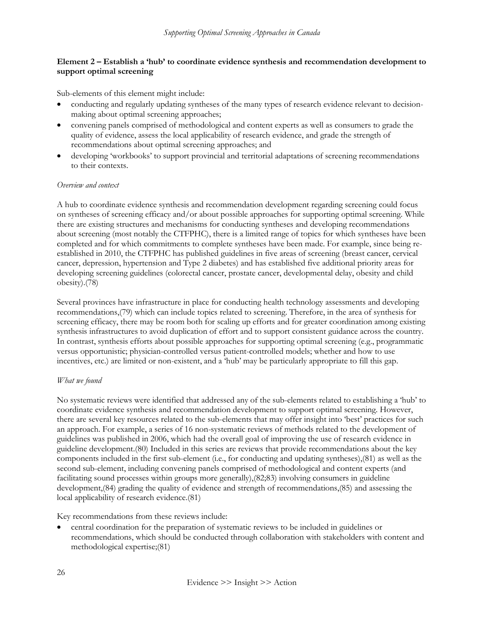## <span id="page-26-0"></span>**Element 2 – Establish a 'hub' to coordinate evidence synthesis and recommendation development to support optimal screening**

Sub-elements of this element might include:

- conducting and regularly updating syntheses of the many types of research evidence relevant to decisionmaking about optimal screening approaches;
- convening panels comprised of methodological and content experts as well as consumers to grade the quality of evidence, assess the local applicability of research evidence, and grade the strength of recommendations about optimal screening approaches; and
- developing 'workbooks' to support provincial and territorial adaptations of screening recommendations to their contexts.

#### *Overview and context*

A hub to coordinate evidence synthesis and recommendation development regarding screening could focus on syntheses of screening efficacy and/or about possible approaches for supporting optimal screening. While there are existing structures and mechanisms for conducting syntheses and developing recommendations about screening (most notably the CTFPHC), there is a limited range of topics for which syntheses have been completed and for which commitments to complete syntheses have been made. For example, since being reestablished in 2010, the CTFPHC has published guidelines in five areas of screening (breast cancer, cervical cancer, depression, hypertension and Type 2 diabetes) and has established five additional priority areas for developing screening guidelines (colorectal cancer, prostate cancer, developmental delay, obesity and child obesity).(78)

Several provinces have infrastructure in place for conducting health technology assessments and developing recommendations,(79) which can include topics related to screening. Therefore, in the area of synthesis for screening efficacy, there may be room both for scaling up efforts and for greater coordination among existing synthesis infrastructures to avoid duplication of effort and to support consistent guidance across the country. In contrast, synthesis efforts about possible approaches for supporting optimal screening (e.g., programmatic versus opportunistic; physician-controlled versus patient-controlled models; whether and how to use incentives, etc.) are limited or non-existent, and a 'hub' may be particularly appropriate to fill this gap.

### *What we found*

No systematic reviews were identified that addressed any of the sub-elements related to establishing a 'hub' to coordinate evidence synthesis and recommendation development to support optimal screening. However, there are several key resources related to the sub-elements that may offer insight into 'best' practices for such an approach. For example, a series of 16 non-systematic reviews of methods related to the development of guidelines was published in 2006, which had the overall goal of improving the use of research evidence in guideline development.(80) Included in this series are reviews that provide recommendations about the key components included in the first sub-element (i.e., for conducting and updating syntheses),(81) as well as the second sub-element, including convening panels comprised of methodological and content experts (and facilitating sound processes within groups more generally),(82;83) involving consumers in guideline development,(84) grading the quality of evidence and strength of recommendations,(85) and assessing the local applicability of research evidence.(81)

Key recommendations from these reviews include:

• central coordination for the preparation of systematic reviews to be included in guidelines or recommendations, which should be conducted through collaboration with stakeholders with content and methodological expertise;(81)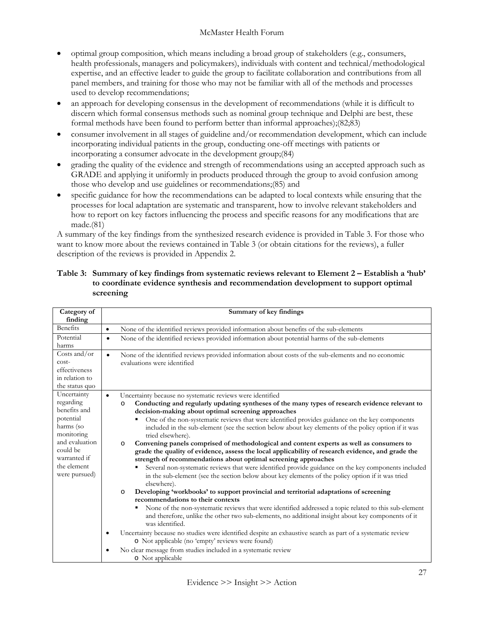- optimal group composition, which means including a broad group of stakeholders (e.g., consumers, health professionals, managers and policymakers), individuals with content and technical/methodological expertise, and an effective leader to guide the group to facilitate collaboration and contributions from all panel members, and training for those who may not be familiar with all of the methods and processes used to develop recommendations;
- an approach for developing consensus in the development of recommendations (while it is difficult to discern which formal consensus methods such as nominal group technique and Delphi are best, these formal methods have been found to perform better than informal approaches);(82;83)
- consumer involvement in all stages of guideline and/or recommendation development, which can include incorporating individual patients in the group, conducting one-off meetings with patients or incorporating a consumer advocate in the development group;(84)
- grading the quality of the evidence and strength of recommendations using an accepted approach such as GRADE and applying it uniformly in products produced through the group to avoid confusion among those who develop and use guidelines or recommendations;(85) and
- specific guidance for how the recommendations can be adapted to local contexts while ensuring that the processes for local adaptation are systematic and transparent, how to involve relevant stakeholders and how to report on key factors influencing the process and specific reasons for any modifications that are made.(81)

A summary of the key findings from the synthesized research evidence is provided in Table 3. For those who want to know more about the reviews contained in Table 3 (or obtain citations for the reviews), a fuller description of the reviews is provided in Appendix 2.

| Summary of key findings                                                                                                                                                                                                                                                                                                                                                                                                                                                                                                                                                                                                                                                                                                                                                                                                                                                                                                                                                                                                                                                                                                                                                                                                                                                                                                                                                                                                                                                                                                                                               |
|-----------------------------------------------------------------------------------------------------------------------------------------------------------------------------------------------------------------------------------------------------------------------------------------------------------------------------------------------------------------------------------------------------------------------------------------------------------------------------------------------------------------------------------------------------------------------------------------------------------------------------------------------------------------------------------------------------------------------------------------------------------------------------------------------------------------------------------------------------------------------------------------------------------------------------------------------------------------------------------------------------------------------------------------------------------------------------------------------------------------------------------------------------------------------------------------------------------------------------------------------------------------------------------------------------------------------------------------------------------------------------------------------------------------------------------------------------------------------------------------------------------------------------------------------------------------------|
| None of the identified reviews provided information about benefits of the sub-elements                                                                                                                                                                                                                                                                                                                                                                                                                                                                                                                                                                                                                                                                                                                                                                                                                                                                                                                                                                                                                                                                                                                                                                                                                                                                                                                                                                                                                                                                                |
| None of the identified reviews provided information about potential harms of the sub-elements                                                                                                                                                                                                                                                                                                                                                                                                                                                                                                                                                                                                                                                                                                                                                                                                                                                                                                                                                                                                                                                                                                                                                                                                                                                                                                                                                                                                                                                                         |
| None of the identified reviews provided information about costs of the sub-elements and no economic<br>evaluations were identified                                                                                                                                                                                                                                                                                                                                                                                                                                                                                                                                                                                                                                                                                                                                                                                                                                                                                                                                                                                                                                                                                                                                                                                                                                                                                                                                                                                                                                    |
| Uncertainty because no systematic reviews were identified<br>Conducting and regularly updating syntheses of the many types of research evidence relevant to<br>decision-making about optimal screening approaches<br>One of the non-systematic reviews that were identified provides guidance on the key components<br>included in the sub-element (see the section below about key elements of the policy option if it was<br>tried elsewhere).<br>Convening panels comprised of methodological and content experts as well as consumers to<br>grade the quality of evidence, assess the local applicability of research evidence, and grade the<br>strength of recommendations about optimal screening approaches<br>Several non-systematic reviews that were identified provide guidance on the key components included<br>in the sub-element (see the section below about key elements of the policy option if it was tried<br>elsewhere).<br>Developing 'workbooks' to support provincial and territorial adaptations of screening<br>recommendations to their contexts<br>None of the non-systematic reviews that were identified addressed a topic related to this sub-element<br>and therefore, unlike the other two sub-elements, no additional insight about key components of it<br>was identified.<br>Uncertainty because no studies were identified despite an exhaustive search as part of a systematic review<br>o Not applicable (no 'empty' reviews were found)<br>No clear message from studies included in a systematic review<br>o Not applicable |
|                                                                                                                                                                                                                                                                                                                                                                                                                                                                                                                                                                                                                                                                                                                                                                                                                                                                                                                                                                                                                                                                                                                                                                                                                                                                                                                                                                                                                                                                                                                                                                       |

| Table 3: Summary of key findings from systematic reviews relevant to Element 2 – Establish a 'hub' |
|----------------------------------------------------------------------------------------------------|
| to coordinate evidence synthesis and recommendation development to support optimal                 |
| screening                                                                                          |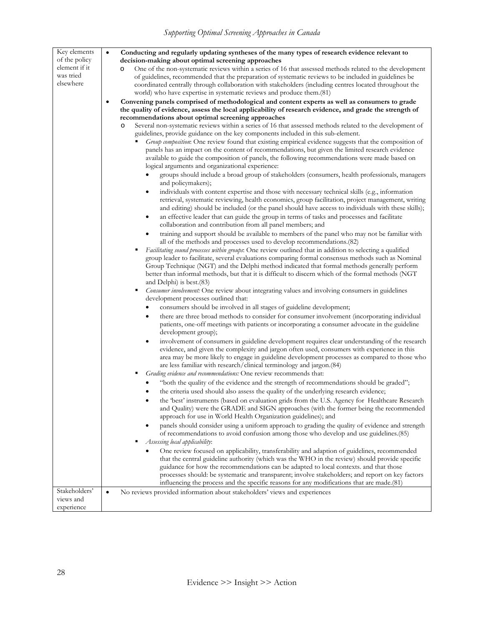## *Supporting Optimal Screening Approaches in Canada*

| Key elements  | Conducting and regularly updating syntheses of the many types of research evidence relevant to<br>$\bullet$                                |
|---------------|--------------------------------------------------------------------------------------------------------------------------------------------|
| of the policy | decision-making about optimal screening approaches                                                                                         |
| element if it | One of the non-systematic reviews within a series of 16 that assessed methods related to the development<br>O                              |
| was tried     | of guidelines, recommended that the preparation of systematic reviews to be included in guidelines be                                      |
| elsewhere     | coordinated centrally through collaboration with stakeholders (including centres located throughout the                                    |
|               | world) who have expertise in systematic reviews and produce them. (81)                                                                     |
|               | Convening panels comprised of methodological and content experts as well as consumers to grade<br>$\bullet$                                |
|               | the quality of evidence, assess the local applicability of research evidence, and grade the strength of                                    |
|               | recommendations about optimal screening approaches                                                                                         |
|               | Several non-systematic reviews within a series of 16 that assessed methods related to the development of<br>O                              |
|               | guidelines, provide guidance on the key components included in this sub-element.                                                           |
|               | Group composition: One review found that existing empirical evidence suggests that the composition of                                      |
|               | panels has an impact on the content of recommendations, but given the limited research evidence                                            |
|               | available to guide the composition of panels, the following recommendations were made based on                                             |
|               | logical arguments and organizational experience:                                                                                           |
|               | groups should include a broad group of stakeholders (consumers, health professionals, managers                                             |
|               | and policymakers);                                                                                                                         |
|               | individuals with content expertise and those with necessary technical skills (e.g., information                                            |
|               | retrieval, systematic reviewing, health economics, group facilitation, project management, writing                                         |
|               | and editing) should be included (or the panel should have access to individuals with these skills);                                        |
|               | an effective leader that can guide the group in terms of tasks and processes and facilitate                                                |
|               | collaboration and contribution from all panel members; and                                                                                 |
|               | training and support should be available to members of the panel who may not be familiar with                                              |
|               | all of the methods and processes used to develop recommendations. (82)                                                                     |
|               | Facilitating sound processes within groups. One review outlined that in addition to selecting a qualified                                  |
|               | group leader to facilitate, several evaluations comparing formal consensus methods such as Nominal                                         |
|               | Group Technique (NGT) and the Delphi method indicated that formal methods generally perform                                                |
|               | better than informal methods, but that it is difficult to discern which of the formal methods (NGT                                         |
|               | and Delphi) is best.(83)                                                                                                                   |
|               | Consumer involvement: One review about integrating values and involving consumers in guidelines<br>٠                                       |
|               | development processes outlined that:                                                                                                       |
|               | consumers should be involved in all stages of guideline development;                                                                       |
|               | there are three broad methods to consider for consumer involvement (incorporating individual                                               |
|               | patients, one-off meetings with patients or incorporating a consumer advocate in the guideline                                             |
|               | development group);                                                                                                                        |
|               |                                                                                                                                            |
|               | involvement of consumers in guideline development requires clear understanding of the research                                             |
|               | evidence, and given the complexity and jargon often used, consumers with experience in this                                                |
|               | area may be more likely to engage in guideline development processes as compared to those who                                              |
|               | are less familiar with research/clinical terminology and jargon. (84)<br>Grading evidence and recommendations: One review recommends that: |
|               |                                                                                                                                            |
|               | "both the quality of the evidence and the strength of recommendations should be graded";                                                   |
|               | the criteria used should also assess the quality of the underlying research evidence;                                                      |
|               | the 'best' instruments (based on evaluation grids from the U.S. Agency for Healthcare Research                                             |
|               | and Quality) were the GRADE and SIGN approaches (with the former being the recommended                                                     |
|               | approach for use in World Health Organization guidelines); and                                                                             |
|               | panels should consider using a uniform approach to grading the quality of evidence and strength                                            |
|               | of recommendations to avoid confusion among those who develop and use guidelines.(85)                                                      |
|               | Assessing local applicability:                                                                                                             |
|               | One review focused on applicability, transferability and adaption of guidelines, recommended                                               |
|               | that the central guideline authority (which was the WHO in the review) should provide specific                                             |
|               | guidance for how the recommendations can be adapted to local contexts. and that those                                                      |
|               | processes should: be systematic and transparent; involve stakeholders; and report on key factors                                           |
|               | influencing the process and the specific reasons for any modifications that are made.(81)                                                  |
| Stakeholders' | No reviews provided information about stakeholders' views and experiences<br>$\bullet$                                                     |
| views and     |                                                                                                                                            |
| experience    |                                                                                                                                            |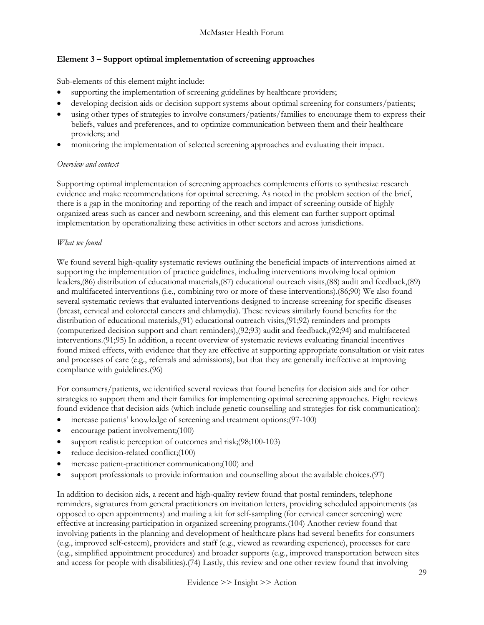## <span id="page-29-0"></span>**Element 3 – Support optimal implementation of screening approaches**

Sub-elements of this element might include:

- supporting the implementation of screening guidelines by healthcare providers;
- developing decision aids or decision support systems about optimal screening for consumers/patients;
- using other types of strategies to involve consumers/patients/families to encourage them to express their beliefs, values and preferences, and to optimize communication between them and their healthcare providers; and
- monitoring the implementation of selected screening approaches and evaluating their impact.

#### *Overview and context*

Supporting optimal implementation of screening approaches complements efforts to synthesize research evidence and make recommendations for optimal screening. As noted in the problem section of the brief, there is a gap in the monitoring and reporting of the reach and impact of screening outside of highly organized areas such as cancer and newborn screening, and this element can further support optimal implementation by operationalizing these activities in other sectors and across jurisdictions.

### *What we found*

We found several high-quality systematic reviews outlining the beneficial impacts of interventions aimed at supporting the implementation of practice guidelines, including interventions involving local opinion leaders,(86) distribution of educational materials,(87) educational outreach visits,(88) audit and feedback,(89) and multifaceted interventions (i.e., combining two or more of these interventions).(86;90) We also found several systematic reviews that evaluated interventions designed to increase screening for specific diseases (breast, cervical and colorectal cancers and chlamydia). These reviews similarly found benefits for the distribution of educational materials,(91) educational outreach visits,(91;92) reminders and prompts (computerized decision support and chart reminders),(92;93) audit and feedback,(92;94) and multifaceted interventions.(91;95) In addition, a recent overview of systematic reviews evaluating financial incentives found mixed effects, with evidence that they are effective at supporting appropriate consultation or visit rates and processes of care (e.g., referrals and admissions), but that they are generally ineffective at improving compliance with guidelines.(96)

For consumers/patients, we identified several reviews that found benefits for decision aids and for other strategies to support them and their families for implementing optimal screening approaches. Eight reviews found evidence that decision aids (which include genetic counselling and strategies for risk communication):

- increase patients' knowledge of screening and treatment options;(97-100)
- encourage patient involvement; (100)
- support realistic perception of outcomes and risk;(98;100-103)
- reduce decision-related conflict;(100)
- increase patient-practitioner communication;(100) and
- support professionals to provide information and counselling about the available choices.(97)

In addition to decision aids, a recent and high-quality review found that postal reminders, telephone reminders, signatures from general practitioners on invitation letters, providing scheduled appointments (as opposed to open appointments) and mailing a kit for self-sampling (for cervical cancer screening) were effective at increasing participation in organized screening programs.(104) Another review found that involving patients in the planning and development of healthcare plans had several benefits for consumers (e.g., improved self-esteem), providers and staff (e.g., viewed as rewarding experience), processes for care (e.g., simplified appointment procedures) and broader supports (e.g., improved transportation between sites and access for people with disabilities).(74) Lastly, this review and one other review found that involving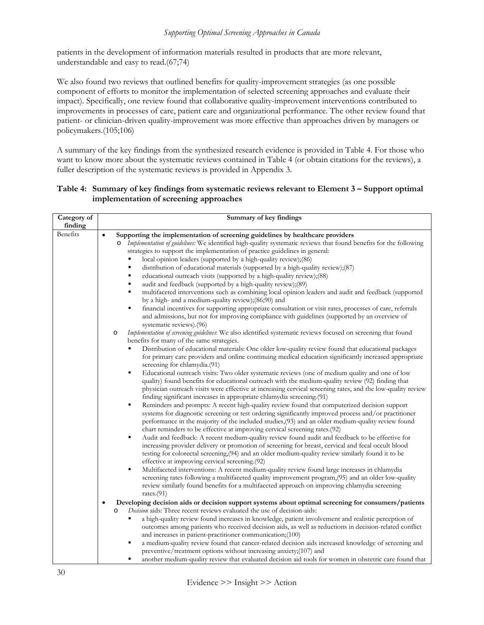## *Supporting Optimal Screening Approaches in Canada*

patients in the development of information materials resulted in products that are more relevant, understandable and easy to read.(67;74)

We also found two reviews that outlined benefits for quality-improvement strategies (as one possible component of efforts to monitor the implementation of selected screening approaches and evaluate their impact). Specifically, one review found that collaborative quality-improvement interventions contributed to improvements in processes of care, patient care and organizational performance. The other review found that patient- or clinician-driven quality-improvement was more effective than approaches driven by managers or policymakers.(105;106)

A summary of the key findings from the synthesized research evidence is provided in Table 4. For those who want to know more about the systematic reviews contained in Table 4 (or obtain citations for the reviews), a fuller description of the systematic reviews is provided in Appendix 3.

### **Table 4: Summary of key findings from systematic reviews relevant to Element 3 – Support optimal implementation of screening approaches**

| Category of | Summary of key findings                                                                                                                                                                                                                                                                                                                                                                                                                                                                                                                                                                                                                                                                                                                                                                                                                                                                                                                                                                                                                                                                                                                                                                                                                                                                                                                                                                                                                                                                                                                                                                                                                                                                                                                                                                                                                                                                                                                                                                                                                                                                                                                                                                                                                                                                                                                                                                                                                              |
|-------------|------------------------------------------------------------------------------------------------------------------------------------------------------------------------------------------------------------------------------------------------------------------------------------------------------------------------------------------------------------------------------------------------------------------------------------------------------------------------------------------------------------------------------------------------------------------------------------------------------------------------------------------------------------------------------------------------------------------------------------------------------------------------------------------------------------------------------------------------------------------------------------------------------------------------------------------------------------------------------------------------------------------------------------------------------------------------------------------------------------------------------------------------------------------------------------------------------------------------------------------------------------------------------------------------------------------------------------------------------------------------------------------------------------------------------------------------------------------------------------------------------------------------------------------------------------------------------------------------------------------------------------------------------------------------------------------------------------------------------------------------------------------------------------------------------------------------------------------------------------------------------------------------------------------------------------------------------------------------------------------------------------------------------------------------------------------------------------------------------------------------------------------------------------------------------------------------------------------------------------------------------------------------------------------------------------------------------------------------------------------------------------------------------------------------------------------------------|
| finding     |                                                                                                                                                                                                                                                                                                                                                                                                                                                                                                                                                                                                                                                                                                                                                                                                                                                                                                                                                                                                                                                                                                                                                                                                                                                                                                                                                                                                                                                                                                                                                                                                                                                                                                                                                                                                                                                                                                                                                                                                                                                                                                                                                                                                                                                                                                                                                                                                                                                      |
| Benefits    | $\bullet$<br>Supporting the implementation of screening guidelines by healthcare providers<br>Implementation of guidelines: We identified high-quality systematic reviews that found benefits for the following<br>$\circ$<br>strategies to support the implementation of practice guidelines in general:<br>local opinion leaders (supported by a high-quality review);(86)<br>٠<br>distribution of educational materials (supported by a high-quality review);(87)<br>٠<br>educational outreach visits (supported by a high-quality review);(88)<br>٠<br>٠<br>audit and feedback (supported by a high-quality review);(89)<br>multifaceted interventions such as combining local opinion leaders and audit and feedback (supported<br>٠<br>by a high- and a medium-quality review);(86;90) and<br>financial incentives for supporting appropriate consultation or visit rates, processes of care, referrals<br>٠<br>and admissions, but not for improving compliance with guidelines (supported by an overview of                                                                                                                                                                                                                                                                                                                                                                                                                                                                                                                                                                                                                                                                                                                                                                                                                                                                                                                                                                                                                                                                                                                                                                                                                                                                                                                                                                                                                                  |
|             | systematic reviews).(96)<br>Implementation of screening guidelines: We also identified systematic reviews focused on screening that found<br>$\circ$<br>benefits for many of the same strategies.<br>Distribution of educational materials: One older low-quality review found that educational packages<br>for primary care providers and online continuing medical education significantly increased appropriate<br>screening for chlamydia.(91)<br>$\blacksquare$<br>Educational outreach visits: Two older systematic reviews (one of medium quality and one of low<br>quality) found benefits for educational outreach with the medium-quality review (92) finding that<br>physician outreach visits were effective at increasing cervical screening rates, and the low-quality review<br>finding significant increases in appropriate chlamydia screening.(91)<br>Reminders and prompts: A recent high-quality review found that computerized decision support<br>٠<br>systems for diagnostic screening or test ordering significantly improved process and/or practitioner<br>performance in the majority of the included studies, (93) and an older medium-quality review found<br>chart reminders to be effective at improving cervical screening rates.(92)<br>Audit and feedback: A recent medium-quality review found audit and feedback to be effective for<br>٠<br>increasing provider delivery or promotion of screening for breast, cervical and fecal occult blood<br>testing for colorectal screening, (94) and an older medium-quality review similarly found it to be<br>effective at improving cervical screening (92)<br>Multifaceted interventions: A recent medium-quality review found large increases in chlamydia<br>٠<br>screening rates following a multifaceted quality improvement program, (95) and an older low-quality<br>review similarly found benefits for a multifaceted approach on improving chlamydia screening<br>rates. $(91)$<br>Developing decision aids or decision support systems about optimal screening for consumers/patients<br>Decision aids: Three recent reviews evaluated the use of decision-aids:<br>$\circ$<br>a high-quality review found increases in knowledge, patient involvement and realistic perception of<br>outcomes among patients who received decision aids, as well as reductions in decision-related conflict<br>and increases in patient-practitioner communication;(100) |
|             | a medium-quality review found that cancer-related decision aids increased knowledge of screening and<br>٠<br>preventive/treatment options without increasing anxiety;(107) and<br>another medium-quality review that evaluated decision aid tools for women in obstetric care found that                                                                                                                                                                                                                                                                                                                                                                                                                                                                                                                                                                                                                                                                                                                                                                                                                                                                                                                                                                                                                                                                                                                                                                                                                                                                                                                                                                                                                                                                                                                                                                                                                                                                                                                                                                                                                                                                                                                                                                                                                                                                                                                                                             |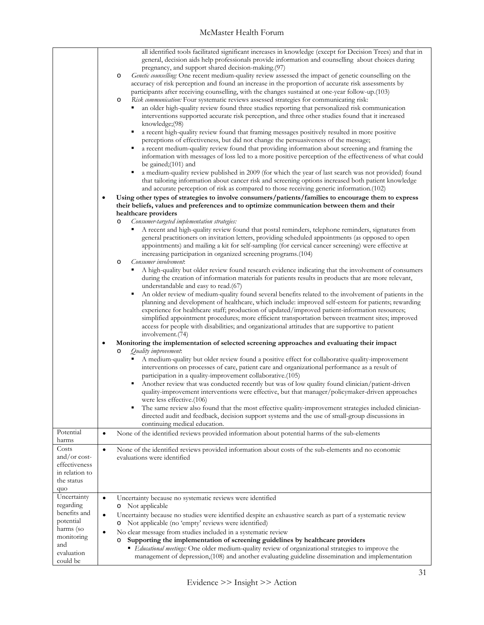| Potential<br>harms<br>Costs<br>and/or cost-<br>effectiveness<br>in relation to<br>the status<br>quo<br>Uncertainty | $\bullet$<br>$\bullet$<br>$\bullet$<br>$\bullet$ | all identified tools facilitated significant increases in knowledge (except for Decision Trees) and that in<br>general, decision aids help professionals provide information and counselling about choices during<br>pregnancy, and support shared decision-making.(97)<br>Genetic counselling: One recent medium-quality review assessed the impact of genetic counselling on the<br>O<br>accuracy of risk perception and found an increase in the proportion of accurate risk assessments by<br>participants after receiving counselling, with the changes sustained at one-year follow-up.(103)<br>Risk communication: Four systematic reviews assessed strategies for communicating risk:<br>$\circ$<br>an older high-quality review found three studies reporting that personalized risk communication<br>interventions supported accurate risk perception, and three other studies found that it increased<br>knowledge;(98)<br>a recent high-quality review found that framing messages positively resulted in more positive<br>٠<br>perceptions of effectiveness, but did not change the persuasiveness of the message;<br>a recent medium-quality review found that providing information about screening and framing the<br>٠<br>information with messages of loss led to a more positive perception of the effectiveness of what could<br>be gained; $(101)$ and<br>a medium-quality review published in 2009 (for which the year of last search was not provided) found<br>٠<br>that tailoring information about cancer risk and screening options increased both patient knowledge<br>and accurate perception of risk as compared to those receiving generic information.(102)<br>Using other types of strategies to involve consumers/patients/families to encourage them to express<br>their beliefs, values and preferences and to optimize communication between them and their<br>healthcare providers<br>Consumer-targeted implementation strategies:<br>$\circ$<br>A recent and high-quality review found that postal reminders, telephone reminders, signatures from<br>٠<br>general practitioners on invitation letters, providing scheduled appointments (as opposed to open<br>appointments) and mailing a kit for self-sampling (for cervical cancer screening) were effective at<br>increasing participation in organized screening programs (104)<br>Consumer involvement:<br>O<br>A high-quality but older review found research evidence indicating that the involvement of consumers<br>٠<br>during the creation of information materials for patients results in products that are more relevant,<br>understandable and easy to read.(67)<br>An older review of medium-quality found several benefits related to the involvement of patients in the<br>٠<br>planning and development of healthcare, which include: improved self-esteem for patients; rewarding<br>experience for healthcare staff; production of updated/improved patient-information resources;<br>simplified appointment procedures; more efficient transportation between treatment sites; improved<br>access for people with disabilities; and organizational attitudes that are supportive to patient<br>involvement.(74)<br>Monitoring the implementation of selected screening approaches and evaluating their impact<br>Quality improvement:<br>$\circ$<br>A medium-quality but older review found a positive effect for collaborative quality-improvement<br>٠<br>interventions on processes of care, patient care and organizational performance as a result of<br>participation in a quality-improvement collaborative.(105)<br>Another review that was conducted recently but was of low quality found clinician/patient-driven<br>٠<br>quality-improvement interventions were effective, but that manager/policymaker-driven approaches<br>were less effective.(106)<br>The same review also found that the most effective quality-improvement strategies included clinician-<br>٠<br>directed audit and feedback, decision support systems and the use of small-group discussions in<br>continuing medical education.<br>None of the identified reviews provided information about potential harms of the sub-elements<br>None of the identified reviews provided information about costs of the sub-elements and no economic<br>evaluations were identified<br>Uncertainty because no systematic reviews were identified |
|--------------------------------------------------------------------------------------------------------------------|--------------------------------------------------|-----------------------------------------------------------------------------------------------------------------------------------------------------------------------------------------------------------------------------------------------------------------------------------------------------------------------------------------------------------------------------------------------------------------------------------------------------------------------------------------------------------------------------------------------------------------------------------------------------------------------------------------------------------------------------------------------------------------------------------------------------------------------------------------------------------------------------------------------------------------------------------------------------------------------------------------------------------------------------------------------------------------------------------------------------------------------------------------------------------------------------------------------------------------------------------------------------------------------------------------------------------------------------------------------------------------------------------------------------------------------------------------------------------------------------------------------------------------------------------------------------------------------------------------------------------------------------------------------------------------------------------------------------------------------------------------------------------------------------------------------------------------------------------------------------------------------------------------------------------------------------------------------------------------------------------------------------------------------------------------------------------------------------------------------------------------------------------------------------------------------------------------------------------------------------------------------------------------------------------------------------------------------------------------------------------------------------------------------------------------------------------------------------------------------------------------------------------------------------------------------------------------------------------------------------------------------------------------------------------------------------------------------------------------------------------------------------------------------------------------------------------------------------------------------------------------------------------------------------------------------------------------------------------------------------------------------------------------------------------------------------------------------------------------------------------------------------------------------------------------------------------------------------------------------------------------------------------------------------------------------------------------------------------------------------------------------------------------------------------------------------------------------------------------------------------------------------------------------------------------------------------------------------------------------------------------------------------------------------------------------------------------------------------------------------------------------------------------------------------------------------------------------------------------------------------------------------------------------------------------------------------------------------------------------------------------------------------------------------------------------------------------------------------------------------------------------------------------------------------------------------------------------------------------------------------------------------------------------------------------------------------------------------------------------------------------------------------------------------------------------------------------------------------------------------------------|
| regarding                                                                                                          |                                                  | o Not applicable                                                                                                                                                                                                                                                                                                                                                                                                                                                                                                                                                                                                                                                                                                                                                                                                                                                                                                                                                                                                                                                                                                                                                                                                                                                                                                                                                                                                                                                                                                                                                                                                                                                                                                                                                                                                                                                                                                                                                                                                                                                                                                                                                                                                                                                                                                                                                                                                                                                                                                                                                                                                                                                                                                                                                                                                                                                                                                                                                                                                                                                                                                                                                                                                                                                                                                                                                                                                                                                                                                                                                                                                                                                                                                                                                                                                                                                                                                                                                                                                                                                                                                                                                                                                                                                                                                                                                                                                                        |
| benefits and                                                                                                       | $\bullet$                                        | Uncertainty because no studies were identified despite an exhaustive search as part of a systematic review                                                                                                                                                                                                                                                                                                                                                                                                                                                                                                                                                                                                                                                                                                                                                                                                                                                                                                                                                                                                                                                                                                                                                                                                                                                                                                                                                                                                                                                                                                                                                                                                                                                                                                                                                                                                                                                                                                                                                                                                                                                                                                                                                                                                                                                                                                                                                                                                                                                                                                                                                                                                                                                                                                                                                                                                                                                                                                                                                                                                                                                                                                                                                                                                                                                                                                                                                                                                                                                                                                                                                                                                                                                                                                                                                                                                                                                                                                                                                                                                                                                                                                                                                                                                                                                                                                                              |
| potential                                                                                                          |                                                  | Not applicable (no 'empty' reviews were identified)<br>$\circ$                                                                                                                                                                                                                                                                                                                                                                                                                                                                                                                                                                                                                                                                                                                                                                                                                                                                                                                                                                                                                                                                                                                                                                                                                                                                                                                                                                                                                                                                                                                                                                                                                                                                                                                                                                                                                                                                                                                                                                                                                                                                                                                                                                                                                                                                                                                                                                                                                                                                                                                                                                                                                                                                                                                                                                                                                                                                                                                                                                                                                                                                                                                                                                                                                                                                                                                                                                                                                                                                                                                                                                                                                                                                                                                                                                                                                                                                                                                                                                                                                                                                                                                                                                                                                                                                                                                                                                          |
| harms (so<br>monitoring                                                                                            | ٠                                                | No clear message from studies included in a systematic review                                                                                                                                                                                                                                                                                                                                                                                                                                                                                                                                                                                                                                                                                                                                                                                                                                                                                                                                                                                                                                                                                                                                                                                                                                                                                                                                                                                                                                                                                                                                                                                                                                                                                                                                                                                                                                                                                                                                                                                                                                                                                                                                                                                                                                                                                                                                                                                                                                                                                                                                                                                                                                                                                                                                                                                                                                                                                                                                                                                                                                                                                                                                                                                                                                                                                                                                                                                                                                                                                                                                                                                                                                                                                                                                                                                                                                                                                                                                                                                                                                                                                                                                                                                                                                                                                                                                                                           |
| and                                                                                                                |                                                  | Supporting the implementation of screening guidelines by healthcare providers<br>$\circ$                                                                                                                                                                                                                                                                                                                                                                                                                                                                                                                                                                                                                                                                                                                                                                                                                                                                                                                                                                                                                                                                                                                                                                                                                                                                                                                                                                                                                                                                                                                                                                                                                                                                                                                                                                                                                                                                                                                                                                                                                                                                                                                                                                                                                                                                                                                                                                                                                                                                                                                                                                                                                                                                                                                                                                                                                                                                                                                                                                                                                                                                                                                                                                                                                                                                                                                                                                                                                                                                                                                                                                                                                                                                                                                                                                                                                                                                                                                                                                                                                                                                                                                                                                                                                                                                                                                                                |
| evaluation                                                                                                         |                                                  | • Educational meetings: One older medium-quality review of organizational strategies to improve the<br>management of depression, (108) and another evaluating guideline dissemination and implementation                                                                                                                                                                                                                                                                                                                                                                                                                                                                                                                                                                                                                                                                                                                                                                                                                                                                                                                                                                                                                                                                                                                                                                                                                                                                                                                                                                                                                                                                                                                                                                                                                                                                                                                                                                                                                                                                                                                                                                                                                                                                                                                                                                                                                                                                                                                                                                                                                                                                                                                                                                                                                                                                                                                                                                                                                                                                                                                                                                                                                                                                                                                                                                                                                                                                                                                                                                                                                                                                                                                                                                                                                                                                                                                                                                                                                                                                                                                                                                                                                                                                                                                                                                                                                                |
| could be                                                                                                           |                                                  |                                                                                                                                                                                                                                                                                                                                                                                                                                                                                                                                                                                                                                                                                                                                                                                                                                                                                                                                                                                                                                                                                                                                                                                                                                                                                                                                                                                                                                                                                                                                                                                                                                                                                                                                                                                                                                                                                                                                                                                                                                                                                                                                                                                                                                                                                                                                                                                                                                                                                                                                                                                                                                                                                                                                                                                                                                                                                                                                                                                                                                                                                                                                                                                                                                                                                                                                                                                                                                                                                                                                                                                                                                                                                                                                                                                                                                                                                                                                                                                                                                                                                                                                                                                                                                                                                                                                                                                                                                         |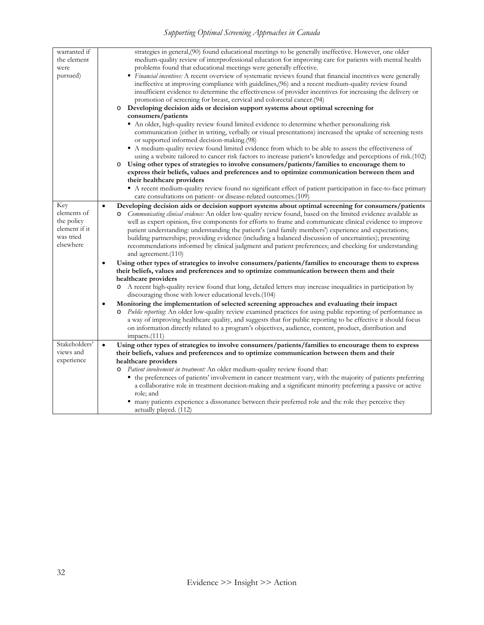| warranted if<br>the element<br>were<br>pursued)                      |           | strategies in general, (90) found educational meetings to be generally ineffective. However, one older<br>medium-quality review of interprofessional education for improving care for patients with mental health<br>problems found that educational meetings were generally effective.<br>" Financial incentives: A recent overview of systematic reviews found that financial incentives were generally<br>ineffective at improving compliance with guidelines, (96) and a recent medium-quality review found<br>insufficient evidence to determine the effectiveness of provider incentives for increasing the delivery or<br>promotion of screening for breast, cervical and colorectal cancer.(94)<br>O Developing decision aids or decision support systems about optimal screening for<br>consumers/patients<br>• An older, high-quality review found limited evidence to determine whether personalizing risk<br>communication (either in writing, verbally or visual presentations) increased the uptake of screening tests<br>or supported informed decision-making (98)<br>A medium-quality review found limited evidence from which to be able to assess the effectiveness of<br>using a website tailored to cancer risk factors to increase patient's knowledge and perceptions of risk. (102)<br>Using other types of strategies to involve consumers/patients/families to encourage them to<br>$\circ$<br>express their beliefs, values and preferences and to optimize communication between them and<br>their healthcare providers<br>A recent medium-quality review found no significant effect of patient participation in face-to-face primary<br>care consultations on patient- or disease-related outcomes.(109) |
|----------------------------------------------------------------------|-----------|----------------------------------------------------------------------------------------------------------------------------------------------------------------------------------------------------------------------------------------------------------------------------------------------------------------------------------------------------------------------------------------------------------------------------------------------------------------------------------------------------------------------------------------------------------------------------------------------------------------------------------------------------------------------------------------------------------------------------------------------------------------------------------------------------------------------------------------------------------------------------------------------------------------------------------------------------------------------------------------------------------------------------------------------------------------------------------------------------------------------------------------------------------------------------------------------------------------------------------------------------------------------------------------------------------------------------------------------------------------------------------------------------------------------------------------------------------------------------------------------------------------------------------------------------------------------------------------------------------------------------------------------------------------------------------------------------------------------------------------|
| Key                                                                  | $\bullet$ | Developing decision aids or decision support systems about optimal screening for consumers/patients                                                                                                                                                                                                                                                                                                                                                                                                                                                                                                                                                                                                                                                                                                                                                                                                                                                                                                                                                                                                                                                                                                                                                                                                                                                                                                                                                                                                                                                                                                                                                                                                                                    |
| elements of<br>the policy<br>element if it<br>was tried<br>elsewhere |           | Communicating clinical evidence: An older low-quality review found, based on the limited evidence available as<br>$\circ$<br>well as expert opinion, five components for efforts to frame and communicate clinical evidence to improve<br>patient understanding: understanding the patient's (and family members') experience and expectations;<br>building partnerships; providing evidence (including a balanced discussion of uncertainties); presenting<br>recommendations informed by clinical judgment and patient preferences; and checking for understanding<br>and agreement. (110)                                                                                                                                                                                                                                                                                                                                                                                                                                                                                                                                                                                                                                                                                                                                                                                                                                                                                                                                                                                                                                                                                                                                           |
|                                                                      | $\bullet$ | Using other types of strategies to involve consumers/patients/families to encourage them to express                                                                                                                                                                                                                                                                                                                                                                                                                                                                                                                                                                                                                                                                                                                                                                                                                                                                                                                                                                                                                                                                                                                                                                                                                                                                                                                                                                                                                                                                                                                                                                                                                                    |
|                                                                      |           | their beliefs, values and preferences and to optimize communication between them and their                                                                                                                                                                                                                                                                                                                                                                                                                                                                                                                                                                                                                                                                                                                                                                                                                                                                                                                                                                                                                                                                                                                                                                                                                                                                                                                                                                                                                                                                                                                                                                                                                                             |
|                                                                      |           | healthcare providers                                                                                                                                                                                                                                                                                                                                                                                                                                                                                                                                                                                                                                                                                                                                                                                                                                                                                                                                                                                                                                                                                                                                                                                                                                                                                                                                                                                                                                                                                                                                                                                                                                                                                                                   |
|                                                                      |           | • A recent high-quality review found that long, detailed letters may increase inequalities in participation by<br>discouraging those with lower educational levels.(104)                                                                                                                                                                                                                                                                                                                                                                                                                                                                                                                                                                                                                                                                                                                                                                                                                                                                                                                                                                                                                                                                                                                                                                                                                                                                                                                                                                                                                                                                                                                                                               |
|                                                                      | $\bullet$ | Monitoring the implementation of selected screening approaches and evaluating their impact<br>Public reporting. An older low-quality review examined practices for using public reporting of performance as<br>a way of improving healthcare quality, and suggests that for public reporting to be effective it should focus<br>on information directly related to a program's objectives, audience, content, product, distribution and<br>impacts.(111)                                                                                                                                                                                                                                                                                                                                                                                                                                                                                                                                                                                                                                                                                                                                                                                                                                                                                                                                                                                                                                                                                                                                                                                                                                                                               |
| Stakeholders'                                                        | $\bullet$ | Using other types of strategies to involve consumers/patients/families to encourage them to express                                                                                                                                                                                                                                                                                                                                                                                                                                                                                                                                                                                                                                                                                                                                                                                                                                                                                                                                                                                                                                                                                                                                                                                                                                                                                                                                                                                                                                                                                                                                                                                                                                    |
| views and                                                            |           | their beliefs, values and preferences and to optimize communication between them and their                                                                                                                                                                                                                                                                                                                                                                                                                                                                                                                                                                                                                                                                                                                                                                                                                                                                                                                                                                                                                                                                                                                                                                                                                                                                                                                                                                                                                                                                                                                                                                                                                                             |
| experience                                                           |           | healthcare providers                                                                                                                                                                                                                                                                                                                                                                                                                                                                                                                                                                                                                                                                                                                                                                                                                                                                                                                                                                                                                                                                                                                                                                                                                                                                                                                                                                                                                                                                                                                                                                                                                                                                                                                   |
|                                                                      |           | Patient involvement in treatment: An older medium-quality review found that:<br>$\circ$<br>• the preferences of patients' involvement in cancer treatment vary, with the majority of patients preferring                                                                                                                                                                                                                                                                                                                                                                                                                                                                                                                                                                                                                                                                                                                                                                                                                                                                                                                                                                                                                                                                                                                                                                                                                                                                                                                                                                                                                                                                                                                               |
|                                                                      |           | a collaborative role in treatment decision-making and a significant minority preferring a passive or active<br>role; and                                                                                                                                                                                                                                                                                                                                                                                                                                                                                                                                                                                                                                                                                                                                                                                                                                                                                                                                                                                                                                                                                                                                                                                                                                                                                                                                                                                                                                                                                                                                                                                                               |
|                                                                      |           | • many patients experience a dissonance between their preferred role and the role they perceive they                                                                                                                                                                                                                                                                                                                                                                                                                                                                                                                                                                                                                                                                                                                                                                                                                                                                                                                                                                                                                                                                                                                                                                                                                                                                                                                                                                                                                                                                                                                                                                                                                                   |
|                                                                      |           | actually played. (112)                                                                                                                                                                                                                                                                                                                                                                                                                                                                                                                                                                                                                                                                                                                                                                                                                                                                                                                                                                                                                                                                                                                                                                                                                                                                                                                                                                                                                                                                                                                                                                                                                                                                                                                 |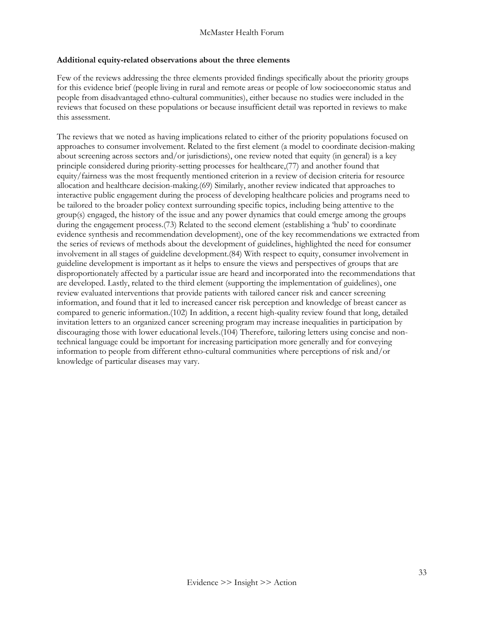#### <span id="page-33-0"></span>**Additional equity-related observations about the three elements**

Few of the reviews addressing the three elements provided findings specifically about the priority groups for this evidence brief (people living in rural and remote areas or people of low socioeconomic status and people from disadvantaged ethno-cultural communities), either because no studies were included in the reviews that focused on these populations or because insufficient detail was reported in reviews to make this assessment.

The reviews that we noted as having implications related to either of the priority populations focused on approaches to consumer involvement. Related to the first element (a model to coordinate decision-making about screening across sectors and/or jurisdictions), one review noted that equity (in general) is a key principle considered during priority-setting processes for healthcare,(77) and another found that equity/fairness was the most frequently mentioned criterion in a review of decision criteria for resource allocation and healthcare decision-making.(69) Similarly, another review indicated that approaches to interactive public engagement during the process of developing healthcare policies and programs need to be tailored to the broader policy context surrounding specific topics, including being attentive to the group(s) engaged, the history of the issue and any power dynamics that could emerge among the groups during the engagement process.(73) Related to the second element (establishing a 'hub' to coordinate evidence synthesis and recommendation development), one of the key recommendations we extracted from the series of reviews of methods about the development of guidelines, highlighted the need for consumer involvement in all stages of guideline development.(84) With respect to equity, consumer involvement in guideline development is important as it helps to ensure the views and perspectives of groups that are disproportionately affected by a particular issue are heard and incorporated into the recommendations that are developed. Lastly, related to the third element (supporting the implementation of guidelines), one review evaluated interventions that provide patients with tailored cancer risk and cancer screening information, and found that it led to increased cancer risk perception and knowledge of breast cancer as compared to generic information.(102) In addition, a recent high-quality review found that long, detailed invitation letters to an organized cancer screening program may increase inequalities in participation by discouraging those with lower educational levels.(104) Therefore, tailoring letters using concise and nontechnical language could be important for increasing participation more generally and for conveying information to people from different ethno-cultural communities where perceptions of risk and/or knowledge of particular diseases may vary.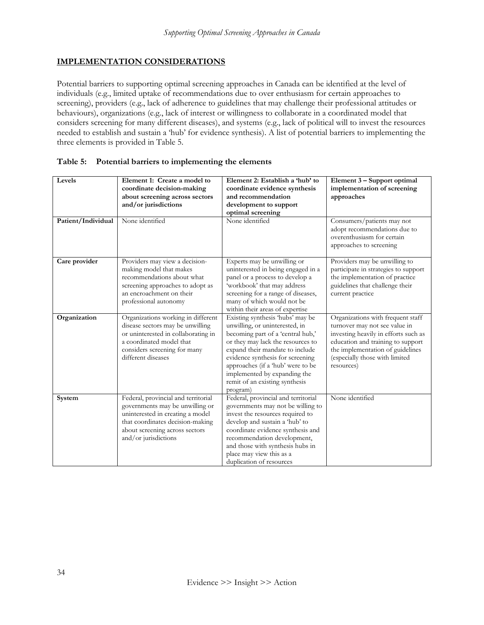## <span id="page-34-0"></span>**IMPLEMENTATION CONSIDERATIONS**

Potential barriers to supporting optimal screening approaches in Canada can be identified at the level of individuals (e.g., limited uptake of recommendations due to over enthusiasm for certain approaches to screening), providers (e.g., lack of adherence to guidelines that may challenge their professional attitudes or behaviours), organizations (e.g., lack of interest or willingness to collaborate in a coordinated model that considers screening for many different diseases), and systems (e.g., lack of political will to invest the resources needed to establish and sustain a 'hub' for evidence synthesis). A list of potential barriers to implementing the three elements is provided in Table 5.

| Levels             | Element 1: Create a model to<br>coordinate decision-making<br>about screening across sectors<br>and/or jurisdictions                                                                                     | Element 2: Establish a 'hub' to<br>coordinate evidence synthesis<br>and recommendation<br>development to support<br>optimal screening                                                                                                                                                                                                  | Element 3 - Support optimal<br>implementation of screening<br>approaches                                                                                                                                                            |
|--------------------|----------------------------------------------------------------------------------------------------------------------------------------------------------------------------------------------------------|----------------------------------------------------------------------------------------------------------------------------------------------------------------------------------------------------------------------------------------------------------------------------------------------------------------------------------------|-------------------------------------------------------------------------------------------------------------------------------------------------------------------------------------------------------------------------------------|
| Patient/Individual | None identified                                                                                                                                                                                          | None identified                                                                                                                                                                                                                                                                                                                        | Consumers/patients may not<br>adopt recommendations due to<br>overenthusiasm for certain<br>approaches to screening                                                                                                                 |
| Care provider      | Providers may view a decision-<br>making model that makes<br>recommendations about what<br>screening approaches to adopt as<br>an encroachment on their<br>professional autonomy                         | Experts may be unwilling or<br>uninterested in being engaged in a<br>panel or a process to develop a<br>'workbook' that may address<br>screening for a range of diseases,<br>many of which would not be<br>within their areas of expertise                                                                                             | Providers may be unwilling to<br>participate in strategies to support<br>the implementation of practice<br>guidelines that challenge their<br>current practice                                                                      |
| Organization       | Organizations working in different<br>disease sectors may be unwilling<br>or uninterested in collaborating in<br>a coordinated model that<br>considers screening for many<br>different diseases          | Existing synthesis 'hubs' may be<br>unwilling, or uninterested, in<br>becoming part of a 'central hub,'<br>or they may lack the resources to<br>expand their mandate to include<br>evidence synthesis for screening<br>approaches (if a 'hub' were to be<br>implemented by expanding the<br>remit of an existing synthesis<br>program) | Organizations with frequent staff<br>turnover may not see value in<br>investing heavily in efforts such as<br>education and training to support<br>the implementation of guidelines<br>(especially those with limited<br>resources) |
| System             | Federal, provincial and territorial<br>governments may be unwilling or<br>uninterested in creating a model<br>that coordinates decision-making<br>about screening across sectors<br>and/or jurisdictions | Federal, provincial and territorial<br>governments may not be willing to<br>invest the resources required to<br>develop and sustain a 'hub' to<br>coordinate evidence synthesis and<br>recommendation development,<br>and those with synthesis hubs in<br>place may view this as a<br>duplication of resources                         | None identified                                                                                                                                                                                                                     |

### **Table 5: Potential barriers to implementing the elements**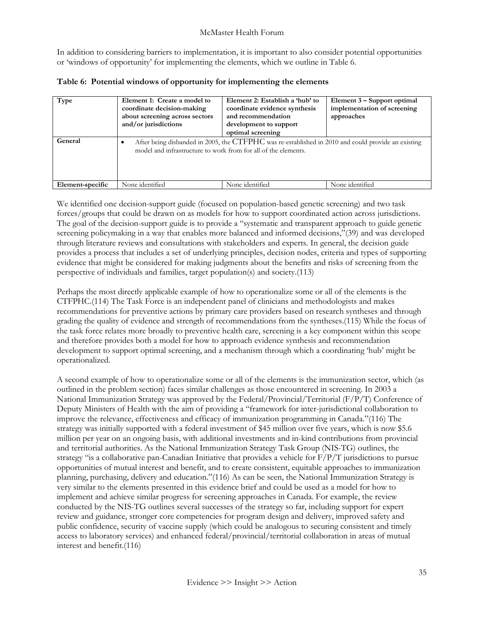In addition to considering barriers to implementation, it is important to also consider potential opportunities or 'windows of opportunity' for implementing the elements, which we outline in Table 6.

| Table 6: Potential windows of opportunity for implementing the elements |  |  |  |  |  |  |  |  |
|-------------------------------------------------------------------------|--|--|--|--|--|--|--|--|
|-------------------------------------------------------------------------|--|--|--|--|--|--|--|--|

| Type             | Element 1: Create a model to<br>coordinate decision-making<br>about screening across sectors<br>and/or jurisdictions | Element 2: Establish a 'hub' to<br>coordinate evidence synthesis<br>and recommendation<br>development to support<br>optimal screening                                | Element 3 – Support optimal<br>implementation of screening<br>approaches |  |  |  |  |  |
|------------------|----------------------------------------------------------------------------------------------------------------------|----------------------------------------------------------------------------------------------------------------------------------------------------------------------|--------------------------------------------------------------------------|--|--|--|--|--|
| General          |                                                                                                                      | After being disbanded in 2005, the CTFPHC was re-established in 2010 and could provide an existing<br>model and infrastructure to work from for all of the elements. |                                                                          |  |  |  |  |  |
| Element-specific | None identified                                                                                                      | None identified                                                                                                                                                      | None identified                                                          |  |  |  |  |  |

We identified one decision-support guide (focused on population-based genetic screening) and two task forces/groups that could be drawn on as models for how to support coordinated action across jurisdictions. The goal of the decision-support guide is to provide a "systematic and transparent approach to guide genetic screening policymaking in a way that enables more balanced and informed decisions,"(39) and was developed through literature reviews and consultations with stakeholders and experts. In general, the decision guide provides a process that includes a set of underlying principles, decision nodes, criteria and types of supporting evidence that might be considered for making judgments about the benefits and risks of screening from the perspective of individuals and families, target population(s) and society.(113)

Perhaps the most directly applicable example of how to operationalize some or all of the elements is the CTFPHC.(114) The Task Force is an independent panel of clinicians and methodologists and makes recommendations for preventive actions by primary care providers based on research syntheses and through grading the quality of evidence and strength of recommendations from the syntheses.(115) While the focus of the task force relates more broadly to preventive health care, screening is a key component within this scope and therefore provides both a model for how to approach evidence synthesis and recommendation development to support optimal screening, and a mechanism through which a coordinating 'hub' might be operationalized.

A second example of how to operationalize some or all of the elements is the immunization sector, which (as outlined in the problem section) faces similar challenges as those encountered in screening. In 2003 a National Immunization Strategy was approved by the Federal/Provincial/Territorial (F/P/T) Conference of Deputy Ministers of Health with the aim of providing a "framework for inter-jurisdictional collaboration to improve the relevance, effectiveness and efficacy of immunization programming in Canada."(116) The strategy was initially supported with a federal investment of \$45 million over five years, which is now \$5.6 million per year on an ongoing basis, with additional investments and in-kind contributions from provincial and territorial authorities. As the National Immunization Strategy Task Group (NIS-TG) outlines, the strategy "is a collaborative pan-Canadian Initiative that provides a vehicle for  $F/P/T$  jurisdictions to pursue opportunities of mutual interest and benefit, and to create consistent, equitable approaches to immunization planning, purchasing, delivery and education."(116) As can be seen, the National Immunization Strategy is very similar to the elements presented in this evidence brief and could be used as a model for how to implement and achieve similar progress for screening approaches in Canada. For example, the review conducted by the NIS-TG outlines several successes of the strategy so far, including support for expert review and guidance, stronger core competencies for program design and delivery, improved safety and public confidence, security of vaccine supply (which could be analogous to securing consistent and timely access to laboratory services) and enhanced federal/provincial/territorial collaboration in areas of mutual interest and benefit.(116)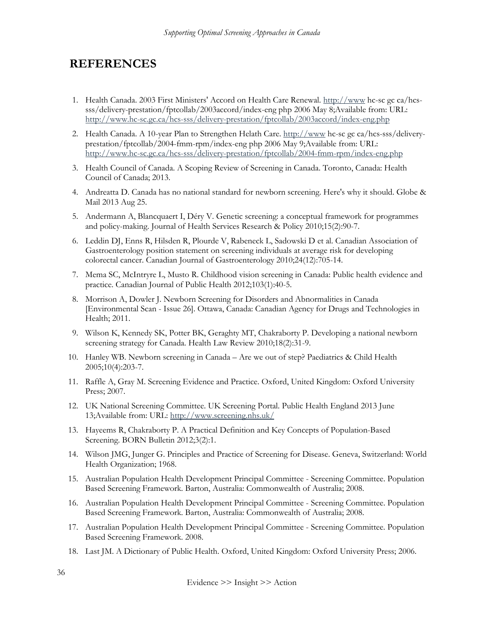# <span id="page-36-0"></span> **REFERENCES**

- 1. Health Canada. 2003 First Ministers' Accord on Health Care Renewal. [http://www](http://www/) hc-sc gc ca/hcssss/delivery-prestation/fptcollab/2003accord/index-eng php 2006 May 8;Available from: URL: <http://www.hc-sc.gc.ca/hcs-sss/delivery-prestation/fptcollab/2003accord/index-eng.php>
- 2. Health Canada. A 10-year Plan to Strengthen Helath Care. [http://www](http://www/).hc-sc gc ca/hcs-sss/deliveryprestation/fptcollab/2004-fmm-rpm/index-eng php 2006 May 9;Available from: URL: <http://www.hc-sc.gc.ca/hcs-sss/delivery-prestation/fptcollab/2004-fmm-rpm/index-eng.php>
- 3. Health Council of Canada. A Scoping Review of Screening in Canada. Toronto, Canada: Health Council of Canada; 2013.
- 4. Andreatta D. Canada has no national standard for newborn screening. Here's why it should. Globe & Mail 2013 Aug 25.
- 5. Andermann A, Blancquaert I, Déry V. Genetic screening: a conceptual framework for programmes and policy-making. Journal of Health Services Research & Policy 2010;15(2):90-7.
- 6. Leddin DJ, Enns R, Hilsden R, Plourde V, Rabeneck L, Sadowski D et al. Canadian Association of Gastroenterology position statement on screening individuals at average risk for developing colorectal cancer. Canadian Journal of Gastroenterology 2010;24(12):705-14.
- 7. Mema SC, McIntryre L, Musto R. Childhood vision screening in Canada: Public health evidence and practice. Canadian Journal of Public Health 2012;103(1):40-5.
- 8. Morrison A, Dowler J. Newborn Screening for Disorders and Abnormalities in Canada [Environmental Scan - Issue 26]. Ottawa, Canada: Canadian Agency for Drugs and Technologies in Health; 2011.
- 9. Wilson K, Kennedy SK, Potter BK, Geraghty MT, Chakraborty P. Developing a national newborn screening strategy for Canada. Health Law Review 2010;18(2):31-9.
- 10. Hanley WB. Newborn screening in Canada Are we out of step? Paediatrics & Child Health 2005;10(4):203-7.
- 11. Raffle A, Gray M. Screening Evidence and Practice. Oxford, United Kingdom: Oxford University Press; 2007.
- 12. UK National Screening Committee. UK Screening Portal. Public Health England 2013 June 13;Available from: URL:<http://www.screening.nhs.uk/>
- 13. Hayeems R, Chakraborty P. A Practical Definition and Key Concepts of Population-Based Screening. BORN Bulletin 2012;3(2):1.
- 14. Wilson JMG, Junger G. Principles and Practice of Screening for Disease. Geneva, Switzerland: World Health Organization; 1968.
- 15. Australian Population Health Development Principal Committee Screening Committee. Population Based Screening Framework. Barton, Australia: Commonwealth of Australia; 2008.
- 16. Australian Population Health Development Principal Committee Screening Committee. Population Based Screening Framework. Barton, Australia: Commonwealth of Australia; 2008.
- 17. Australian Population Health Development Principal Committee Screening Committee. Population Based Screening Framework. 2008.
- 18. Last JM. A Dictionary of Public Health. Oxford, United Kingdom: Oxford University Press; 2006.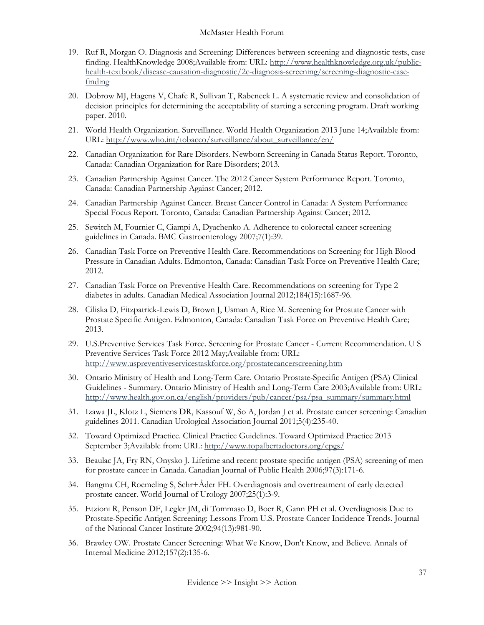- 19. Ruf R, Morgan O. Diagnosis and Screening: Differences between screening and diagnostic tests, case finding. HealthKnowledge 2008;Available from: URL: [http://www.healthknowledge.org.uk/public](http://www.healthknowledge.org.uk/public-health-textbook/disease-causation-diagnostic/2c-diagnosis-screening/screening-diagnostic-case-finding)[health-textbook/disease-causation-diagnostic/2c-diagnosis-screening/screening-diagnostic-case](http://www.healthknowledge.org.uk/public-health-textbook/disease-causation-diagnostic/2c-diagnosis-screening/screening-diagnostic-case-finding)[finding](http://www.healthknowledge.org.uk/public-health-textbook/disease-causation-diagnostic/2c-diagnosis-screening/screening-diagnostic-case-finding)
- 20. Dobrow MJ, Hagens V, Chafe R, Sullivan T, Rabeneck L. A systematic review and consolidation of decision principles for determining the acceptability of starting a screening program. Draft working paper. 2010.
- 21. World Health Organization. Surveillance. World Health Organization 2013 June 14;Available from: URL: [http://www.who.int/tobacco/surveillance/about\\_surveillance/en/](http://www.who.int/tobacco/surveillance/about_surveillance/en/)
- 22. Canadian Organization for Rare Disorders. Newborn Screening in Canada Status Report. Toronto, Canada: Canadian Organization for Rare Disorders; 2013.
- 23. Canadian Partnership Against Cancer. The 2012 Cancer System Performance Report. Toronto, Canada: Canadian Partnership Against Cancer; 2012.
- 24. Canadian Partnership Against Cancer. Breast Cancer Control in Canada: A System Performance Special Focus Report. Toronto, Canada: Canadian Partnership Against Cancer; 2012.
- 25. Sewitch M, Fournier C, Ciampi A, Dyachenko A. Adherence to colorectal cancer screening guidelines in Canada. BMC Gastroenterology 2007;7(1):39.
- 26. Canadian Task Force on Preventive Health Care. Recommendations on Screening for High Blood Pressure in Canadian Adults. Edmonton, Canada: Canadian Task Force on Preventive Health Care; 2012.
- 27. Canadian Task Force on Preventive Health Care. Recommendations on screening for Type 2 diabetes in adults. Canadian Medical Association Journal 2012;184(15):1687-96.
- 28. Ciliska D, Fitzpatrick-Lewis D, Brown J, Usman A, Rice M. Screening for Prostate Cancer with Prostate Specific Antigen. Edmonton, Canada: Canadian Task Force on Preventive Health Care; 2013.
- 29. U.S.Preventive Services Task Force. Screening for Prostate Cancer Current Recommendation. U S Preventive Services Task Force 2012 May;Available from: URL: <http://www.uspreventiveservicestaskforce.org/prostatecancerscreening.htm>
- 30. Ontario Ministry of Health and Long-Term Care. Ontario Prostate-Specific Antigen (PSA) Clinical Guidelines - Summary. Ontario Ministry of Health and Long-Term Care 2003;Available from: URL: [http://www.health.gov.on.ca/english/providers/pub/cancer/psa/psa\\_summary/summary.html](http://www.health.gov.on.ca/english/providers/pub/cancer/psa/psa_summary/summary.html)
- 31. Izawa JL, Klotz L, Siemens DR, Kassouf W, So A, Jordan J et al. Prostate cancer screening: Canadian guidelines 2011. Canadian Urological Association Journal 2011;5(4):235-40.
- 32. Toward Optimized Practice. Clinical Practice Guidelines. Toward Optimized Practice 2013 September 3;Available from: URL:<http://www.topalbertadoctors.org/cpgs/>
- 33. Beaulac JA, Fry RN, Onysko J. Lifetime and recent prostate specific antigen (PSA) screening of men for prostate cancer in Canada. Canadian Journal of Public Health 2006;97(3):171-6.
- 34. Bangma CH, Roemeling S, Schr+Âder FH. Overdiagnosis and overtreatment of early detected prostate cancer. World Journal of Urology 2007;25(1):3-9.
- 35. Etzioni R, Penson DF, Legler JM, di Tommaso D, Boer R, Gann PH et al. Overdiagnosis Due to Prostate-Specific Antigen Screening: Lessons From U.S. Prostate Cancer Incidence Trends. Journal of the National Cancer Institute 2002;94(13):981-90.
- 36. Brawley OW. Prostate Cancer Screening: What We Know, Don't Know, and Believe. Annals of Internal Medicine 2012;157(2):135-6.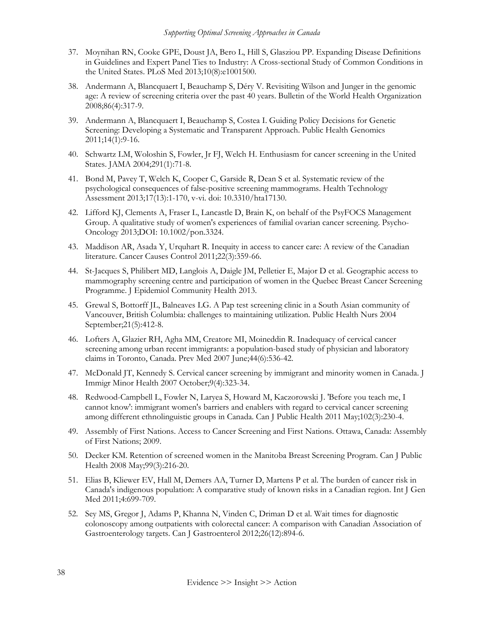- 37. Moynihan RN, Cooke GPE, Doust JA, Bero L, Hill S, Glasziou PP. Expanding Disease Definitions in Guidelines and Expert Panel Ties to Industry: A Cross-sectional Study of Common Conditions in the United States. PLoS Med 2013;10(8):e1001500.
- 38. Andermann A, Blancquaert I, Beauchamp S, Déry V. Revisiting Wilson and Junger in the genomic age: A review of screening criteria over the past 40 years. Bulletin of the World Health Organization 2008;86(4):317-9.
- 39. Andermann A, Blancquaert I, Beauchamp S, Costea I. Guiding Policy Decisions for Genetic Screening: Developing a Systematic and Transparent Approach. Public Health Genomics 2011;14(1):9-16.
- 40. Schwartz LM, Woloshin S, Fowler, Jr FJ, Welch H. Enthusiasm for cancer screening in the United States. JAMA 2004;291(1):71-8.
- 41. Bond M, Pavey T, Welch K, Cooper C, Garside R, Dean S et al. Systematic review of the psychological consequences of false-positive screening mammograms. Health Technology Assessment 2013;17(13):1-170, v-vi. doi: 10.3310/hta17130.
- 42. Lifford KJ, Clements A, Fraser L, Lancastle D, Brain K, on behalf of the PsyFOCS Management Group. A qualitative study of women's experiences of familial ovarian cancer screening. Psycho-Oncology 2013;DOI: 10.1002/pon.3324.
- 43. Maddison AR, Asada Y, Urquhart R. Inequity in access to cancer care: A review of the Canadian literature. Cancer Causes Control 2011;22(3):359-66.
- 44. St-Jacques S, Philibert MD, Langlois A, Daigle JM, Pelletier E, Major D et al. Geographic access to mammography screening centre and participation of women in the Quebec Breast Cancer Screening Programme. J Epidemiol Community Health 2013.
- 45. Grewal S, Bottorff JL, Balneaves LG. A Pap test screening clinic in a South Asian community of Vancouver, British Columbia: challenges to maintaining utilization. Public Health Nurs 2004 September;21(5):412-8.
- 46. Lofters A, Glazier RH, Agha MM, Creatore MI, Moineddin R. Inadequacy of cervical cancer screening among urban recent immigrants: a population-based study of physician and laboratory claims in Toronto, Canada. Prev Med 2007 June;44(6):536-42.
- 47. McDonald JT, Kennedy S. Cervical cancer screening by immigrant and minority women in Canada. J Immigr Minor Health 2007 October;9(4):323-34.
- 48. Redwood-Campbell L, Fowler N, Laryea S, Howard M, Kaczorowski J. 'Before you teach me, I cannot know': immigrant women's barriers and enablers with regard to cervical cancer screening among different ethnolinguistic groups in Canada. Can J Public Health 2011 May;102(3):230-4.
- 49. Assembly of First Nations. Access to Cancer Screening and First Nations. Ottawa, Canada: Assembly of First Nations; 2009.
- 50. Decker KM. Retention of screened women in the Manitoba Breast Screening Program. Can J Public Health 2008 May;99(3):216-20.
- 51. Elias B, Kliewer EV, Hall M, Demers AA, Turner D, Martens P et al. The burden of cancer risk in Canada's indigenous population: A comparative study of known risks in a Canadian region. Int J Gen Med 2011;4:699-709.
- 52. Sey MS, Gregor J, Adams P, Khanna N, Vinden C, Driman D et al. Wait times for diagnostic colonoscopy among outpatients with colorectal cancer: A comparison with Canadian Association of Gastroenterology targets. Can J Gastroenterol 2012;26(12):894-6.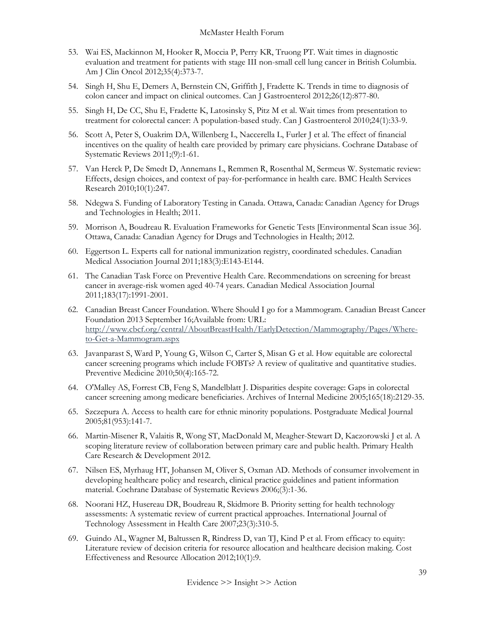- 53. Wai ES, Mackinnon M, Hooker R, Moccia P, Perry KR, Truong PT. Wait times in diagnostic evaluation and treatment for patients with stage III non-small cell lung cancer in British Columbia. Am J Clin Oncol 2012;35(4):373-7.
- 54. Singh H, Shu E, Demers A, Bernstein CN, Griffith J, Fradette K. Trends in time to diagnosis of colon cancer and impact on clinical outcomes. Can J Gastroenterol 2012;26(12):877-80.
- 55. Singh H, De CC, Shu E, Fradette K, Latosinsky S, Pitz M et al. Wait times from presentation to treatment for colorectal cancer: A population-based study. Can J Gastroenterol 2010;24(1):33-9.
- 56. Scott A, Peter S, Ouakrim DA, Willenberg L, Naccerella L, Furler J et al. The effect of financial incentives on the quality of health care provided by primary care physicians. Cochrane Database of Systematic Reviews 2011;(9):1-61.
- 57. Van Herck P, De Smedt D, Annemans L, Remmen R, Rosenthal M, Sermeus W. Systematic review: Effects, design choices, and context of pay-for-performance in health care. BMC Health Services Research 2010;10(1):247.
- 58. Ndegwa S. Funding of Laboratory Testing in Canada. Ottawa, Canada: Canadian Agency for Drugs and Technologies in Health; 2011.
- 59. Morrison A, Boudreau R. Evaluation Frameworks for Genetic Tests [Environmental Scan issue 36]. Ottawa, Canada: Canadian Agency for Drugs and Technologies in Health; 2012.
- 60. Eggertson L. Experts call for national immunization registry, coordinated schedules. Canadian Medical Association Journal 2011;183(3):E143-E144.
- 61. The Canadian Task Force on Preventive Health Care. Recommendations on screening for breast cancer in average-risk women aged 40-74 years. Canadian Medical Association Journal 2011;183(17):1991-2001.
- 62. Canadian Breast Cancer Foundation. Where Should I go for a Mammogram. Canadian Breast Cancer Foundation 2013 September 16;Available from: URL: [http://www.cbcf.org/central/AboutBreastHealth/EarlyDetection/Mammography/Pages/Where](http://www.cbcf.org/central/AboutBreastHealth/EarlyDetection/Mammography/Pages/Where-to-Get-a-Mammogram.aspx)[to-Get-a-Mammogram.aspx](http://www.cbcf.org/central/AboutBreastHealth/EarlyDetection/Mammography/Pages/Where-to-Get-a-Mammogram.aspx)
- 63. Javanparast S, Ward P, Young G, Wilson C, Carter S, Misan G et al. How equitable are colorectal cancer screening programs which include FOBTs? A review of qualitative and quantitative studies. Preventive Medicine 2010;50(4):165-72.
- 64. O'Malley AS, Forrest CB, Feng S, Mandelblatt J. Disparities despite coverage: Gaps in colorectal cancer screening among medicare beneficiaries. Archives of Internal Medicine 2005;165(18):2129-35.
- 65. Szczepura A. Access to health care for ethnic minority populations. Postgraduate Medical Journal 2005;81(953):141-7.
- 66. Martin-Misener R, Valaitis R, Wong ST, MacDonald M, Meagher-Stewart D, Kaczorowski J et al. A scoping literature review of collaboration between primary care and public health. Primary Health Care Research & Development 2012.
- 67. Nilsen ES, Myrhaug HT, Johansen M, Oliver S, Oxman AD. Methods of consumer involvement in developing healthcare policy and research, clinical practice guidelines and patient information material. Cochrane Database of Systematic Reviews 2006;(3):1-36.
- 68. Noorani HZ, Husereau DR, Boudreau R, Skidmore B. Priority setting for health technology assessments: A systematic review of current practical approaches. International Journal of Technology Assessment in Health Care 2007;23(3):310-5.
- 69. Guindo AL, Wagner M, Baltussen R, Rindress D, van TJ, Kind P et al. From efficacy to equity: Literature review of decision criteria for resource allocation and healthcare decision making. Cost Effectiveness and Resource Allocation 2012;10(1):9.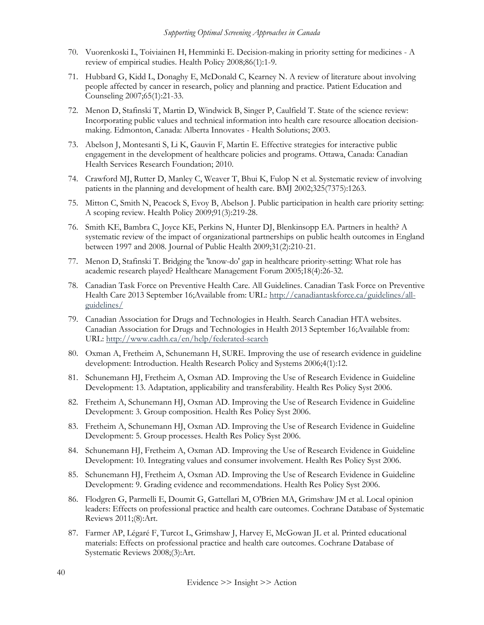- 70. Vuorenkoski L, Toiviainen H, Hemminki E. Decision-making in priority setting for medicines A review of empirical studies. Health Policy 2008;86(1):1-9.
- 71. Hubbard G, Kidd L, Donaghy E, McDonald C, Kearney N. A review of literature about involving people affected by cancer in research, policy and planning and practice. Patient Education and Counseling 2007;65(1):21-33.
- 72. Menon D, Stafinski T, Martin D, Windwick B, Singer P, Caulfield T. State of the science review: Incorporating public values and technical information into health care resource allocation decisionmaking. Edmonton, Canada: Alberta Innovates - Health Solutions; 2003.
- 73. Abelson J, Montesanti S, Li K, Gauvin F, Martin E. Effective strategies for interactive public engagement in the development of healthcare policies and programs. Ottawa, Canada: Canadian Health Services Research Foundation; 2010.
- 74. Crawford MJ, Rutter D, Manley C, Weaver T, Bhui K, Fulop N et al. Systematic review of involving patients in the planning and development of health care. BMJ 2002;325(7375):1263.
- 75. Mitton C, Smith N, Peacock S, Evoy B, Abelson J. Public participation in health care priority setting: A scoping review. Health Policy 2009;91(3):219-28.
- 76. Smith KE, Bambra C, Joyce KE, Perkins N, Hunter DJ, Blenkinsopp EA. Partners in health? A systematic review of the impact of organizational partnerships on public health outcomes in England between 1997 and 2008. Journal of Public Health 2009;31(2):210-21.
- 77. Menon D, Stafinski T. Bridging the 'know-do' gap in healthcare priority-setting: What role has academic research played? Healthcare Management Forum 2005;18(4):26-32.
- 78. Canadian Task Force on Preventive Health Care. All Guidelines. Canadian Task Force on Preventive Health Care 2013 September 16;Available from: URL: [http://canadiantaskforce.ca/guidelines/all](http://canadiantaskforce.ca/guidelines/all-guidelines/)[guidelines/](http://canadiantaskforce.ca/guidelines/all-guidelines/)
- 79. Canadian Association for Drugs and Technologies in Health. Search Canadian HTA websites. Canadian Association for Drugs and Technologies in Health 2013 September 16;Available from: URL:<http://www.cadth.ca/en/help/federated-search>
- 80. Oxman A, Fretheim A, Schunemann H, SURE. Improving the use of research evidence in guideline development: Introduction. Health Research Policy and Systems 2006;4(1):12.
- 81. Schunemann HJ, Fretheim A, Oxman AD. Improving the Use of Research Evidence in Guideline Development: 13. Adaptation, applicability and transferability. Health Res Policy Syst 2006.
- 82. Fretheim A, Schunemann HJ, Oxman AD. Improving the Use of Research Evidence in Guideline Development: 3. Group composition. Health Res Policy Syst 2006.
- 83. Fretheim A, Schunemann HJ, Oxman AD. Improving the Use of Research Evidence in Guideline Development: 5. Group processes. Health Res Policy Syst 2006.
- 84. Schunemann HJ, Fretheim A, Oxman AD. Improving the Use of Research Evidence in Guideline Development: 10. Integrating values and consumer involvement. Health Res Policy Syst 2006.
- 85. Schunemann HJ, Fretheim A, Oxman AD. Improving the Use of Research Evidence in Guideline Development: 9. Grading evidence and recommendations. Health Res Policy Syst 2006.
- 86. Flodgren G, Parmelli E, Doumit G, Gattellari M, O'Brien MA, Grimshaw JM et al. Local opinion leaders: Effects on professional practice and health care outcomes. Cochrane Database of Systematic Reviews 2011;(8):Art.
- 87. Farmer AP, Légaré F, Turcot L, Grimshaw J, Harvey E, McGowan JL et al. Printed educational materials: Effects on professional practice and health care outcomes. Cochrane Database of Systematic Reviews 2008;(3):Art.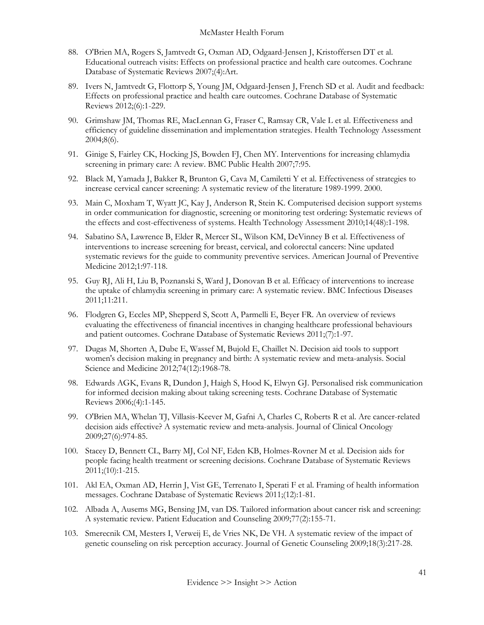- 88. O'Brien MA, Rogers S, Jamtvedt G, Oxman AD, Odgaard-Jensen J, Kristoffersen DT et al. Educational outreach visits: Effects on professional practice and health care outcomes. Cochrane Database of Systematic Reviews 2007;(4):Art.
- 89. Ivers N, Jamtvedt G, Flottorp S, Young JM, Odgaard-Jensen J, French SD et al. Audit and feedback: Effects on professional practice and health care outcomes. Cochrane Database of Systematic Reviews 2012;(6):1-229.
- 90. Grimshaw JM, Thomas RE, MacLennan G, Fraser C, Ramsay CR, Vale L et al. Effectiveness and efficiency of guideline dissemination and implementation strategies. Health Technology Assessment 2004;8(6).
- 91. Ginige S, Fairley CK, Hocking JS, Bowden FJ, Chen MY. Interventions for increasing chlamydia screening in primary care: A review. BMC Public Health 2007;7:95.
- 92. Black M, Yamada J, Bakker R, Brunton G, Cava M, Camiletti Y et al. Effectiveness of strategies to increase cervical cancer screening: A systematic review of the literature 1989-1999. 2000.
- 93. Main C, Moxham T, Wyatt JC, Kay J, Anderson R, Stein K. Computerised decision support systems in order communication for diagnostic, screening or monitoring test ordering: Systematic reviews of the effects and cost-effectiveness of systems. Health Technology Assessment 2010;14(48):1-198.
- 94. Sabatino SA, Lawrence B, Elder R, Mercer SL, Wilson KM, DeVinney B et al. Effectiveness of interventions to increase screening for breast, cervical, and colorectal cancers: Nine updated systematic reviews for the guide to community preventive services. American Journal of Preventive Medicine 2012;1:97-118.
- 95. Guy RJ, Ali H, Liu B, Poznanski S, Ward J, Donovan B et al. Efficacy of interventions to increase the uptake of chlamydia screening in primary care: A systematic review. BMC Infectious Diseases 2011;11:211.
- 96. Flodgren G, Eccles MP, Shepperd S, Scott A, Parmelli E, Beyer FR. An overview of reviews evaluating the effectiveness of financial incentives in changing healthcare professional behaviours and patient outcomes. Cochrane Database of Systematic Reviews 2011;(7):1-97.
- 97. Dugas M, Shorten A, Dube E, Wassef M, Bujold E, Chaillet N. Decision aid tools to support women's decision making in pregnancy and birth: A systematic review and meta-analysis. Social Science and Medicine 2012;74(12):1968-78.
- 98. Edwards AGK, Evans R, Dundon J, Haigh S, Hood K, Elwyn GJ. Personalised risk communication for informed decision making about taking screening tests. Cochrane Database of Systematic Reviews 2006;(4):1-145.
- 99. O'Brien MA, Whelan TJ, Villasis-Keever M, Gafni A, Charles C, Roberts R et al. Are cancer-related decision aids effective? A systematic review and meta-analysis. Journal of Clinical Oncology 2009;27(6):974-85.
- 100. Stacey D, Bennett CL, Barry MJ, Col NF, Eden KB, Holmes-Rovner M et al. Decision aids for people facing health treatment or screening decisions. Cochrane Database of Systematic Reviews 2011;(10):1-215.
- 101. Akl EA, Oxman AD, Herrin J, Vist GE, Terrenato I, Sperati F et al. Framing of health information messages. Cochrane Database of Systematic Reviews 2011;(12):1-81.
- 102. Albada A, Ausems MG, Bensing JM, van DS. Tailored information about cancer risk and screening: A systematic review. Patient Education and Counseling 2009;77(2):155-71.
- 103. Smerecnik CM, Mesters I, Verweij E, de Vries NK, De VH. A systematic review of the impact of genetic counseling on risk perception accuracy. Journal of Genetic Counseling 2009;18(3):217-28.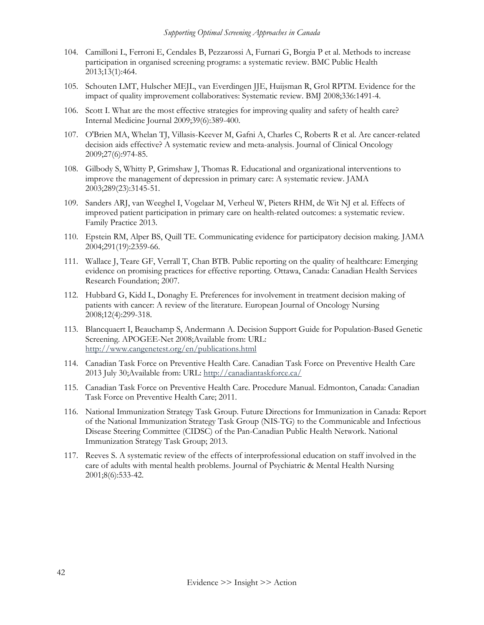- 104. Camilloni L, Ferroni E, Cendales B, Pezzarossi A, Furnari G, Borgia P et al. Methods to increase participation in organised screening programs: a systematic review. BMC Public Health 2013;13(1):464.
- 105. Schouten LMT, Hulscher MEJL, van Everdingen JJE, Huijsman R, Grol RPTM. Evidence for the impact of quality improvement collaboratives: Systematic review. BMJ 2008;336:1491-4.
- 106. Scott I. What are the most effective strategies for improving quality and safety of health care? Internal Medicine Journal 2009;39(6):389-400.
- 107. O'Brien MA, Whelan TJ, Villasis-Keever M, Gafni A, Charles C, Roberts R et al. Are cancer-related decision aids effective? A systematic review and meta-analysis. Journal of Clinical Oncology 2009;27(6):974-85.
- 108. Gilbody S, Whitty P, Grimshaw J, Thomas R. Educational and organizational interventions to improve the management of depression in primary care: A systematic review. JAMA 2003;289(23):3145-51.
- 109. Sanders ARJ, van Weeghel I, Vogelaar M, Verheul W, Pieters RHM, de Wit NJ et al. Effects of improved patient participation in primary care on health-related outcomes: a systematic review. Family Practice 2013.
- 110. Epstein RM, Alper BS, Quill TE. Communicating evidence for participatory decision making. JAMA 2004;291(19):2359-66.
- 111. Wallace J, Teare GF, Verrall T, Chan BTB. Public reporting on the quality of healthcare: Emerging evidence on promising practices for effective reporting. Ottawa, Canada: Canadian Health Services Research Foundation; 2007.
- 112. Hubbard G, Kidd L, Donaghy E. Preferences for involvement in treatment decision making of patients with cancer: A review of the literature. European Journal of Oncology Nursing 2008;12(4):299-318.
- 113. Blancquaert I, Beauchamp S, Andermann A. Decision Support Guide for Population-Based Genetic Screening. APOGEE-Net 2008;Available from: URL: <http://www.cangenetest.org/en/publications.html>
- 114. Canadian Task Force on Preventive Health Care. Canadian Task Force on Preventive Health Care 2013 July 30;Available from: URL:<http://canadiantaskforce.ca/>
- 115. Canadian Task Force on Preventive Health Care. Procedure Manual. Edmonton, Canada: Canadian Task Force on Preventive Health Care; 2011.
- 116. National Immunization Strategy Task Group. Future Directions for Immunization in Canada: Report of the National Immunization Strategy Task Group (NIS-TG) to the Communicable and Infectious Disease Steering Committee (CIDSC) of the Pan-Canadian Public Health Network. National Immunization Strategy Task Group; 2013.
- 117. Reeves S. A systematic review of the effects of interprofessional education on staff involved in the care of adults with mental health problems. Journal of Psychiatric & Mental Health Nursing 2001;8(6):533-42.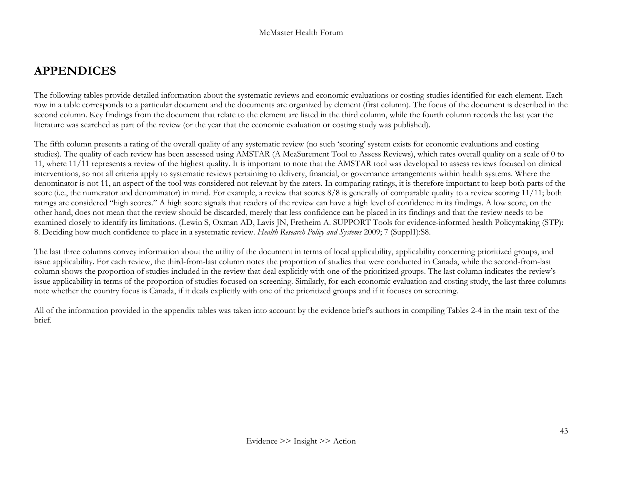# **APPENDICES**

The following tables provide detailed information about the systematic reviews and economic evaluations or costing studies identified for each element. Each row in a table corresponds to a particular document and the documents are organized by element (first column). The focus of the document is described in the second column. Key findings from the document that relate to the element are listed in the third column, while the fourth column records the last year the literature was searched as part of the review (or the year that the economic evaluation or costing study was published).

The fifth column presents a rating of the overall quality of any systematic review (no such 'scoring' system exists for economic evaluations and costing studies). The quality of each review has been assessed using AMSTAR (A MeaSurement Tool to Assess Reviews), which rates overall quality on a scale of 0 to 11, where 11/11 represents a review of the highest quality. It is important to note that the AMSTAR tool was developed to assess reviews focused on clinical interventions, so not all criteria apply to systematic reviews pertaining to delivery, financial, or governance arrangements within health systems. Where the denominator is not 11, an aspect of the tool was considered not relevant by the raters. In comparing ratings, it is therefore important to keep both parts of the score (i.e., the numerator and denominator) in mind. For example, a review that scores 8/8 is generally of comparable quality to a review scoring 11/11; both ratings are considered "high scores." A high score signals that readers of the review can have a high level of confidence in its findings. A low score, on the other hand, does not mean that the review should be discarded, merely that less confidence can be placed in its findings and that the review needs to be examined closely to identify its limitations. (Lewin S, Oxman AD, Lavis JN, Fretheim A. SUPPORT Tools for evidence-informed health Policymaking (STP): 8. Deciding how much confidence to place in a systematic review. *Health Research Policy and Systems* 2009; 7 (Suppl1):S8.

<span id="page-43-0"></span>The last three columns convey information about the utility of the document in terms of local applicability, applicability concerning prioritized groups, and issue applicability. For each review, the third-from-last column notes the proportion of studies that were conducted in Canada, while the second-from-last column shows the proportion of studies included in the review that deal explicitly with one of the prioritized groups. The last column indicates the review's issue applicability in terms of the proportion of studies focused on screening. Similarly, for each economic evaluation and costing study, the last three columns note whether the country focus is Canada, if it deals explicitly with one of the prioritized groups and if it focuses on screening.

All of the information provided in the appendix tables was taken into account by the evidence brief's authors in compiling Tables 2-4 in the main text of the brief.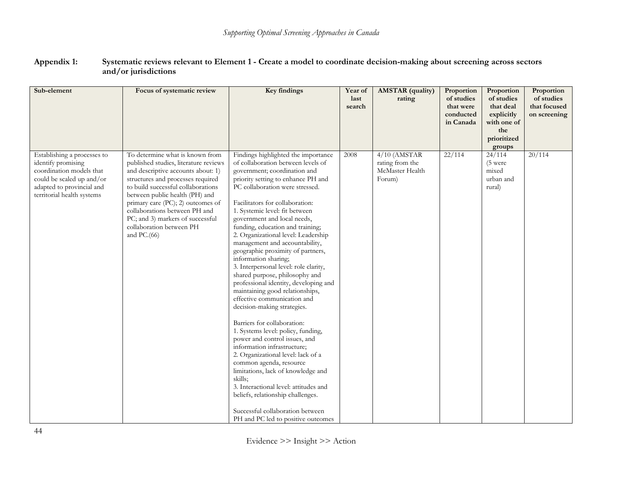| Appendix 1: | Systematic reviews relevant to Element 1 - Create a model to coordinate decision-making about screening across sectors |
|-------------|------------------------------------------------------------------------------------------------------------------------|
|             | and/or jurisdictions                                                                                                   |

| Sub-element                                                                                                                                                           | Focus of systematic review                                                                                                                                                                                                                                                                                                                                                       | <b>Key findings</b>                                                                                                                                                                                                                                                                                                                                                                                                                                                                                                                                                                                                                                                                                                                                                                                                                                                                                                                                                                                                                                                                                  | Year of<br>last<br>search | <b>AMSTAR</b> (quality)<br>rating                              | Proportion<br>of studies<br>that were<br>conducted<br>in Canada | Proportion<br>of studies<br>that deal<br>explicitly<br>with one of<br>the<br>prioritized<br>groups | Proportion<br>of studies<br>that focused<br>on screening |
|-----------------------------------------------------------------------------------------------------------------------------------------------------------------------|----------------------------------------------------------------------------------------------------------------------------------------------------------------------------------------------------------------------------------------------------------------------------------------------------------------------------------------------------------------------------------|------------------------------------------------------------------------------------------------------------------------------------------------------------------------------------------------------------------------------------------------------------------------------------------------------------------------------------------------------------------------------------------------------------------------------------------------------------------------------------------------------------------------------------------------------------------------------------------------------------------------------------------------------------------------------------------------------------------------------------------------------------------------------------------------------------------------------------------------------------------------------------------------------------------------------------------------------------------------------------------------------------------------------------------------------------------------------------------------------|---------------------------|----------------------------------------------------------------|-----------------------------------------------------------------|----------------------------------------------------------------------------------------------------|----------------------------------------------------------|
| Establishing a processes to<br>identify promising<br>coordination models that<br>could be scaled up and/or<br>adapted to provincial and<br>territorial health systems | To determine what is known from<br>published studies, literature reviews<br>and descriptive accounts about: 1)<br>structures and processes required<br>to build successful collaborations<br>between public health (PH) and<br>primary care (PC); 2) outcomes of<br>collaborations between PH and<br>PC; and 3) markers of successful<br>collaboration between PH<br>and PC.(66) | Findings highlighted the importance<br>of collaboration between levels of<br>government; coordination and<br>priority setting to enhance PH and<br>PC collaboration were stressed.<br>Facilitators for collaboration:<br>1. Systemic level: fit between<br>government and local needs,<br>funding, education and training;<br>2. Organizational level: Leadership<br>management and accountability,<br>geographic proximity of partners,<br>information sharing;<br>3. Interpersonal level: role clarity,<br>shared purpose, philosophy and<br>professional identity, developing and<br>maintaining good relationships,<br>effective communication and<br>decision-making strategies.<br>Barriers for collaboration:<br>1. Systems level: policy, funding,<br>power and control issues, and<br>information infrastructure;<br>2. Organizational level: lack of a<br>common agenda, resource<br>limitations, lack of knowledge and<br>skills:<br>3. Interactional level: attitudes and<br>beliefs, relationship challenges.<br>Successful collaboration between<br>PH and PC led to positive outcomes | 2008                      | $4/10$ (AMSTAR<br>rating from the<br>McMaster Health<br>Forum) | 22/114                                                          | 24/114<br>(5 were<br>mixed<br>urban and<br>rural)                                                  | 20/114                                                   |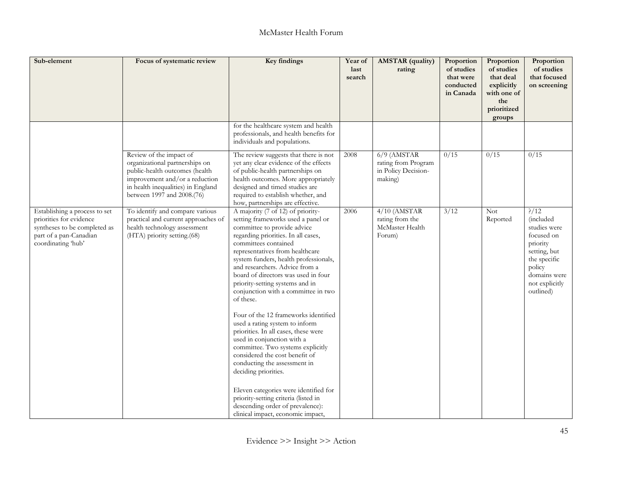| Sub-element                                                                                                                              | Focus of systematic review                                                                                                                                                                        | <b>Key findings</b>                                                                                                                                                                                                                                                                                                                                                                                                                                                                                                                                                                                                                                                                                                                                                                                                                                        | Year of<br>last<br>search | <b>AMSTAR</b> (quality)<br>rating                                      | Proportion<br>of studies<br>that were<br>conducted<br>in Canada | Proportion<br>of studies<br>that deal<br>explicitly<br>with one of<br>the<br>prioritized<br>groups | Proportion<br>of studies<br>that focused<br>on screening                                                                                                              |
|------------------------------------------------------------------------------------------------------------------------------------------|---------------------------------------------------------------------------------------------------------------------------------------------------------------------------------------------------|------------------------------------------------------------------------------------------------------------------------------------------------------------------------------------------------------------------------------------------------------------------------------------------------------------------------------------------------------------------------------------------------------------------------------------------------------------------------------------------------------------------------------------------------------------------------------------------------------------------------------------------------------------------------------------------------------------------------------------------------------------------------------------------------------------------------------------------------------------|---------------------------|------------------------------------------------------------------------|-----------------------------------------------------------------|----------------------------------------------------------------------------------------------------|-----------------------------------------------------------------------------------------------------------------------------------------------------------------------|
|                                                                                                                                          |                                                                                                                                                                                                   | for the healthcare system and health<br>professionals, and health benefits for<br>individuals and populations.                                                                                                                                                                                                                                                                                                                                                                                                                                                                                                                                                                                                                                                                                                                                             |                           |                                                                        |                                                                 |                                                                                                    |                                                                                                                                                                       |
|                                                                                                                                          | Review of the impact of<br>organizational partnerships on<br>public-health outcomes (health<br>improvement and/or a reduction<br>in health inequalities) in England<br>between 1997 and 2008.(76) | The review suggests that there is not<br>yet any clear evidence of the effects<br>of public-health partnerships on<br>health outcomes. More appropriately<br>designed and timed studies are<br>required to establish whether, and<br>how, partnerships are effective.                                                                                                                                                                                                                                                                                                                                                                                                                                                                                                                                                                                      | 2008                      | $6/9$ (AMSTAR<br>rating from Program<br>in Policy Decision-<br>making) | 0/15                                                            | 0/15                                                                                               | 0/15                                                                                                                                                                  |
| Establishing a process to set<br>priorities for evidence<br>syntheses to be completed as<br>part of a pan-Canadian<br>coordinating 'hub' | To identify and compare various<br>practical and current approaches of<br>health technology assessment<br>(HTA) priority setting.(68)                                                             | A majority (7 of 12) of priority-<br>setting frameworks used a panel or<br>committee to provide advice<br>regarding priorities. In all cases,<br>committees contained<br>representatives from healthcare<br>system funders, health professionals,<br>and researchers. Advice from a<br>board of directors was used in four<br>priority-setting systems and in<br>conjunction with a committee in two<br>of these.<br>Four of the 12 frameworks identified<br>used a rating system to inform<br>priorities. In all cases, these were<br>used in conjunction with a<br>committee. Two systems explicitly<br>considered the cost benefit of<br>conducting the assessment in<br>deciding priorities.<br>Eleven categories were identified for<br>priority-setting criteria (listed in<br>descending order of prevalence):<br>clinical impact, economic impact, | 2006                      | $4/10$ (AMSTAR<br>rating from the<br>McMaster Health<br>Forum)         | 3/12                                                            | <b>Not</b><br>Reported                                                                             | $\frac{?}{12}$<br><i>(included</i><br>studies were<br>focused on<br>priority<br>setting, but<br>the specific<br>policy<br>domains were<br>not explicitly<br>outlined) |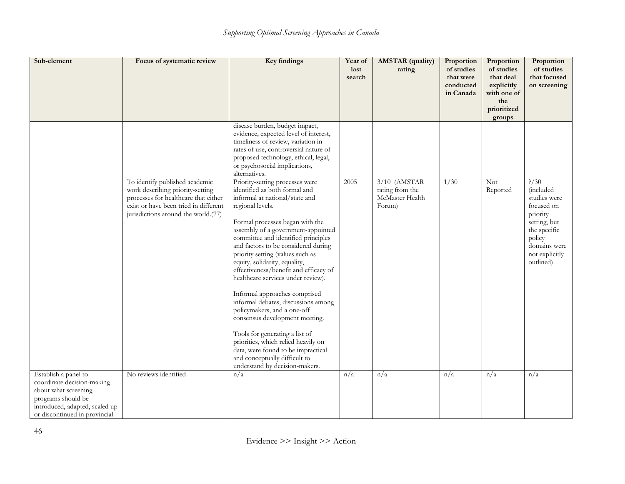| Sub-element                                                                                                                                                         | Focus of systematic review                                                                                                                                                                 | <b>Key findings</b>                                                                                                                                                                                                                                                                                                                                                                                                                                                                                                                                                                                                                                                                                                                                          | Year of<br>last<br>search | <b>AMSTAR</b> (quality)<br>rating                              | Proportion<br>of studies<br>that were<br>conducted<br>in Canada | Proportion<br>of studies<br>that deal<br>explicitly<br>with one of<br>the<br>prioritized<br>groups | Proportion<br>of studies<br>that focused<br>on screening                                                                                                               |
|---------------------------------------------------------------------------------------------------------------------------------------------------------------------|--------------------------------------------------------------------------------------------------------------------------------------------------------------------------------------------|--------------------------------------------------------------------------------------------------------------------------------------------------------------------------------------------------------------------------------------------------------------------------------------------------------------------------------------------------------------------------------------------------------------------------------------------------------------------------------------------------------------------------------------------------------------------------------------------------------------------------------------------------------------------------------------------------------------------------------------------------------------|---------------------------|----------------------------------------------------------------|-----------------------------------------------------------------|----------------------------------------------------------------------------------------------------|------------------------------------------------------------------------------------------------------------------------------------------------------------------------|
|                                                                                                                                                                     |                                                                                                                                                                                            | disease burden, budget impact,<br>evidence, expected level of interest,<br>timeliness of review, variation in<br>rates of use, controversial nature of<br>proposed technology, ethical, legal,<br>or psychosocial implications,<br>alternatives.                                                                                                                                                                                                                                                                                                                                                                                                                                                                                                             |                           |                                                                |                                                                 |                                                                                                    |                                                                                                                                                                        |
|                                                                                                                                                                     | To identify published academic<br>work describing priority-setting<br>processes for healthcare that either<br>exist or have been tried in different<br>jurisdictions around the world.(77) | Priority-setting processes were<br>identified as both formal and<br>informal at national/state and<br>regional levels.<br>Formal processes began with the<br>assembly of a government-appointed<br>committee and identified principles<br>and factors to be considered during<br>priority setting (values such as<br>equity, solidarity, equality,<br>effectiveness/benefit and efficacy of<br>healthcare services under review).<br>Informal approaches comprised<br>informal debates, discussions among<br>policymakers, and a one-off<br>consensus development meeting.<br>Tools for generating a list of<br>priorities, which relied heavily on<br>data, were found to be impractical<br>and conceptually difficult to<br>understand by decision-makers. | 2005                      | $3/10$ (AMSTAR<br>rating from the<br>McMaster Health<br>Forum) | 1/30                                                            | <b>Not</b><br>Reported                                                                             | $\frac{2}{30}$<br><i>(included)</i><br>studies were<br>focused on<br>priority<br>setting, but<br>the specific<br>policy<br>domains were<br>not explicitly<br>outlined) |
| Establish a panel to<br>coordinate decision-making<br>about what screening<br>programs should be<br>introduced, adapted, scaled up<br>or discontinued in provincial | No reviews identified                                                                                                                                                                      | n/a                                                                                                                                                                                                                                                                                                                                                                                                                                                                                                                                                                                                                                                                                                                                                          | n/a                       | n/a                                                            | n/a                                                             | n/a                                                                                                | n/a                                                                                                                                                                    |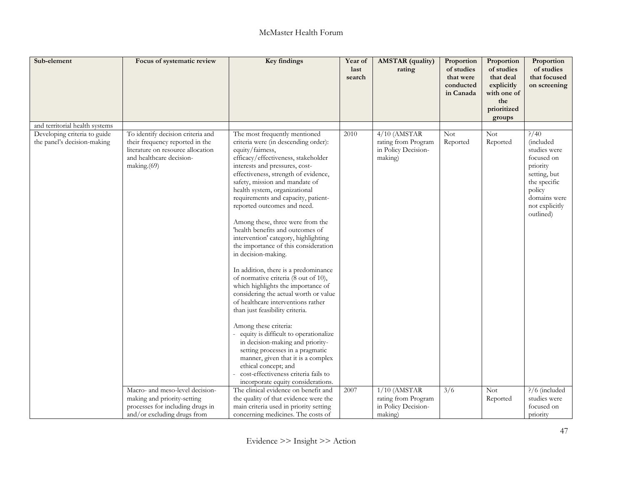| Sub-element                                                 | Focus of systematic review                                                                                                                           | Key findings                                                                                                                                                                                                                                                                                                                                                                                                                                                                                                                                                                                                                                                                                                                                                                                                                                                                                                                                                                                                                                                    | Year of<br>last<br>search | <b>AMSTAR</b> (quality)<br>rating                                       | Proportion<br>of studies<br>that were<br>conducted<br>in Canada | Proportion<br>of studies<br>that deal<br>explicitly<br>with one of<br>the<br>prioritized<br>groups | Proportion<br>of studies<br>that focused<br>on screening                                                                                                      |
|-------------------------------------------------------------|------------------------------------------------------------------------------------------------------------------------------------------------------|-----------------------------------------------------------------------------------------------------------------------------------------------------------------------------------------------------------------------------------------------------------------------------------------------------------------------------------------------------------------------------------------------------------------------------------------------------------------------------------------------------------------------------------------------------------------------------------------------------------------------------------------------------------------------------------------------------------------------------------------------------------------------------------------------------------------------------------------------------------------------------------------------------------------------------------------------------------------------------------------------------------------------------------------------------------------|---------------------------|-------------------------------------------------------------------------|-----------------------------------------------------------------|----------------------------------------------------------------------------------------------------|---------------------------------------------------------------------------------------------------------------------------------------------------------------|
| and territorial health systems                              |                                                                                                                                                      |                                                                                                                                                                                                                                                                                                                                                                                                                                                                                                                                                                                                                                                                                                                                                                                                                                                                                                                                                                                                                                                                 |                           |                                                                         |                                                                 |                                                                                                    |                                                                                                                                                               |
| Developing criteria to guide<br>the panel's decision-making | To identify decision criteria and<br>their frequency reported in the<br>literature on resource allocation<br>and healthcare decision-<br>making.(69) | The most frequently mentioned<br>criteria were (in descending order):<br>equity/fairness,<br>efficacy/effectiveness, stakeholder<br>interests and pressures, cost-<br>effectiveness, strength of evidence,<br>safety, mission and mandate of<br>health system, organizational<br>requirements and capacity, patient-<br>reported outcomes and need.<br>Among these, three were from the<br>health benefits and outcomes of<br>intervention' category, highlighting<br>the importance of this consideration<br>in decision-making.<br>In addition, there is a predominance<br>of normative criteria (8 out of 10),<br>which highlights the importance of<br>considering the actual worth or value<br>of healthcare interventions rather<br>than just feasibility criteria.<br>Among these criteria:<br>equity is difficult to operationalize<br>in decision-making and priority-<br>setting processes in a pragmatic<br>manner, given that it is a complex<br>ethical concept; and<br>cost-effectiveness criteria fails to<br>incorporate equity considerations. | 2010                      | $4/10$ (AMSTAR<br>rating from Program<br>in Policy Decision-<br>making) | <b>Not</b><br>Reported                                          | <b>Not</b><br>Reported                                                                             | .2/40<br><i>(included)</i><br>studies were<br>focused on<br>priority<br>setting, but<br>the specific<br>policy<br>domains were<br>not explicitly<br>outlined) |
|                                                             | Macro- and meso-level decision-                                                                                                                      | The clinical evidence on benefit and                                                                                                                                                                                                                                                                                                                                                                                                                                                                                                                                                                                                                                                                                                                                                                                                                                                                                                                                                                                                                            | 2007                      | $1/10$ (AMSTAR                                                          | 3/6                                                             | <b>Not</b>                                                                                         | $\frac{?}{6}$ (included)                                                                                                                                      |
|                                                             | making and priority-setting<br>processes for including drugs in<br>and/or excluding drugs from                                                       | the quality of that evidence were the<br>main criteria used in priority setting<br>concerning medicines. The costs of                                                                                                                                                                                                                                                                                                                                                                                                                                                                                                                                                                                                                                                                                                                                                                                                                                                                                                                                           |                           | rating from Program<br>in Policy Decision-<br>making)                   |                                                                 | Reported                                                                                           | studies were<br>focused on<br>priority                                                                                                                        |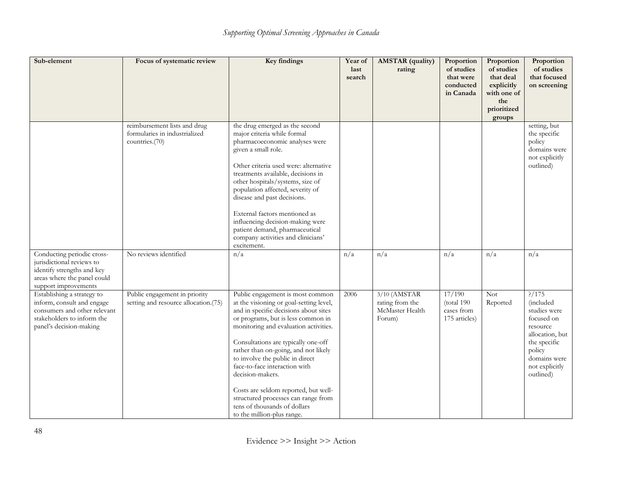| Sub-element                                                                                                                                       | Focus of systematic review                                                      | <b>Key findings</b>                                                                                                                                                                                                                                                                                                                                                                                                                                                                                                     | Year of<br>last<br>search | <b>AMSTAR</b> (quality)<br>rating                            | Proportion<br>of studies<br>that were<br>conducted<br>in Canada | Proportion<br>of studies<br>that deal<br>explicitly<br>with one of<br>the<br>prioritized<br>groups | Proportion<br>of studies<br>that focused<br>on screening                                                                                                           |
|---------------------------------------------------------------------------------------------------------------------------------------------------|---------------------------------------------------------------------------------|-------------------------------------------------------------------------------------------------------------------------------------------------------------------------------------------------------------------------------------------------------------------------------------------------------------------------------------------------------------------------------------------------------------------------------------------------------------------------------------------------------------------------|---------------------------|--------------------------------------------------------------|-----------------------------------------------------------------|----------------------------------------------------------------------------------------------------|--------------------------------------------------------------------------------------------------------------------------------------------------------------------|
|                                                                                                                                                   | reimbursement lists and drug<br>formularies in industrialized<br>countries.(70) | the drug emerged as the second<br>major criteria while formal<br>pharmacoeconomic analyses were<br>given a small role.<br>Other criteria used were: alternative<br>treatments available, decisions in<br>other hospitals/systems, size of<br>population affected, severity of<br>disease and past decisions.<br>External factors mentioned as<br>influencing decision-making were<br>patient demand, pharmaceutical<br>company activities and clinicians'<br>excitement.                                                |                           |                                                              |                                                                 |                                                                                                    | setting, but<br>the specific<br>policy<br>domains were<br>not explicitly<br>outlined)                                                                              |
| Conducting periodic cross-<br>jurisdictional reviews to<br>identify strengths and key<br>areas where the panel could<br>support improvements      | No reviews identified                                                           | n/a                                                                                                                                                                                                                                                                                                                                                                                                                                                                                                                     | n/a                       | n/a                                                          | n/a                                                             | n/a                                                                                                | n/a                                                                                                                                                                |
| Establishing a strategy to<br>inform, consult and engage<br>consumers and other relevant<br>stakeholders to inform the<br>panel's decision-making | Public engagement in priority<br>setting and resource allocation.(75)           | Public engagement is most common<br>at the visioning or goal-setting level,<br>and in specific decisions about sites<br>or programs, but is less common in<br>monitoring and evaluation activities.<br>Consultations are typically one-off<br>rather than on-going, and not likely<br>to involve the public in direct<br>face-to-face interaction with<br>decision-makers.<br>Costs are seldom reported, but well-<br>structured processes can range from<br>tens of thousands of dollars<br>to the million-plus range. | 2006                      | 3/10 (AMSTAR<br>rating from the<br>McMaster Health<br>Forum) | 17/190<br>(total 190<br>cases from<br>175 articles)             | <b>Not</b><br>Reported                                                                             | ? / 175<br><i>(included)</i><br>studies were<br>focused on<br>resource<br>allocation, but<br>the specific<br>policy<br>domains were<br>not explicitly<br>outlined) |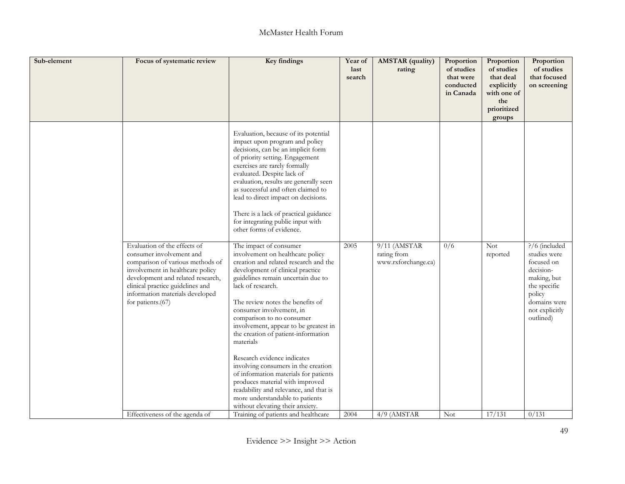| Sub-element | Focus of systematic review                                                                                                                                                                                                                                                                          | <b>Key findings</b>                                                                                                                                                                                                                                                                                                                                                                                                                                                                                                                                                                                                                                                                                                                                                                                                                                                                                                                                                                                                                                                                                                                                       | Year of<br>last<br>search | <b>AMSTAR</b> (quality)<br>rating                                     | Proportion<br>of studies<br>that were<br>conducted<br>in Canada | Proportion<br>of studies<br>that deal<br>explicitly<br>with one of<br>the<br>prioritized<br>groups | Proportion<br>of studies<br>that focused<br>on screening                                                                                                      |
|-------------|-----------------------------------------------------------------------------------------------------------------------------------------------------------------------------------------------------------------------------------------------------------------------------------------------------|-----------------------------------------------------------------------------------------------------------------------------------------------------------------------------------------------------------------------------------------------------------------------------------------------------------------------------------------------------------------------------------------------------------------------------------------------------------------------------------------------------------------------------------------------------------------------------------------------------------------------------------------------------------------------------------------------------------------------------------------------------------------------------------------------------------------------------------------------------------------------------------------------------------------------------------------------------------------------------------------------------------------------------------------------------------------------------------------------------------------------------------------------------------|---------------------------|-----------------------------------------------------------------------|-----------------------------------------------------------------|----------------------------------------------------------------------------------------------------|---------------------------------------------------------------------------------------------------------------------------------------------------------------|
|             | Evaluation of the effects of<br>consumer involvement and<br>comparison of various methods of<br>involvement in healthcare policy<br>development and related research,<br>clinical practice guidelines and<br>information materials developed<br>for patients.(67)<br>Effectiveness of the agenda of | Evaluation, because of its potential<br>impact upon program and policy<br>decisions, can be an implicit form<br>of priority setting. Engagement<br>exercises are rarely formally<br>evaluated. Despite lack of<br>evaluation, results are generally seen<br>as successful and often claimed to<br>lead to direct impact on decisions.<br>There is a lack of practical guidance<br>for integrating public input with<br>other forms of evidence.<br>The impact of consumer<br>involvement on healthcare policy<br>creation and related research and the<br>development of clinical practice<br>guidelines remain uncertain due to<br>lack of research.<br>The review notes the benefits of<br>consumer involvement, in<br>comparison to no consumer<br>involvement, appear to be greatest in<br>the creation of patient-information<br>materials<br>Research evidence indicates<br>involving consumers in the creation<br>of information materials for patients<br>produces material with improved<br>readability and relevance, and that is<br>more understandable to patients<br>without elevating their anxiety.<br>Training of patients and healthcare | 2005<br>2004              | $9/11$ (AMSTAR<br>rating from<br>www.rxforchange.ca)<br>$4/9$ (AMSTAR | 0/6<br>Not                                                      | Not<br>reported<br>17/131                                                                          | $? / 6$ (included<br>studies were<br>focused on<br>decision-<br>making, but<br>the specific<br>policy<br>domains were<br>not explicitly<br>outlined)<br>0/131 |
|             |                                                                                                                                                                                                                                                                                                     |                                                                                                                                                                                                                                                                                                                                                                                                                                                                                                                                                                                                                                                                                                                                                                                                                                                                                                                                                                                                                                                                                                                                                           |                           |                                                                       |                                                                 |                                                                                                    |                                                                                                                                                               |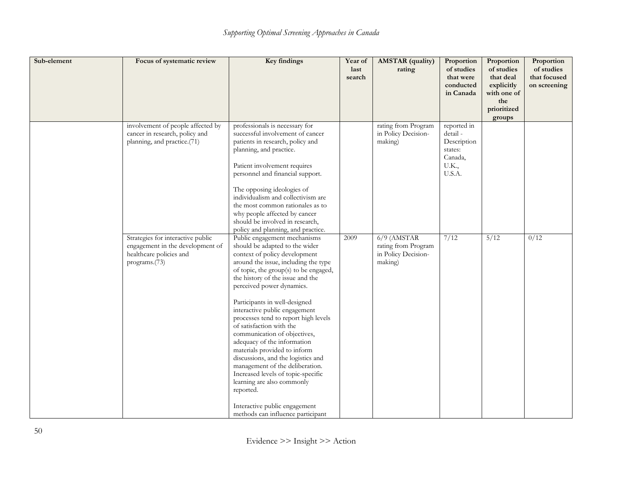| Sub-element | Focus of systematic review                                                                                        | <b>Key findings</b>                                                                                                                                                                                                                                                                                                                                                                                                                                                                                                                                                                                                                                                                                                    | Year of<br>last<br>search | <b>AMSTAR</b> (quality)<br>rating                                      | Proportion<br>of studies<br>that were<br>conducted<br>in Canada                 | Proportion<br>of studies<br>that deal<br>explicitly<br>with one of<br>the<br>prioritized<br>groups | Proportion<br>of studies<br>that focused<br>on screening |
|-------------|-------------------------------------------------------------------------------------------------------------------|------------------------------------------------------------------------------------------------------------------------------------------------------------------------------------------------------------------------------------------------------------------------------------------------------------------------------------------------------------------------------------------------------------------------------------------------------------------------------------------------------------------------------------------------------------------------------------------------------------------------------------------------------------------------------------------------------------------------|---------------------------|------------------------------------------------------------------------|---------------------------------------------------------------------------------|----------------------------------------------------------------------------------------------------|----------------------------------------------------------|
|             | involvement of people affected by<br>cancer in research, policy and<br>planning, and practice.(71)                | professionals is necessary for<br>successful involvement of cancer<br>patients in research, policy and<br>planning, and practice.<br>Patient involvement requires<br>personnel and financial support.<br>The opposing ideologies of<br>individualism and collectivism are<br>the most common rationales as to<br>why people affected by cancer<br>should be involved in research,<br>policy and planning, and practice.                                                                                                                                                                                                                                                                                                |                           | rating from Program<br>in Policy Decision-<br>making)                  | reported in<br>detail -<br>Description<br>states:<br>Canada,<br>U.K.,<br>U.S.A. |                                                                                                    |                                                          |
|             | Strategies for interactive public<br>engagement in the development of<br>healthcare policies and<br>programs.(73) | Public engagement mechanisms<br>should be adapted to the wider<br>context of policy development<br>around the issue, including the type<br>of topic, the group(s) to be engaged,<br>the history of the issue and the<br>perceived power dynamics.<br>Participants in well-designed<br>interactive public engagement<br>processes tend to report high levels<br>of satisfaction with the<br>communication of objectives,<br>adequacy of the information<br>materials provided to inform<br>discussions, and the logistics and<br>management of the deliberation.<br>Increased levels of topic-specific<br>learning are also commonly<br>reported.<br>Interactive public engagement<br>methods can influence participant | 2009                      | $6/9$ (AMSTAR<br>rating from Program<br>in Policy Decision-<br>making) | 7/12                                                                            | 5/12                                                                                               | 0/12                                                     |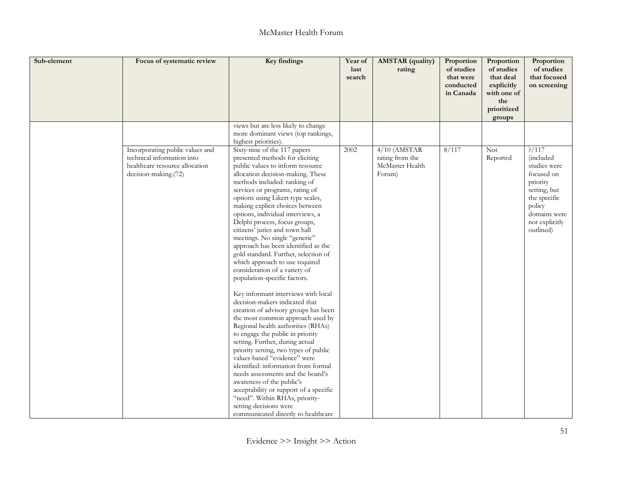| Sub-element | Focus of systematic review                                                                                              | <b>Key findings</b>                                                                                                                                                                                                                                                                                                                                                                                                                                                                                                                                                                                                                                                                                                                                                                                                                                                                                                                                                                                                                                                                                                                                                                                             | Year of<br>last<br>search | <b>AMSTAR</b> (quality)<br>rating                              | Proportion<br>of studies<br>that were<br>conducted<br>in Canada | Proportion<br>of studies<br>that deal<br>explicitly<br>with one of<br>the<br>prioritized<br>groups | Proportion<br>of studies<br>that focused<br>on screening                                                                                                       |
|-------------|-------------------------------------------------------------------------------------------------------------------------|-----------------------------------------------------------------------------------------------------------------------------------------------------------------------------------------------------------------------------------------------------------------------------------------------------------------------------------------------------------------------------------------------------------------------------------------------------------------------------------------------------------------------------------------------------------------------------------------------------------------------------------------------------------------------------------------------------------------------------------------------------------------------------------------------------------------------------------------------------------------------------------------------------------------------------------------------------------------------------------------------------------------------------------------------------------------------------------------------------------------------------------------------------------------------------------------------------------------|---------------------------|----------------------------------------------------------------|-----------------------------------------------------------------|----------------------------------------------------------------------------------------------------|----------------------------------------------------------------------------------------------------------------------------------------------------------------|
|             |                                                                                                                         | views but are less likely to change<br>more dominant views (top rankings,<br>highest priorities).                                                                                                                                                                                                                                                                                                                                                                                                                                                                                                                                                                                                                                                                                                                                                                                                                                                                                                                                                                                                                                                                                                               |                           |                                                                |                                                                 |                                                                                                    |                                                                                                                                                                |
|             | Incorporating public values and<br>technical information into<br>healthcare resource allocation<br>decision-making.(72) | Sixty-nine of the 117 papers<br>presented methods for eliciting<br>public values to inform resource<br>allocation decision-making. These<br>methods included: ranking of<br>services or programs, rating of<br>options using Likert-type scales,<br>making explicit choices between<br>options, individual interviews, a<br>Delphi process, focus groups,<br>citizens' juries and town hall<br>meetings. No single "generic"<br>approach has been identified as the<br>gold standard. Further, selection of<br>which approach to use required<br>consideration of a variety of<br>population-specific factors.<br>Key informant interviews with local<br>decision-makers indicated that<br>creation of advisory groups has been<br>the most common approach used by<br>Regional health authorities (RHAs)<br>to engage the public in priority<br>setting. Further, during actual<br>priority setting, two types of public<br>values-based "evidence" were<br>identified: information from formal<br>needs assessments and the board's<br>awareness of the public's<br>acceptability or support of a specific<br>"need". Within RHAs, priority-<br>setting decisions were<br>communicated directly to healthcare | 2002                      | $4/10$ (AMSTAR<br>rating from the<br>McMaster Health<br>Forum) | 8/117                                                           | <b>Not</b><br>Reported                                                                             | ? / 117<br><i>(included</i><br>studies were<br>focused on<br>priority<br>setting, but<br>the specific<br>policy<br>domains were<br>not explicitly<br>outlined) |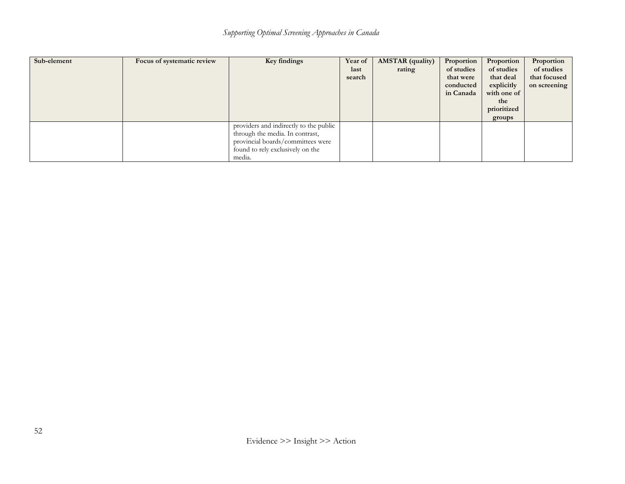| Sub-element | Focus of systematic review | Key findings                           | Year of | <b>AMSTAR</b> (quality) | Proportion | Proportion  | Proportion   |
|-------------|----------------------------|----------------------------------------|---------|-------------------------|------------|-------------|--------------|
|             |                            |                                        | last    | rating                  | of studies | of studies  | of studies   |
|             |                            |                                        | search  |                         | that were  | that deal   | that focused |
|             |                            |                                        |         |                         | conducted  | explicitly  | on screening |
|             |                            |                                        |         |                         | in Canada  | with one of |              |
|             |                            |                                        |         |                         |            | the         |              |
|             |                            |                                        |         |                         |            | prioritized |              |
|             |                            |                                        |         |                         |            | groups      |              |
|             |                            | providers and indirectly to the public |         |                         |            |             |              |
|             |                            | through the media. In contrast,        |         |                         |            |             |              |
|             |                            | provincial boards/committees were      |         |                         |            |             |              |
|             |                            | found to rely exclusively on the       |         |                         |            |             |              |
|             |                            | media.                                 |         |                         |            |             |              |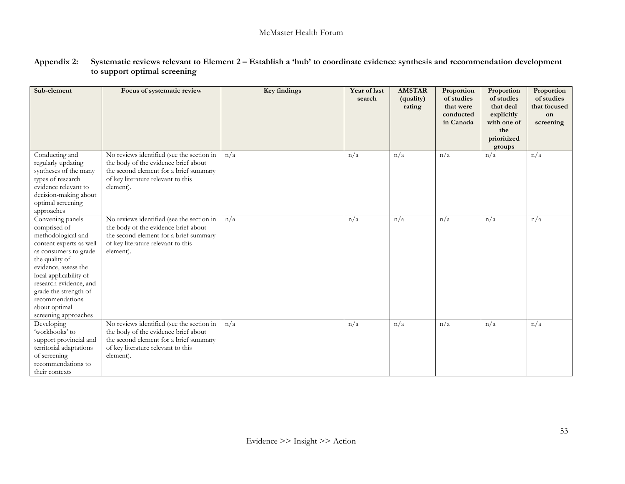| Sub-element                                                                                                                                                                                                                                                                                   | Focus of systematic review                                                                                                                                                     | Key findings | Year of last<br>search | <b>AMSTAR</b><br>(quality)<br>rating | Proportion<br>of studies<br>that were<br>conducted<br>in Canada | Proportion<br>of studies<br>that deal<br>explicitly<br>with one of<br>the<br>prioritized<br>groups | Proportion<br>of studies<br>that focused<br>on<br>screening |
|-----------------------------------------------------------------------------------------------------------------------------------------------------------------------------------------------------------------------------------------------------------------------------------------------|--------------------------------------------------------------------------------------------------------------------------------------------------------------------------------|--------------|------------------------|--------------------------------------|-----------------------------------------------------------------|----------------------------------------------------------------------------------------------------|-------------------------------------------------------------|
| Conducting and<br>regularly updating<br>syntheses of the many<br>types of research<br>evidence relevant to<br>decision-making about<br>optimal screening<br>approaches                                                                                                                        | No reviews identified (see the section in<br>the body of the evidence brief about<br>the second element for a brief summary<br>of key literature relevant to this<br>element). | n/a          | n/a                    | n/a                                  | n/a                                                             | n/a                                                                                                | n/a                                                         |
| Convening panels<br>comprised of<br>methodological and<br>content experts as well<br>as consumers to grade<br>the quality of<br>evidence, assess the<br>local applicability of<br>research evidence, and<br>grade the strength of<br>recommendations<br>about optimal<br>screening approaches | No reviews identified (see the section in<br>the body of the evidence brief about<br>the second element for a brief summary<br>of key literature relevant to this<br>element). | n/a          | n/a                    | n/a                                  | n/a                                                             | n/a                                                                                                | n/a                                                         |
| Developing<br>'workbooks' to<br>support provincial and<br>territorial adaptations<br>of screening<br>recommendations to<br>their contexts                                                                                                                                                     | No reviews identified (see the section in<br>the body of the evidence brief about<br>the second element for a brief summary<br>of key literature relevant to this<br>element). | n/a          | n/a                    | n/a                                  | n/a                                                             | n/a                                                                                                | n/a                                                         |

## **Appendix 2: Systematic reviews relevant to Element 2 – Establish a 'hub' to coordinate evidence synthesis and recommendation development to support optimal screening**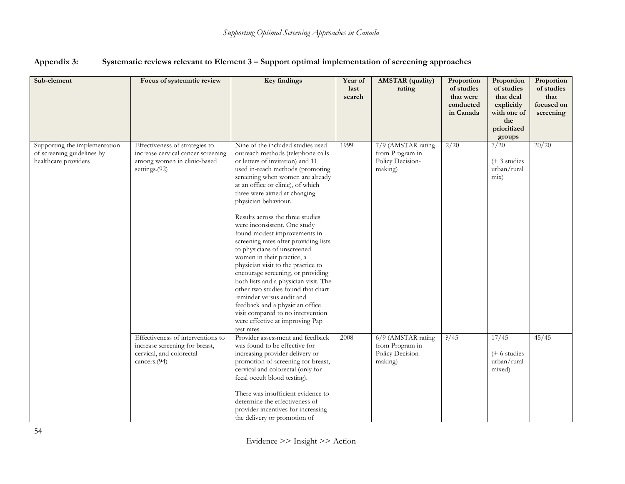| Appendix 3: | Systematic reviews relevant to Element 3 - Support optimal implementation of screening approaches |  |
|-------------|---------------------------------------------------------------------------------------------------|--|
|             |                                                                                                   |  |

| Sub-element                                                                         | Focus of systematic review                                                                                           | <b>Key findings</b>                                                                                                                                                                                                                                                                                                                                                                                                                                                                                                                                                                                                                                                                                                                                                                                        | Year of<br>last<br>search | <b>AMSTAR</b> (quality)<br>rating                                    | Proportion<br>of studies<br>that were<br>conducted<br>in Canada | Proportion<br>of studies<br>that deal<br>explicitly<br>with one of<br>the<br>prioritized<br>groups | Proportion<br>of studies<br>that<br>focused on<br>screening |
|-------------------------------------------------------------------------------------|----------------------------------------------------------------------------------------------------------------------|------------------------------------------------------------------------------------------------------------------------------------------------------------------------------------------------------------------------------------------------------------------------------------------------------------------------------------------------------------------------------------------------------------------------------------------------------------------------------------------------------------------------------------------------------------------------------------------------------------------------------------------------------------------------------------------------------------------------------------------------------------------------------------------------------------|---------------------------|----------------------------------------------------------------------|-----------------------------------------------------------------|----------------------------------------------------------------------------------------------------|-------------------------------------------------------------|
| Supporting the implementation<br>of screening guidelines by<br>healthcare providers | Effectiveness of strategies to<br>increase cervical cancer screening<br>among women in clinic-based<br>settings.(92) | Nine of the included studies used<br>outreach methods (telephone calls<br>or letters of invitation) and 11<br>used in-reach methods (promoting<br>screening when women are already<br>at an office or clinic), of which<br>three were aimed at changing<br>physician behaviour.<br>Results across the three studies<br>were inconsistent. One study<br>found modest improvements in<br>screening rates after providing lists<br>to physicians of unscreened<br>women in their practice, a<br>physician visit to the practice to<br>encourage screening, or providing<br>both lists and a physician visit. The<br>other two studies found that chart<br>reminder versus audit and<br>feedback and a physician office<br>visit compared to no intervention<br>were effective at improving Pap<br>test rates. | 1999                      | 7/9 (AMSTAR rating<br>from Program in<br>Policy Decision-<br>making) | 2/20                                                            | 7/20<br>$(+ 3$ studies<br>urban/rural<br>mix)                                                      | 20/20                                                       |
|                                                                                     | Effectiveness of interventions to<br>increase screening for breast,<br>cervical, and colorectal<br>cancers.(94)      | Provider assessment and feedback<br>was found to be effective for<br>increasing provider delivery or<br>promotion of screening for breast,<br>cervical and colorectal (only for<br>fecal occult blood testing).<br>There was insufficient evidence to<br>determine the effectiveness of<br>provider incentives for increasing<br>the delivery or promotion of                                                                                                                                                                                                                                                                                                                                                                                                                                              | 2008                      | 6/9 (AMSTAR rating<br>from Program in<br>Policy Decision-<br>making) | $\frac{2}{1}$ /45                                               | 17/45<br>$(+ 6$ studies<br>urban/rural<br>mixed)                                                   | 45/45                                                       |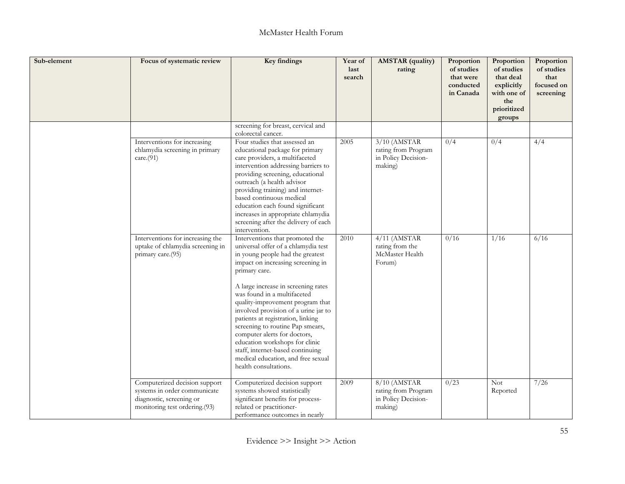| Sub-element | Focus of systematic review                                                                                                 | <b>Key findings</b>                                                                                                                                                                                                                                                                                                                                                                                                                                                                                                                                              | Year of<br>last<br>search | <b>AMSTAR</b> (quality)<br>rating                                       | Proportion<br>of studies<br>that were<br>conducted<br>in Canada | Proportion<br>of studies<br>that deal<br>explicitly<br>with one of<br>the<br>prioritized<br>groups | Proportion<br>of studies<br>that<br>focused on<br>screening |
|-------------|----------------------------------------------------------------------------------------------------------------------------|------------------------------------------------------------------------------------------------------------------------------------------------------------------------------------------------------------------------------------------------------------------------------------------------------------------------------------------------------------------------------------------------------------------------------------------------------------------------------------------------------------------------------------------------------------------|---------------------------|-------------------------------------------------------------------------|-----------------------------------------------------------------|----------------------------------------------------------------------------------------------------|-------------------------------------------------------------|
|             |                                                                                                                            | screening for breast, cervical and<br>colorectal cancer.                                                                                                                                                                                                                                                                                                                                                                                                                                                                                                         |                           |                                                                         |                                                                 |                                                                                                    |                                                             |
|             | Interventions for increasing<br>chlamydia screening in primary<br>care.(91)                                                | Four studies that assessed an<br>educational package for primary<br>care providers, a multifaceted<br>intervention addressing barriers to<br>providing screening, educational<br>outreach (a health advisor<br>providing training) and internet-<br>based continuous medical<br>education each found significant<br>increases in appropriate chlamydia<br>screening after the delivery of each<br>intervention.                                                                                                                                                  | 2005                      | $3/10$ (AMSTAR<br>rating from Program<br>in Policy Decision-<br>making) | 0/4                                                             | 0/4                                                                                                | 4/4                                                         |
|             | Interventions for increasing the<br>uptake of chlamydia screening in<br>primary care.(95)                                  | Interventions that promoted the<br>universal offer of a chlamydia test<br>in young people had the greatest<br>impact on increasing screening in<br>primary care.<br>A large increase in screening rates<br>was found in a multifaceted<br>quality-improvement program that<br>involved provision of a urine jar to<br>patients at registration, linking<br>screening to routine Pap smears,<br>computer alerts for doctors,<br>education workshops for clinic<br>staff, internet-based continuing<br>medical education, and free sexual<br>health consultations. | 2010                      | $4/11$ (AMSTAR<br>rating from the<br>McMaster Health<br>Forum)          | 0/16                                                            | 1/16                                                                                               | 6/16                                                        |
|             | Computerized decision support<br>systems in order communicate<br>diagnostic, screening or<br>monitoring test ordering (93) | Computerized decision support<br>systems showed statistically<br>significant benefits for process-<br>related or practitioner-<br>performance outcomes in nearly                                                                                                                                                                                                                                                                                                                                                                                                 | 2009                      | $8/10$ (AMSTAR<br>rating from Program<br>in Policy Decision-<br>making) | 0/23                                                            | Not<br>Reported                                                                                    | 7/26                                                        |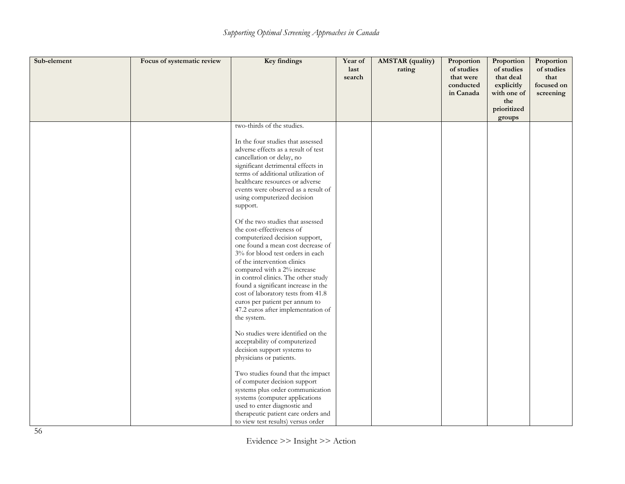| Sub-element | Focus of systematic review | <b>Key findings</b>                                                                                                                                                                                                                                                                                                                                                                                                                                                                                                                                                                                                                                                                                                                                                                                                            | Year of<br>last<br>search | <b>AMSTAR</b> (quality)<br>rating | Proportion<br>of studies<br>that were<br>conducted | Proportion<br>of studies<br>that deal<br>explicitly | Proportion<br>of studies<br>that<br>focused on |
|-------------|----------------------------|--------------------------------------------------------------------------------------------------------------------------------------------------------------------------------------------------------------------------------------------------------------------------------------------------------------------------------------------------------------------------------------------------------------------------------------------------------------------------------------------------------------------------------------------------------------------------------------------------------------------------------------------------------------------------------------------------------------------------------------------------------------------------------------------------------------------------------|---------------------------|-----------------------------------|----------------------------------------------------|-----------------------------------------------------|------------------------------------------------|
|             |                            |                                                                                                                                                                                                                                                                                                                                                                                                                                                                                                                                                                                                                                                                                                                                                                                                                                |                           |                                   | in Canada                                          | with one of<br>the<br>prioritized<br>groups         | screening                                      |
|             |                            | two-thirds of the studies.<br>In the four studies that assessed<br>adverse effects as a result of test<br>cancellation or delay, no<br>significant detrimental effects in<br>terms of additional utilization of<br>healthcare resources or adverse<br>events were observed as a result of<br>using computerized decision<br>support.<br>Of the two studies that assessed<br>the cost-effectiveness of<br>computerized decision support,<br>one found a mean cost decrease of<br>3% for blood test orders in each<br>of the intervention clinics<br>compared with a 2% increase<br>in control clinics. The other study<br>found a significant increase in the<br>cost of laboratory tests from 41.8<br>euros per patient per annum to<br>47.2 euros after implementation of<br>the system.<br>No studies were identified on the |                           |                                   |                                                    |                                                     |                                                |
|             |                            | acceptability of computerized<br>decision support systems to<br>physicians or patients.<br>Two studies found that the impact<br>of computer decision support<br>systems plus order communication<br>systems (computer applications<br>used to enter diagnostic and<br>therapeutic patient care orders and<br>to view test results) versus order                                                                                                                                                                                                                                                                                                                                                                                                                                                                                |                           |                                   |                                                    |                                                     |                                                |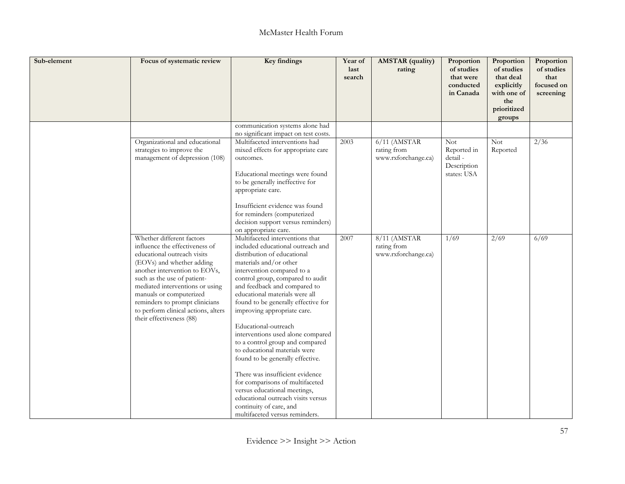| Sub-element | Focus of systematic review                                                                                                                                                                                                                                                                                                                                 | Key findings                                                                                                                                                                                                                                                                                                                                                                                                                                                                                                                                                                       | Year of<br>last<br>search | <b>AMSTAR</b> (quality)<br>rating                    | Proportion<br>of studies<br>that were<br>conducted<br>in Canada | Proportion<br>of studies<br>that deal<br>explicitly<br>with one of<br>the<br>prioritized<br>groups | Proportion<br>of studies<br>that<br>focused on<br>screening |
|-------------|------------------------------------------------------------------------------------------------------------------------------------------------------------------------------------------------------------------------------------------------------------------------------------------------------------------------------------------------------------|------------------------------------------------------------------------------------------------------------------------------------------------------------------------------------------------------------------------------------------------------------------------------------------------------------------------------------------------------------------------------------------------------------------------------------------------------------------------------------------------------------------------------------------------------------------------------------|---------------------------|------------------------------------------------------|-----------------------------------------------------------------|----------------------------------------------------------------------------------------------------|-------------------------------------------------------------|
|             |                                                                                                                                                                                                                                                                                                                                                            | communication systems alone had                                                                                                                                                                                                                                                                                                                                                                                                                                                                                                                                                    |                           |                                                      |                                                                 |                                                                                                    |                                                             |
|             |                                                                                                                                                                                                                                                                                                                                                            | no significant impact on test costs.                                                                                                                                                                                                                                                                                                                                                                                                                                                                                                                                               |                           |                                                      |                                                                 |                                                                                                    |                                                             |
|             | Organizational and educational<br>strategies to improve the<br>management of depression (108)                                                                                                                                                                                                                                                              | Multifaceted interventions had<br>mixed effects for appropriate care<br>outcomes.                                                                                                                                                                                                                                                                                                                                                                                                                                                                                                  | 2003                      | $6/11$ (AMSTAR<br>rating from<br>www.rxforchange.ca) | <b>Not</b><br>Reported in<br>detail-<br>Description             | <b>Not</b><br>Reported                                                                             | 2/36                                                        |
|             |                                                                                                                                                                                                                                                                                                                                                            | Educational meetings were found<br>to be generally ineffective for<br>appropriate care.                                                                                                                                                                                                                                                                                                                                                                                                                                                                                            |                           |                                                      | states: USA                                                     |                                                                                                    |                                                             |
|             |                                                                                                                                                                                                                                                                                                                                                            | Insufficient evidence was found<br>for reminders (computerized<br>decision support versus reminders)<br>on appropriate care.                                                                                                                                                                                                                                                                                                                                                                                                                                                       |                           |                                                      |                                                                 |                                                                                                    |                                                             |
|             | Whether different factors<br>influence the effectiveness of<br>educational outreach visits<br>(EOVs) and whether adding<br>another intervention to EOVs,<br>such as the use of patient-<br>mediated interventions or using<br>manuals or computerized<br>reminders to prompt clinicians<br>to perform clinical actions, alters<br>their effectiveness (88) | Multifaceted interventions that<br>included educational outreach and<br>distribution of educational<br>materials and/or other<br>intervention compared to a<br>control group, compared to audit<br>and feedback and compared to<br>educational materials were all<br>found to be generally effective for<br>improving appropriate care.<br>Educational-outreach<br>interventions used alone compared<br>to a control group and compared<br>to educational materials were<br>found to be generally effective.<br>There was insufficient evidence<br>for comparisons of multifaceted | 2007                      | $8/11$ (AMSTAR<br>rating from<br>www.rxforchange.ca) | 1/69                                                            | 2/69                                                                                               | 6/69                                                        |
|             |                                                                                                                                                                                                                                                                                                                                                            | versus educational meetings,<br>educational outreach visits versus<br>continuity of care, and<br>multifaceted versus reminders.                                                                                                                                                                                                                                                                                                                                                                                                                                                    |                           |                                                      |                                                                 |                                                                                                    |                                                             |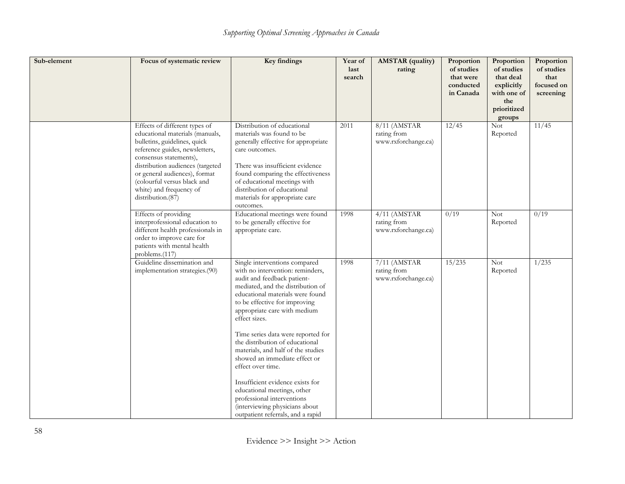| Sub-element | Focus of systematic review                                                                                                                                                                                                                                                                                       | Key findings                                                                                                                                                                                                                                                                                                                                                                                                                                                                                                                                                        | Year of<br>last<br>search | <b>AMSTAR</b> (quality)<br>rating                    | Proportion<br>of studies<br>that were<br>conducted<br>in Canada | Proportion<br>of studies<br>that deal<br>explicitly<br>with one of<br>the<br>prioritized<br>groups | Proportion<br>of studies<br>that<br>focused on<br>screening |
|-------------|------------------------------------------------------------------------------------------------------------------------------------------------------------------------------------------------------------------------------------------------------------------------------------------------------------------|---------------------------------------------------------------------------------------------------------------------------------------------------------------------------------------------------------------------------------------------------------------------------------------------------------------------------------------------------------------------------------------------------------------------------------------------------------------------------------------------------------------------------------------------------------------------|---------------------------|------------------------------------------------------|-----------------------------------------------------------------|----------------------------------------------------------------------------------------------------|-------------------------------------------------------------|
|             | Effects of different types of<br>educational materials (manuals,<br>bulletins, guidelines, quick<br>reference guides, newsletters,<br>consensus statements),<br>distribution audiences (targeted<br>or general audiences), format<br>(colourful versus black and<br>white) and frequency of<br>distribution.(87) | Distribution of educational<br>materials was found to be<br>generally effective for appropriate<br>care outcomes.<br>There was insufficient evidence<br>found comparing the effectiveness<br>of educational meetings with<br>distribution of educational<br>materials for appropriate care<br>outcomes.                                                                                                                                                                                                                                                             | 2011                      | $8/11$ (AMSTAR<br>rating from<br>www.rxforchange.ca) | 12/45                                                           | Not.<br>Reported                                                                                   | 11/45                                                       |
|             | Effects of providing<br>interprofessional education to<br>different health professionals in<br>order to improve care for<br>patients with mental health<br>problems.(117)                                                                                                                                        | Educational meetings were found<br>to be generally effective for<br>appropriate care.                                                                                                                                                                                                                                                                                                                                                                                                                                                                               | 1998                      | $4/11$ (AMSTAR<br>rating from<br>www.rxforchange.ca) | 0/19                                                            | <b>Not</b><br>Reported                                                                             | 0/19                                                        |
|             | Guideline dissemination and<br>implementation strategies.(90)                                                                                                                                                                                                                                                    | Single interventions compared<br>with no intervention: reminders,<br>audit and feedback patient-<br>mediated, and the distribution of<br>educational materials were found<br>to be effective for improving<br>appropriate care with medium<br>effect sizes.<br>Time series data were reported for<br>the distribution of educational<br>materials, and half of the studies<br>showed an immediate effect or<br>effect over time.<br>Insufficient evidence exists for<br>educational meetings, other<br>professional interventions<br>(interviewing physicians about | 1998                      | $7/11$ (AMSTAR<br>rating from<br>www.rxforchange.ca) | 15/235                                                          | <b>Not</b><br>Reported                                                                             | 1/235                                                       |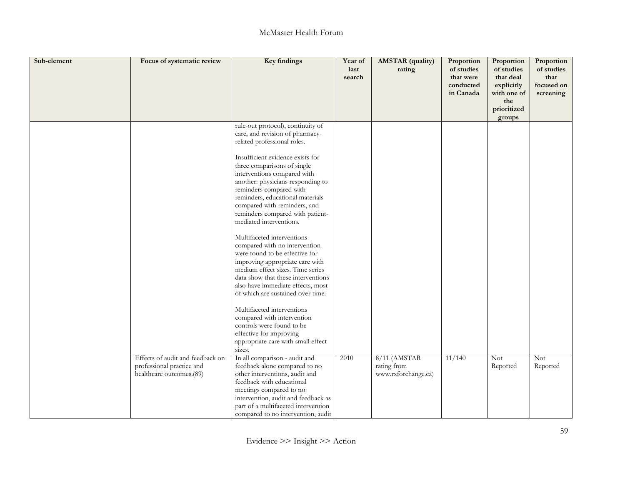| Sub-element | Focus of systematic review                                                                | <b>Key findings</b>                                                                                                                                                                                                                                                                               | Year of<br>last<br>search | <b>AMSTAR</b> (quality)<br>rating                  | Proportion<br>of studies<br>that were<br>conducted<br>in Canada | Proportion<br>of studies<br>that deal<br>explicitly<br>with one of<br>the<br>prioritized<br>groups | Proportion<br>of studies<br>that<br>focused on<br>screening |
|-------------|-------------------------------------------------------------------------------------------|---------------------------------------------------------------------------------------------------------------------------------------------------------------------------------------------------------------------------------------------------------------------------------------------------|---------------------------|----------------------------------------------------|-----------------------------------------------------------------|----------------------------------------------------------------------------------------------------|-------------------------------------------------------------|
|             |                                                                                           | rule-out protocol), continuity of<br>care, and revision of pharmacy-<br>related professional roles.                                                                                                                                                                                               |                           |                                                    |                                                                 |                                                                                                    |                                                             |
|             |                                                                                           | Insufficient evidence exists for<br>three comparisons of single<br>interventions compared with<br>another: physicians responding to<br>reminders compared with<br>reminders, educational materials<br>compared with reminders, and<br>reminders compared with patient-<br>mediated interventions. |                           |                                                    |                                                                 |                                                                                                    |                                                             |
|             |                                                                                           | Multifaceted interventions<br>compared with no intervention<br>were found to be effective for<br>improving appropriate care with<br>medium effect sizes. Time series<br>data show that these interventions<br>also have immediate effects, most<br>of which are sustained over time.              |                           |                                                    |                                                                 |                                                                                                    |                                                             |
|             |                                                                                           | Multifaceted interventions<br>compared with intervention<br>controls were found to be<br>effective for improving<br>appropriate care with small effect<br>sizes.                                                                                                                                  |                           |                                                    |                                                                 |                                                                                                    |                                                             |
|             | Effects of audit and feedback on<br>professional practice and<br>healthcare outcomes.(89) | In all comparison - audit and<br>feedback alone compared to no<br>other interventions, audit and<br>feedback with educational<br>meetings compared to no<br>intervention, audit and feedback as<br>part of a multifaceted intervention<br>compared to no intervention, audit                      | 2010                      | 8/11 (AMSTAR<br>rating from<br>www.rxforchange.ca) | 11/140                                                          | Not<br>Reported                                                                                    | <b>Not</b><br>Reported                                      |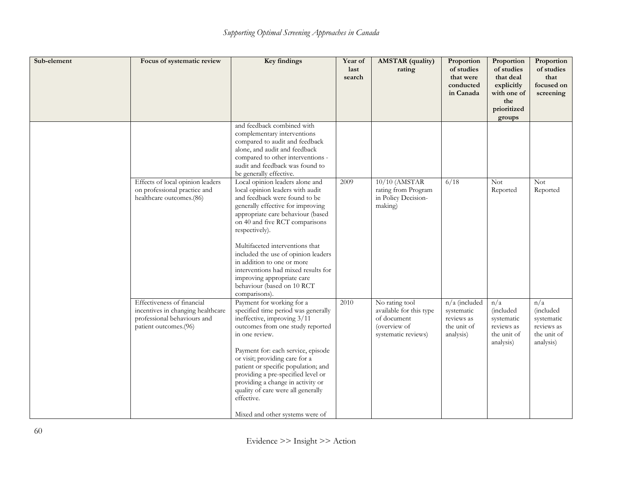| Sub-element | Focus of systematic review                                                                                              | <b>Key findings</b>                                                                                                                                                                                                                                                                                                                                                                                                                                            | Year of<br>last<br>search | <b>AMSTAR</b> (quality)<br>rating                                                               | Proportion<br>of studies<br>that were<br>conducted<br>in Canada         | Proportion<br>of studies<br>that deal<br>explicitly<br>with one of<br>the<br>prioritized<br>groups | Proportion<br>of studies<br>that<br>focused on<br>screening                      |
|-------------|-------------------------------------------------------------------------------------------------------------------------|----------------------------------------------------------------------------------------------------------------------------------------------------------------------------------------------------------------------------------------------------------------------------------------------------------------------------------------------------------------------------------------------------------------------------------------------------------------|---------------------------|-------------------------------------------------------------------------------------------------|-------------------------------------------------------------------------|----------------------------------------------------------------------------------------------------|----------------------------------------------------------------------------------|
|             |                                                                                                                         | and feedback combined with<br>complementary interventions<br>compared to audit and feedback<br>alone, and audit and feedback<br>compared to other interventions -<br>audit and feedback was found to<br>be generally effective.                                                                                                                                                                                                                                |                           |                                                                                                 |                                                                         |                                                                                                    |                                                                                  |
|             | Effects of local opinion leaders<br>on professional practice and<br>healthcare outcomes.(86)                            | Local opinion leaders alone and<br>local opinion leaders with audit<br>and feedback were found to be<br>generally effective for improving<br>appropriate care behaviour (based<br>on 40 and five RCT comparisons<br>respectively).<br>Multifaceted interventions that<br>included the use of opinion leaders<br>in addition to one or more<br>interventions had mixed results for<br>improving appropriate care<br>behaviour (based on 10 RCT<br>comparisons). | 2009                      | $10/10$ (AMSTAR<br>rating from Program<br>in Policy Decision-<br>making)                        | 6/18                                                                    | <b>Not</b><br>Reported                                                                             | Not<br>Reported                                                                  |
|             | Effectiveness of financial<br>incentives in changing healthcare<br>professional behaviours and<br>patient outcomes.(96) | Payment for working for a<br>specified time period was generally<br>ineffective, improving 3/11<br>outcomes from one study reported<br>in one review.<br>Payment for: each service, episode<br>or visit; providing care for a<br>patient or specific population; and<br>providing a pre-specified level or<br>providing a change in activity or<br>quality of care were all generally<br>effective.<br>Mixed and other systems were of                         | 2010                      | No rating tool<br>available for this type<br>of document<br>(overview of<br>systematic reviews) | $n/a$ (included<br>systematic<br>reviews as<br>the unit of<br>analysis) | n/a<br><i>(included)</i><br>systematic<br>reviews as<br>the unit of<br>analysis)                   | n/a<br><i>(included)</i><br>systematic<br>reviews as<br>the unit of<br>analysis) |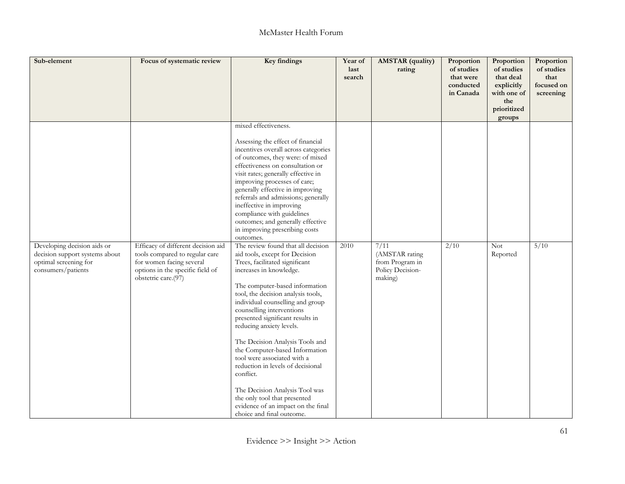| Sub-element                                                                                                  | Focus of systematic review                                                                                                                                  | Key findings                                                                                                                                                                                                                                                                                                                                                                                                                                                                                                                                                                                                                                                                                                                                                                                                                                                                                                                                                                                                                                                                                                       | Year of<br>last<br>search | <b>AMSTAR</b> (quality)<br>rating                                        | Proportion<br>of studies<br>that were<br>conducted<br>in Canada | Proportion<br>of studies<br>that deal<br>explicitly<br>with one of<br>the<br>prioritized<br>groups | Proportion<br>of studies<br>that<br>focused on<br>screening |
|--------------------------------------------------------------------------------------------------------------|-------------------------------------------------------------------------------------------------------------------------------------------------------------|--------------------------------------------------------------------------------------------------------------------------------------------------------------------------------------------------------------------------------------------------------------------------------------------------------------------------------------------------------------------------------------------------------------------------------------------------------------------------------------------------------------------------------------------------------------------------------------------------------------------------------------------------------------------------------------------------------------------------------------------------------------------------------------------------------------------------------------------------------------------------------------------------------------------------------------------------------------------------------------------------------------------------------------------------------------------------------------------------------------------|---------------------------|--------------------------------------------------------------------------|-----------------------------------------------------------------|----------------------------------------------------------------------------------------------------|-------------------------------------------------------------|
| Developing decision aids or<br>decision support systems about<br>optimal screening for<br>consumers/patients | Efficacy of different decision aid<br>tools compared to regular care<br>for women facing several<br>options in the specific field of<br>obstetric care.(97) | mixed effectiveness.<br>Assessing the effect of financial<br>incentives overall across categories<br>of outcomes, they were: of mixed<br>effectiveness on consultation or<br>visit rates; generally effective in<br>improving processes of care;<br>generally effective in improving<br>referrals and admissions; generally<br>ineffective in improving<br>compliance with guidelines<br>outcomes; and generally effective<br>in improving prescribing costs<br>outcomes.<br>The review found that all decision<br>aid tools, except for Decision<br>Trees, facilitated significant<br>increases in knowledge.<br>The computer-based information<br>tool, the decision analysis tools,<br>individual counselling and group<br>counselling interventions<br>presented significant results in<br>reducing anxiety levels.<br>The Decision Analysis Tools and<br>the Computer-based Information<br>tool were associated with a<br>reduction in levels of decisional<br>conflict.<br>The Decision Analysis Tool was<br>the only tool that presented<br>evidence of an impact on the final<br>choice and final outcome. | 2010                      | 7/11<br>(AMSTAR rating<br>from Program in<br>Policy Decision-<br>making) | 2/10                                                            | <b>Not</b><br>Reported                                                                             | 5/10                                                        |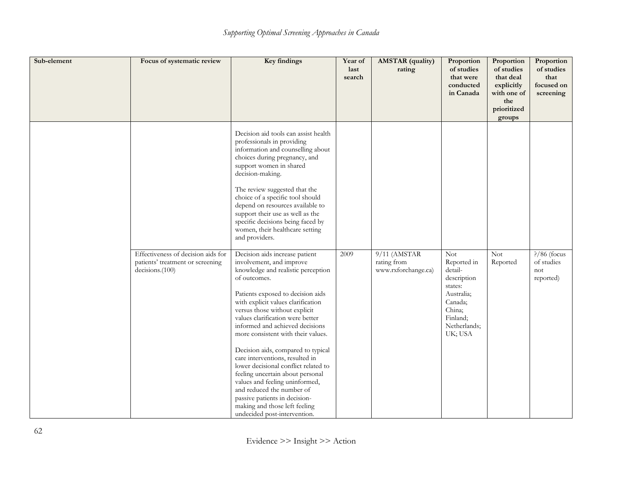| Sub-element | Focus of systematic review                                                                | Key findings                                                                                                                                                                                                                                                                                                                                                                                                                                                                                                                                                                                                                                                    | Year of<br>last<br>search | <b>AMSTAR</b> (quality)<br>rating                    | Proportion<br>of studies<br>that were<br>conducted<br>in Canada                                                                   | Proportion<br>of studies<br>that deal<br>explicitly<br>with one of<br>the<br>prioritized<br>groups | Proportion<br>of studies<br>that<br>focused on<br>screening |
|-------------|-------------------------------------------------------------------------------------------|-----------------------------------------------------------------------------------------------------------------------------------------------------------------------------------------------------------------------------------------------------------------------------------------------------------------------------------------------------------------------------------------------------------------------------------------------------------------------------------------------------------------------------------------------------------------------------------------------------------------------------------------------------------------|---------------------------|------------------------------------------------------|-----------------------------------------------------------------------------------------------------------------------------------|----------------------------------------------------------------------------------------------------|-------------------------------------------------------------|
|             |                                                                                           | Decision aid tools can assist health<br>professionals in providing<br>information and counselling about<br>choices during pregnancy, and<br>support women in shared<br>decision-making.<br>The review suggested that the<br>choice of a specific tool should<br>depend on resources available to<br>support their use as well as the<br>specific decisions being faced by<br>women, their healthcare setting<br>and providers.                                                                                                                                                                                                                                  |                           |                                                      |                                                                                                                                   |                                                                                                    |                                                             |
|             | Effectiveness of decision aids for<br>patients' treatment or screening<br>decisions.(100) | Decision aids increase patient<br>involvement, and improve<br>knowledge and realistic perception<br>of outcomes.<br>Patients exposed to decision aids<br>with explicit values clarification<br>versus those without explicit<br>values clarification were better<br>informed and achieved decisions<br>more consistent with their values.<br>Decision aids, compared to typical<br>care interventions, resulted in<br>lower decisional conflict related to<br>feeling uncertain about personal<br>values and feeling uninformed,<br>and reduced the number of<br>passive patients in decision-<br>making and those left feeling<br>undecided post-intervention. | 2009                      | $9/11$ (AMSTAR<br>rating from<br>www.rxforchange.ca) | Not<br>Reported in<br>detail-<br>description<br>states:<br>Australia;<br>Canada;<br>China;<br>Finland;<br>Netherlands;<br>UK; USA | Not<br>Reported                                                                                    | $? / 86$ (focus<br>of studies<br>not<br>reported)           |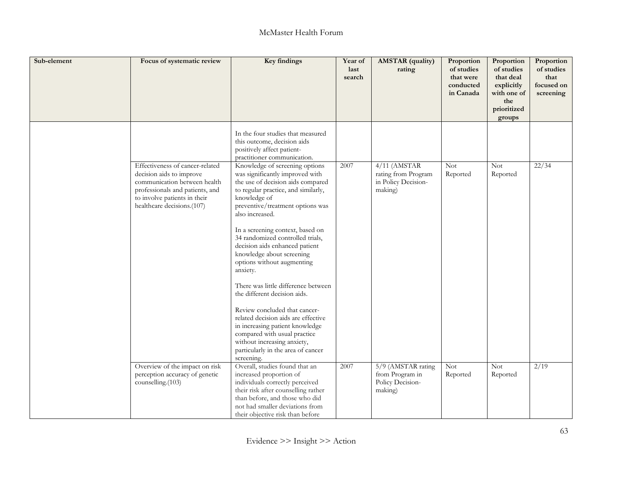| Sub-element | Focus of systematic review                                                                                                                                                                   | Key findings                                                                                                                                                                                                                                                                                      | Year of<br>last<br>search | <b>AMSTAR</b> (quality)<br>rating                                       | Proportion<br>of studies<br>that were<br>conducted<br>in Canada | Proportion<br>of studies<br>that deal<br>explicitly<br>with one of<br>the<br>prioritized<br>groups | Proportion<br>of studies<br>that<br>focused on<br>screening |
|-------------|----------------------------------------------------------------------------------------------------------------------------------------------------------------------------------------------|---------------------------------------------------------------------------------------------------------------------------------------------------------------------------------------------------------------------------------------------------------------------------------------------------|---------------------------|-------------------------------------------------------------------------|-----------------------------------------------------------------|----------------------------------------------------------------------------------------------------|-------------------------------------------------------------|
|             |                                                                                                                                                                                              | In the four studies that measured<br>this outcome, decision aids<br>positively affect patient-<br>practitioner communication.                                                                                                                                                                     |                           |                                                                         |                                                                 |                                                                                                    |                                                             |
|             | Effectiveness of cancer-related<br>decision aids to improve<br>communication between health<br>professionals and patients, and<br>to involve patients in their<br>healthcare decisions.(107) | Knowledge of screening options<br>was significantly improved with<br>the use of decision aids compared<br>to regular practice, and similarly,<br>knowledge of<br>preventive/treatment options was<br>also increased.                                                                              | 2007                      | $4/11$ (AMSTAR<br>rating from Program<br>in Policy Decision-<br>making) | Not<br>Reported                                                 | <b>Not</b><br>Reported                                                                             | 22/34                                                       |
|             |                                                                                                                                                                                              | In a screening context, based on<br>34 randomized controlled trials,<br>decision aids enhanced patient<br>knowledge about screening<br>options without augmenting<br>anxiety.                                                                                                                     |                           |                                                                         |                                                                 |                                                                                                    |                                                             |
|             |                                                                                                                                                                                              | There was little difference between<br>the different decision aids.<br>Review concluded that cancer-<br>related decision aids are effective<br>in increasing patient knowledge<br>compared with usual practice<br>without increasing anxiety,<br>particularly in the area of cancer<br>screening. |                           |                                                                         |                                                                 |                                                                                                    |                                                             |
|             | Overview of the impact on risk<br>perception accuracy of genetic<br>counselling.(103)                                                                                                        | Overall, studies found that an<br>increased proportion of<br>individuals correctly perceived<br>their risk after counselling rather<br>than before, and those who did<br>not had smaller deviations from<br>their objective risk than before                                                      | 2007                      | 5/9 (AMSTAR rating<br>from Program in<br>Policy Decision-<br>making)    | Not<br>Reported                                                 | <b>Not</b><br>Reported                                                                             | 2/19                                                        |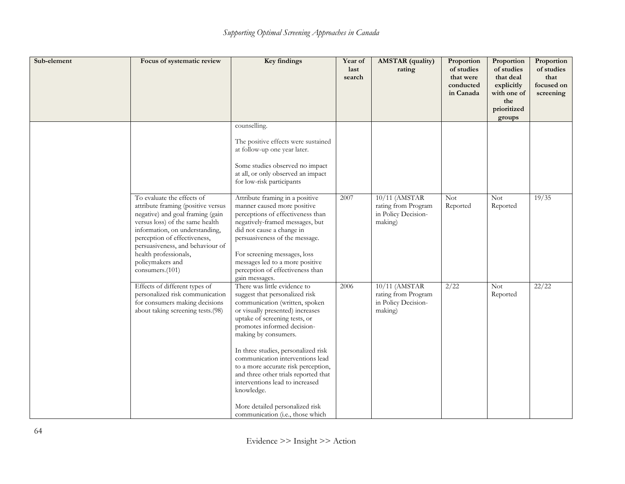| Sub-element | Focus of systematic review                                                                                                                                                                                                                                                                                    | <b>Key findings</b>                                                                                                                                                                                                                                                                                                                                                                                                                                                                                            | Year of<br>last<br>search | <b>AMSTAR</b> (quality)<br>rating                                      | Proportion<br>of studies<br>that were<br>conducted<br>in Canada | Proportion<br>of studies<br>that deal<br>explicitly<br>with one of<br>the<br>prioritized<br>groups | Proportion<br>of studies<br>that<br>focused on<br>screening |
|-------------|---------------------------------------------------------------------------------------------------------------------------------------------------------------------------------------------------------------------------------------------------------------------------------------------------------------|----------------------------------------------------------------------------------------------------------------------------------------------------------------------------------------------------------------------------------------------------------------------------------------------------------------------------------------------------------------------------------------------------------------------------------------------------------------------------------------------------------------|---------------------------|------------------------------------------------------------------------|-----------------------------------------------------------------|----------------------------------------------------------------------------------------------------|-------------------------------------------------------------|
|             |                                                                                                                                                                                                                                                                                                               | counselling.<br>The positive effects were sustained<br>at follow-up one year later.<br>Some studies observed no impact<br>at all, or only observed an impact<br>for low-risk participants                                                                                                                                                                                                                                                                                                                      |                           |                                                                        |                                                                 |                                                                                                    |                                                             |
|             | To evaluate the effects of<br>attribute framing (positive versus<br>negative) and goal framing (gain<br>versus loss) of the same health<br>information, on understanding,<br>perception of effectiveness,<br>persuasiveness, and behaviour of<br>health professionals,<br>policymakers and<br>consumers.(101) | Attribute framing in a positive<br>manner caused more positive<br>perceptions of effectiveness than<br>negatively-framed messages, but<br>did not cause a change in<br>persuasiveness of the message.<br>For screening messages, loss<br>messages led to a more positive<br>perception of effectiveness than<br>gain messages.                                                                                                                                                                                 | 2007                      | 10/11 (AMSTAR<br>rating from Program<br>in Policy Decision-<br>making) | <b>Not</b><br>Reported                                          | Not<br>Reported                                                                                    | 19/35                                                       |
|             | Effects of different types of<br>personalized risk communication<br>for consumers making decisions<br>about taking screening tests.(98)                                                                                                                                                                       | There was little evidence to<br>suggest that personalized risk<br>communication (written, spoken<br>or visually presented) increases<br>uptake of screening tests, or<br>promotes informed decision-<br>making by consumers.<br>In three studies, personalized risk<br>communication interventions lead<br>to a more accurate risk perception,<br>and three other trials reported that<br>interventions lead to increased<br>knowledge.<br>More detailed personalized risk<br>communication (i.e., those which | 2006                      | 10/11 (AMSTAR<br>rating from Program<br>in Policy Decision-<br>making) | 2/22                                                            | <b>Not</b><br>Reported                                                                             | 22/22                                                       |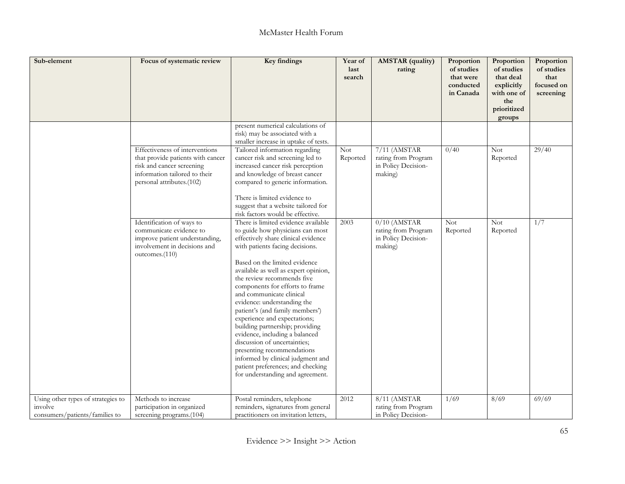| Sub-element                                                                     | Focus of systematic review                                                                                                                                     | Key findings                                                                                                                                                                                                                                                                                                                                                                                                                                                                                                                                                                                                                                                               | Year of<br>last<br>search | <b>AMSTAR</b> (quality)<br>rating                                       | Proportion<br>of studies<br>that were<br>conducted<br>in Canada | Proportion<br>of studies<br>that deal<br>explicitly<br>with one of<br>the<br>prioritized<br>groups | Proportion<br>of studies<br>that<br>focused on<br>screening |
|---------------------------------------------------------------------------------|----------------------------------------------------------------------------------------------------------------------------------------------------------------|----------------------------------------------------------------------------------------------------------------------------------------------------------------------------------------------------------------------------------------------------------------------------------------------------------------------------------------------------------------------------------------------------------------------------------------------------------------------------------------------------------------------------------------------------------------------------------------------------------------------------------------------------------------------------|---------------------------|-------------------------------------------------------------------------|-----------------------------------------------------------------|----------------------------------------------------------------------------------------------------|-------------------------------------------------------------|
|                                                                                 |                                                                                                                                                                | present numerical calculations of<br>risk) may be associated with a<br>smaller increase in uptake of tests.                                                                                                                                                                                                                                                                                                                                                                                                                                                                                                                                                                |                           |                                                                         |                                                                 |                                                                                                    |                                                             |
|                                                                                 | Effectiveness of interventions<br>that provide patients with cancer<br>risk and cancer screening<br>information tailored to their<br>personal attributes.(102) | Tailored information regarding<br>cancer risk and screening led to<br>increased cancer risk perception<br>and knowledge of breast cancer<br>compared to generic information.<br>There is limited evidence to<br>suggest that a website tailored for<br>risk factors would be effective.                                                                                                                                                                                                                                                                                                                                                                                    | Not<br>Reported           | $7/11$ (AMSTAR<br>rating from Program<br>in Policy Decision-<br>making) | 0/40                                                            | Not<br>Reported                                                                                    | 29/40                                                       |
|                                                                                 | Identification of ways to<br>communicate evidence to<br>improve patient understanding,<br>involvement in decisions and<br>outcomes.(110)                       | There is limited evidence available<br>to guide how physicians can most<br>effectively share clinical evidence<br>with patients facing decisions.<br>Based on the limited evidence<br>available as well as expert opinion,<br>the review recommends five<br>components for efforts to frame<br>and communicate clinical<br>evidence: understanding the<br>patient's (and family members')<br>experience and expectations;<br>building partnership; providing<br>evidence, including a balanced<br>discussion of uncertainties;<br>presenting recommendations<br>informed by clinical judgment and<br>patient preferences; and checking<br>for understanding and agreement. | 2003                      | $0/10$ (AMSTAR<br>rating from Program<br>in Policy Decision-<br>making) | <b>Not</b><br>Reported                                          | <b>Not</b><br>Reported                                                                             | 1/7                                                         |
| Using other types of strategies to<br>involve<br>consumers/patients/families to | Methods to increase<br>participation in organized<br>screening programs.(104)                                                                                  | Postal reminders, telephone<br>reminders, signatures from general<br>practitioners on invitation letters,                                                                                                                                                                                                                                                                                                                                                                                                                                                                                                                                                                  | 2012                      | $8/11$ (AMSTAR<br>rating from Program<br>in Policy Decision-            | 1/69                                                            | 8/69                                                                                               | 69/69                                                       |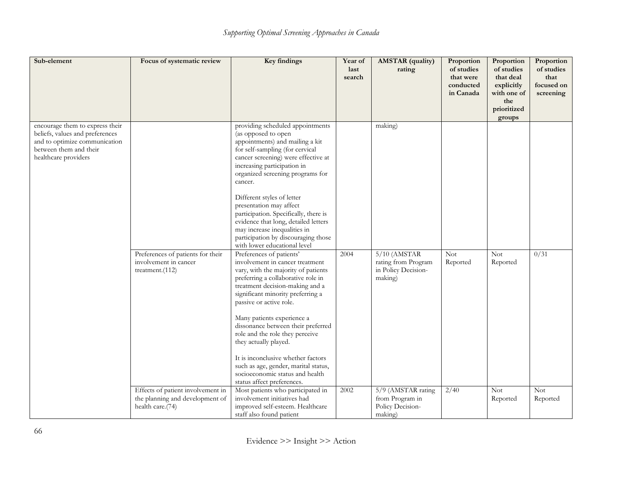| Sub-element                                                      | Focus of systematic review                                                    | Key findings                                                                                                                                                                                                                                | Year of<br>last<br>search | <b>AMSTAR</b> (quality)<br>rating                                       | Proportion<br>of studies<br>that were<br>conducted<br>in Canada | Proportion<br>of studies<br>that deal<br>explicitly<br>with one of<br>the<br>prioritized<br>groups | Proportion<br>of studies<br>that<br>focused on<br>screening |
|------------------------------------------------------------------|-------------------------------------------------------------------------------|---------------------------------------------------------------------------------------------------------------------------------------------------------------------------------------------------------------------------------------------|---------------------------|-------------------------------------------------------------------------|-----------------------------------------------------------------|----------------------------------------------------------------------------------------------------|-------------------------------------------------------------|
| encourage them to express their                                  |                                                                               | providing scheduled appointments                                                                                                                                                                                                            |                           | making)                                                                 |                                                                 |                                                                                                    |                                                             |
| beliefs, values and preferences<br>and to optimize communication |                                                                               | (as opposed to open<br>appointments) and mailing a kit                                                                                                                                                                                      |                           |                                                                         |                                                                 |                                                                                                    |                                                             |
| between them and their                                           |                                                                               | for self-sampling (for cervical                                                                                                                                                                                                             |                           |                                                                         |                                                                 |                                                                                                    |                                                             |
| healthcare providers                                             |                                                                               | cancer screening) were effective at                                                                                                                                                                                                         |                           |                                                                         |                                                                 |                                                                                                    |                                                             |
|                                                                  |                                                                               | increasing participation in                                                                                                                                                                                                                 |                           |                                                                         |                                                                 |                                                                                                    |                                                             |
|                                                                  |                                                                               | organized screening programs for                                                                                                                                                                                                            |                           |                                                                         |                                                                 |                                                                                                    |                                                             |
|                                                                  |                                                                               | cancer.                                                                                                                                                                                                                                     |                           |                                                                         |                                                                 |                                                                                                    |                                                             |
|                                                                  |                                                                               | Different styles of letter                                                                                                                                                                                                                  |                           |                                                                         |                                                                 |                                                                                                    |                                                             |
|                                                                  |                                                                               | presentation may affect<br>participation. Specifically, there is                                                                                                                                                                            |                           |                                                                         |                                                                 |                                                                                                    |                                                             |
|                                                                  |                                                                               | evidence that long, detailed letters                                                                                                                                                                                                        |                           |                                                                         |                                                                 |                                                                                                    |                                                             |
|                                                                  |                                                                               | may increase inequalities in                                                                                                                                                                                                                |                           |                                                                         |                                                                 |                                                                                                    |                                                             |
|                                                                  |                                                                               | participation by discouraging those                                                                                                                                                                                                         |                           |                                                                         |                                                                 |                                                                                                    |                                                             |
|                                                                  |                                                                               | with lower educational level                                                                                                                                                                                                                |                           |                                                                         |                                                                 |                                                                                                    |                                                             |
|                                                                  | Preferences of patients for their<br>involvement in cancer<br>treatment.(112) | Preferences of patients'<br>involvement in cancer treatment<br>vary, with the majority of patients<br>preferring a collaborative role in<br>treatment decision-making and a<br>significant minority preferring a<br>passive or active role. | 2004                      | $5/10$ (AMSTAR<br>rating from Program<br>in Policy Decision-<br>making) | <b>Not</b><br>Reported                                          | Not<br>Reported                                                                                    | 0/31                                                        |
|                                                                  |                                                                               | Many patients experience a<br>dissonance between their preferred<br>role and the role they perceive                                                                                                                                         |                           |                                                                         |                                                                 |                                                                                                    |                                                             |
|                                                                  |                                                                               | they actually played.                                                                                                                                                                                                                       |                           |                                                                         |                                                                 |                                                                                                    |                                                             |
|                                                                  |                                                                               | It is inconclusive whether factors                                                                                                                                                                                                          |                           |                                                                         |                                                                 |                                                                                                    |                                                             |
|                                                                  |                                                                               | such as age, gender, marital status,                                                                                                                                                                                                        |                           |                                                                         |                                                                 |                                                                                                    |                                                             |
|                                                                  |                                                                               | socioeconomic status and health                                                                                                                                                                                                             |                           |                                                                         |                                                                 |                                                                                                    |                                                             |
|                                                                  |                                                                               | status affect preferences.                                                                                                                                                                                                                  |                           |                                                                         |                                                                 |                                                                                                    |                                                             |
|                                                                  | Effects of patient involvement in                                             | Most patients who participated in<br>involvement initiatives had                                                                                                                                                                            | 2002                      | 5/9 (AMSTAR rating                                                      | $\sqrt{2/40}$                                                   | <b>Not</b>                                                                                         | Not                                                         |
|                                                                  | the planning and development of<br>health care.(74)                           | improved self-esteem. Healthcare                                                                                                                                                                                                            |                           | from Program in<br>Policy Decision-                                     |                                                                 | Reported                                                                                           | Reported                                                    |
|                                                                  |                                                                               | staff also found patient                                                                                                                                                                                                                    |                           | making)                                                                 |                                                                 |                                                                                                    |                                                             |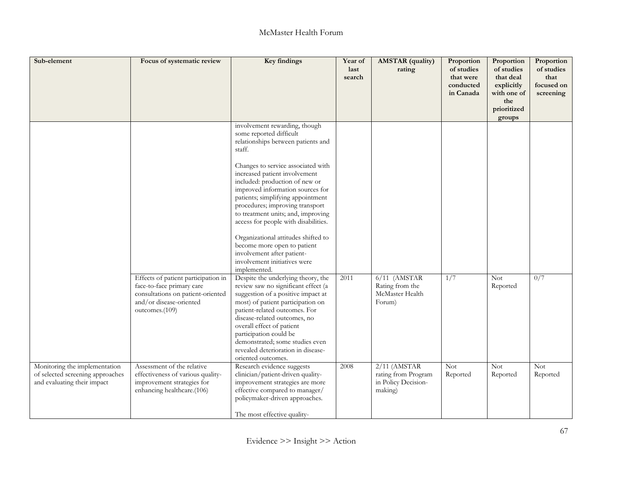| Sub-element                                                                                      | Focus of systematic review                                                                                                                         | <b>Key findings</b>                                                                                                                                                                                                                                                                                                                                                                                                                 | Year of<br>last<br>search | <b>AMSTAR</b> (quality)<br>rating                                       | Proportion<br>of studies<br>that were<br>conducted<br>in Canada | Proportion<br>of studies<br>that deal<br>explicitly<br>with one of<br>the<br>prioritized<br>groups | Proportion<br>of studies<br>that<br>focused on<br>screening |
|--------------------------------------------------------------------------------------------------|----------------------------------------------------------------------------------------------------------------------------------------------------|-------------------------------------------------------------------------------------------------------------------------------------------------------------------------------------------------------------------------------------------------------------------------------------------------------------------------------------------------------------------------------------------------------------------------------------|---------------------------|-------------------------------------------------------------------------|-----------------------------------------------------------------|----------------------------------------------------------------------------------------------------|-------------------------------------------------------------|
|                                                                                                  |                                                                                                                                                    | involvement rewarding, though<br>some reported difficult<br>relationships between patients and<br>staff.                                                                                                                                                                                                                                                                                                                            |                           |                                                                         |                                                                 |                                                                                                    |                                                             |
|                                                                                                  |                                                                                                                                                    | Changes to service associated with<br>increased patient involvement<br>included: production of new or<br>improved information sources for<br>patients; simplifying appointment<br>procedures; improving transport<br>to treatment units; and, improving<br>access for people with disabilities.<br>Organizational attitudes shifted to<br>become more open to patient<br>involvement after patient-<br>involvement initiatives were |                           |                                                                         |                                                                 |                                                                                                    |                                                             |
|                                                                                                  | Effects of patient participation in<br>face-to-face primary care<br>consultations on patient-oriented<br>and/or disease-oriented<br>outcomes.(109) | implemented.<br>Despite the underlying theory, the<br>review saw no significant effect (a<br>suggestion of a positive impact at<br>most) of patient participation on<br>patient-related outcomes. For<br>disease-related outcomes, no<br>overall effect of patient<br>participation could be<br>demonstrated; some studies even<br>revealed deterioration in disease-<br>oriented outcomes.                                         | 2011                      | $6/11$ (AMSTAR<br>Rating from the<br>McMaster Health<br>Forum)          | 1/7                                                             | Not<br>Reported                                                                                    | 0/7                                                         |
| Monitoring the implementation<br>of selected screening approaches<br>and evaluating their impact | Assessment of the relative<br>effectiveness of various quality-<br>improvement strategies for<br>enhancing healthcare.(106)                        | Research evidence suggests<br>clinician/patient-driven quality-<br>improvement strategies are more<br>effective compared to manager/<br>policymaker-driven approaches.<br>The most effective quality-                                                                                                                                                                                                                               | $2008\,$                  | $2/11$ (AMSTAR<br>rating from Program<br>in Policy Decision-<br>making) | <b>Not</b><br>Reported                                          | <b>Not</b><br>Reported                                                                             | Not<br>Reported                                             |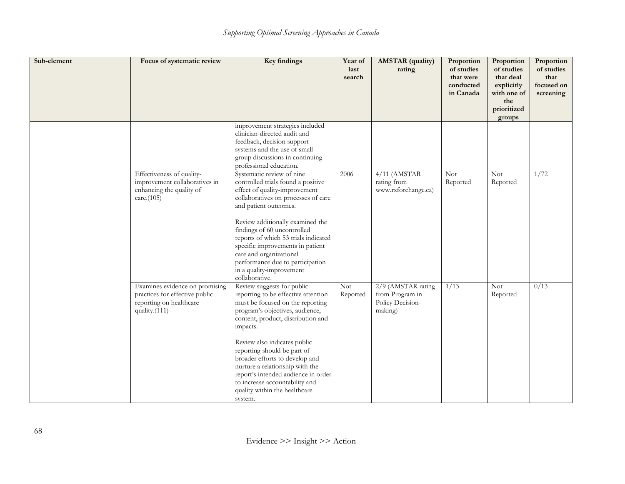| Sub-element | Focus of systematic review                                                                                   | <b>Key findings</b>                                                                                                                                                                                                                                                                                                                                                                                                                                 | Year of<br>last<br>search | <b>AMSTAR</b> (quality)<br>rating                                    | Proportion<br>of studies<br>that were<br>conducted<br>in Canada | Proportion<br>of studies<br>that deal<br>explicitly<br>with one of<br>the<br>prioritized<br>groups | Proportion<br>of studies<br>that<br>focused on<br>screening |
|-------------|--------------------------------------------------------------------------------------------------------------|-----------------------------------------------------------------------------------------------------------------------------------------------------------------------------------------------------------------------------------------------------------------------------------------------------------------------------------------------------------------------------------------------------------------------------------------------------|---------------------------|----------------------------------------------------------------------|-----------------------------------------------------------------|----------------------------------------------------------------------------------------------------|-------------------------------------------------------------|
|             |                                                                                                              | improvement strategies included<br>clinician-directed audit and<br>feedback, decision support<br>systems and the use of small-<br>group discussions in continuing<br>professional education.                                                                                                                                                                                                                                                        |                           |                                                                      |                                                                 |                                                                                                    |                                                             |
|             | Effectiveness of quality-<br>improvement collaboratives in<br>enhancing the quality of<br>care.(105)         | Systematic review of nine<br>controlled trials found a positive<br>effect of quality-improvement<br>collaboratives on processes of care<br>and patient outcomes.<br>Review additionally examined the<br>findings of 60 uncontrolled<br>reports of which 53 trials indicated<br>specific improvements in patient<br>care and organizational<br>performance due to participation<br>in a quality-improvement<br>collaborative.                        | 2006                      | $4/11$ (AMSTAR<br>rating from<br>www.rxforchange.ca)                 | <b>Not</b><br>Reported                                          | <b>Not</b><br>Reported                                                                             | 1/72                                                        |
|             | Examines evidence on promising<br>practices for effective public<br>reporting on healthcare<br>quality.(111) | Review suggests for public<br>reporting to be effective attention<br>must be focused on the reporting<br>program's objectives, audience,<br>content, product, distribution and<br>impacts.<br>Review also indicates public<br>reporting should be part of<br>broader efforts to develop and<br>nurture a relationship with the<br>report's intended audience in order<br>to increase accountability and<br>quality within the healthcare<br>system. | <b>Not</b><br>Reported    | 2/9 (AMSTAR rating<br>from Program in<br>Policy Decision-<br>making) | 1/13                                                            | <b>Not</b><br>Reported                                                                             | 0/13                                                        |